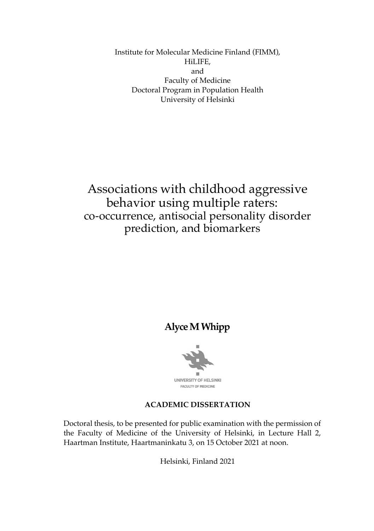Institute for Molecular Medicine Finland (FIMM), HiLIFE, and Faculty of Medicine Doctoral Program in Population Health University of Helsinki

Associations with childhood aggressive behavior using multiple raters: co-occurrence, antisocial personality disorder prediction, and biomarkers

## **Alyce M Whipp**



#### **ACADEMIC DISSERTATION**

Doctoral thesis, to be presented for public examination with the permission of the Faculty of Medicine of the University of Helsinki, in Lecture Hall 2, Haartman Institute, Haartmaninkatu 3, on 15 October 2021 at noon.

Helsinki, Finland 2021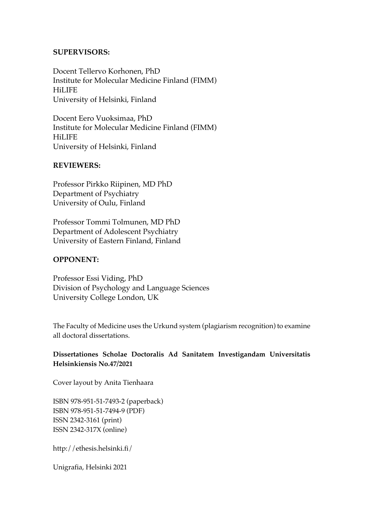#### **SUPERVISORS:**

Docent Tellervo Korhonen, PhD Institute for Molecular Medicine Finland (FIMM) HiLIFE University of Helsinki, Finland

Docent Eero Vuoksimaa, PhD Institute for Molecular Medicine Finland (FIMM) HiLIFE University of Helsinki, Finland

#### **REVIEWERS:**

Professor Pirkko Riipinen, MD PhD Department of Psychiatry University of Oulu, Finland

Professor Tommi Tolmunen, MD PhD Department of Adolescent Psychiatry University of Eastern Finland, Finland

#### **OPPONENT:**

Professor Essi Viding, PhD Division of Psychology and Language Sciences University College London, UK

The Faculty of Medicine uses the Urkund system (plagiarism recognition) to examine all doctoral dissertations.

#### **Dissertationes Scholae Doctoralis Ad Sanitatem Investigandam Universitatis Helsinkiensis No.47/2021**

Cover layout by Anita Tienhaara

ISBN 978-951-51-7493-2 (paperback) ISBN 978-951-51-7494-9 (PDF) ISSN 2342-3161 (print) ISSN 2342-317X (online)

http://ethesis.helsinki.fi/

Unigrafia, Helsinki 2021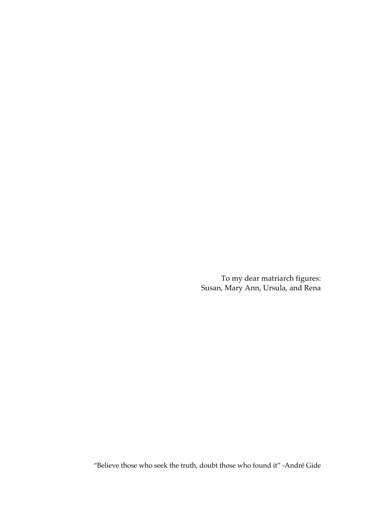To my dear matriarch figures: Susan, Mary Ann, Ursula, and Rena

"Believe those who seek the truth, doubt those who found it" -André Gide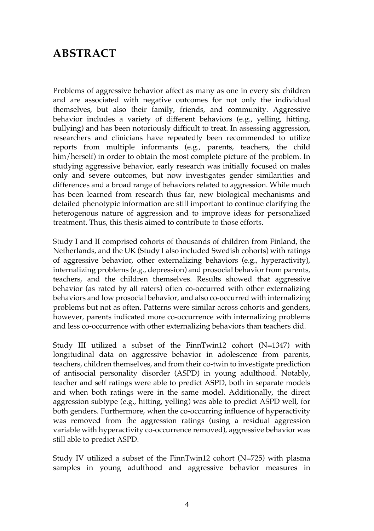# **ABSTRACT**

Problems of aggressive behavior affect as many as one in every six children and are associated with negative outcomes for not only the individual themselves, but also their family, friends, and community. Aggressive behavior includes a variety of different behaviors (e.g., yelling, hitting, bullying) and has been notoriously difficult to treat. In assessing aggression, researchers and clinicians have repeatedly been recommended to utilize reports from multiple informants (e.g., parents, teachers, the child him/herself) in order to obtain the most complete picture of the problem. In studying aggressive behavior, early research was initially focused on males only and severe outcomes, but now investigates gender similarities and differences and a broad range of behaviors related to aggression. While much has been learned from research thus far, new biological mechanisms and detailed phenotypic information are still important to continue clarifying the heterogenous nature of aggression and to improve ideas for personalized treatment. Thus, this thesis aimed to contribute to those efforts.

Study I and II comprised cohorts of thousands of children from Finland, the Netherlands, and the UK (Study I also included Swedish cohorts) with ratings of aggressive behavior, other externalizing behaviors (e.g., hyperactivity), internalizing problems (e.g., depression) and prosocial behavior from parents, teachers, and the children themselves. Results showed that aggressive behavior (as rated by all raters) often co-occurred with other externalizing behaviors and low prosocial behavior, and also co-occurred with internalizing problems but not as often. Patterns were similar across cohorts and genders, however, parents indicated more co-occurrence with internalizing problems and less co-occurrence with other externalizing behaviors than teachers did.

Study III utilized a subset of the FinnTwin12 cohort (N=1347) with longitudinal data on aggressive behavior in adolescence from parents, teachers, children themselves, and from their co-twin to investigate prediction of antisocial personality disorder (ASPD) in young adulthood. Notably, teacher and self ratings were able to predict ASPD, both in separate models and when both ratings were in the same model. Additionally, the direct aggression subtype (e.g., hitting, yelling) was able to predict ASPD well, for both genders. Furthermore, when the co-occurring influence of hyperactivity was removed from the aggression ratings (using a residual aggression variable with hyperactivity co-occurrence removed), aggressive behavior was still able to predict ASPD.

Study IV utilized a subset of the FinnTwin12 cohort (N=725) with plasma samples in young adulthood and aggressive behavior measures in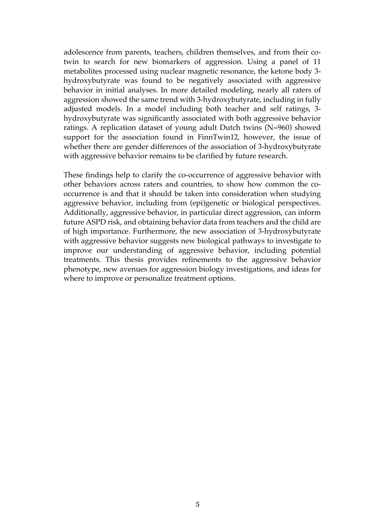adolescence from parents, teachers, children themselves, and from their cotwin to search for new biomarkers of aggression. Using a panel of 11 metabolites processed using nuclear magnetic resonance, the ketone body 3 hydroxybutyrate was found to be negatively associated with aggressive behavior in initial analyses. In more detailed modeling, nearly all raters of aggression showed the same trend with 3-hydroxybutyrate, including in fully adjusted models. In a model including both teacher and self ratings, 3 hydroxybutyrate was significantly associated with both aggressive behavior ratings. A replication dataset of young adult Dutch twins (N=960) showed support for the association found in FinnTwin12, however, the issue of whether there are gender differences of the association of 3-hydroxybutyrate with aggressive behavior remains to be clarified by future research.

These findings help to clarify the co-occurrence of aggressive behavior with other behaviors across raters and countries, to show how common the cooccurrence is and that it should be taken into consideration when studying aggressive behavior, including from (epi)genetic or biological perspectives. Additionally, aggressive behavior, in particular direct aggression, can inform future ASPD risk, and obtaining behavior data from teachers and the child are of high importance. Furthermore, the new association of 3-hydroxybutyrate with aggressive behavior suggests new biological pathways to investigate to improve our understanding of aggressive behavior, including potential treatments. This thesis provides refinements to the aggressive behavior phenotype, new avenues for aggression biology investigations, and ideas for where to improve or personalize treatment options.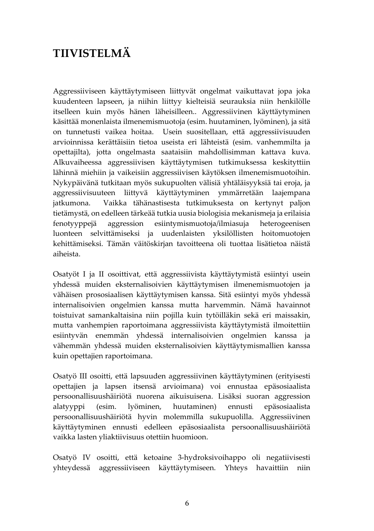# **TIIVISTELMÄ**

Aggressiiviseen käyttäytymiseen liittyvät ongelmat vaikuttavat jopa joka kuudenteen lapseen, ja niihin liittyy kielteisiä seurauksia niin henkilölle itselleen kuin myös hänen läheisilleen.. Aggressiivinen käyttäytyminen käsittää monenlaista ilmenemismuotoja (esim. huutaminen, lyöminen), ja sitä on tunnetusti vaikea hoitaa. Usein suositellaan, että aggressiivisuuden arvioinnissa kerättäisiin tietoa useista eri lähteistä (esim. vanhemmilta ja opettajilta), jotta ongelmasta saataisiin mahdollisimman kattava kuva. Alkuvaiheessa aggressiivisen käyttäytymisen tutkimuksessa keskityttiin lähinnä miehiin ja vaikeisiin aggressiivisen käytöksen ilmenemismuotoihin. Nykypäivänä tutkitaan myös sukupuolten välisiä yhtäläisyyksiä tai eroja, ja aggressiivisuuteen liittyvä käyttäytyminen ymmärretään laajempana Vaikka tähänastisesta tutkimuksesta on kertynyt paljon jatkumona. tietämystä, on edelleen tärkeää tutkia uusia biologisia mekanismeja ja erilaisia fenotyyppejä aggression esiintymismuotoja/ilmiasuja heterogeenisen luonteen selvittämiseksi ja uudenlaisten yksilöllisten hoitomuotojen kehittämiseksi. Tämän väitöskirjan tavoitteena oli tuottaa lisätietoa näistä aiheista

Osatyöt I ja II osoittivat, että aggressiivista käyttäytymistä esiintyi usein yhdessä muiden eksternalisoivien käyttäytymisen ilmenemismuotojen ja vähäisen prososiaalisen käyttäytymisen kanssa. Sitä esiintyi myös yhdessä internalisoivien ongelmien kanssa mutta harvemmin. Nämä havainnot toistuivat samankaltaisina niin pojilla kuin tytöilläkin sekä eri maissakin, mutta vanhempien raportoimana aggressiivista käyttäytymistä ilmoitettiin esiintyvän enemmän yhdessä internalisoivien ongelmien kanssa ja vähemmän yhdessä muiden eksternalisoivien käyttäytymismallien kanssa kuin opettajien raportoimana.

Osatyö III osoitti, että lapsuuden aggressiivinen käyttäytyminen (erityisesti opettajien ja lapsen itsensä arvioimana) voi ennustaa epäsosiaalista persoonallisuushäiriötä nuorena aikuisuisena. Lisäksi suoran aggression alatyyppi (esim. lyöminen, huutaminen) ennusti epäsosiaalista persoonallisuushäiriötä hyvin molemmilla sukupuolilla. Aggressiivinen käyttäytyminen ennusti edelleen epäsosiaalista persoonallisuushäiriötä vaikka lasten yliaktiivisuus otettiin huomioon.

Osatyö IV osoitti, että ketoaine 3-hydroksivoihappo oli negatiivisesti yhteydessä aggressiiviseen käyttäytymiseen. Yhteys havaittiin niin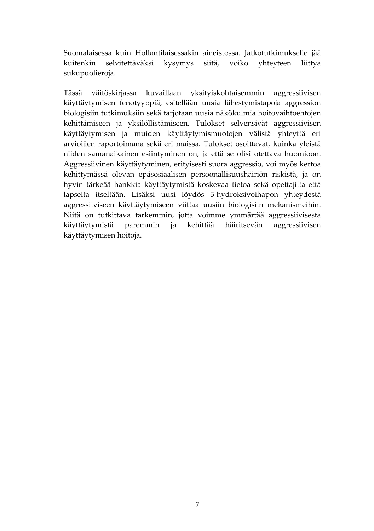Suomalaisessa kuin Hollantilaisessakin aineistossa. Jatkotutkimukselle jää kuitenkin selvitettäväksi kysymys siitä, voiko yhteyteen liittyä sukupuolieroja.

Tässä väitöskirjassa kuvaillaan yksityiskohtaisemmin aggressiivisen käyttäytymisen fenotyyppiä, esitellään uusia lähestymistapoja aggression biologisiin tutkimuksiin sekä tarjotaan uusia näkökulmia hoitovaihtoehtojen kehittämiseen ja yksilöllistämiseen. Tulokset selvensivät aggressiivisen käyttäytymisen ja muiden käyttäytymismuotojen välistä yhteyttä eri arvioijien raportoimana sekä eri maissa. Tulokset osoittavat, kuinka yleistä niiden samanaikainen esiintyminen on, ja että se olisi otettava huomioon. Aggressiivinen käyttäytyminen, erityisesti suora aggressio, voi myös kertoa kehittymässä olevan epäsosiaalisen persoonallisuushäiriön riskistä, ja on hyvin tärkeää hankkia käyttäytymistä koskevaa tietoa sekä opettajilta että lapselta itseltään. Lisäksi uusi löydös 3-hydroksivoihapon yhteydestä aggressiiviseen käyttäytymiseen viittaa uusiin biologisiin mekanismeihin. Niitä on tutkittava tarkemmin, jotta voimme ymmärtää aggressiivisesta käyttäytymistä paremmin ja kehittää häiritsevän aggressiivisen käyttäytymisen hoitoja.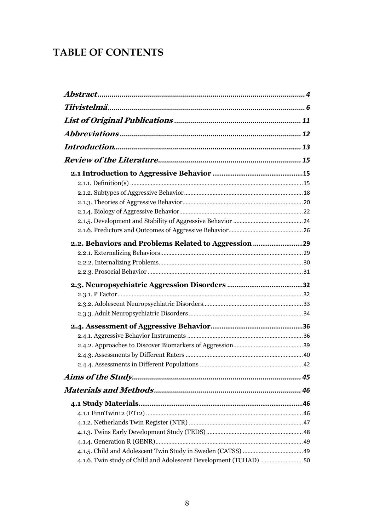## **TABLE OF CONTENTS**

| 2.2. Behaviors and Problems Related to Aggression |  |
|---------------------------------------------------|--|
|                                                   |  |
|                                                   |  |
|                                                   |  |
|                                                   |  |
|                                                   |  |
|                                                   |  |
|                                                   |  |
|                                                   |  |
|                                                   |  |
|                                                   |  |
|                                                   |  |
|                                                   |  |
|                                                   |  |
|                                                   |  |
|                                                   |  |
|                                                   |  |
|                                                   |  |
|                                                   |  |
|                                                   |  |
|                                                   |  |
|                                                   |  |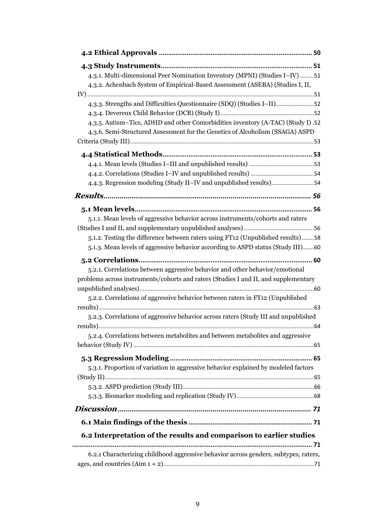| 4.3.1. Multi-dimensional Peer Nomination Inventory (MPNI) (Studies I-IV) 51<br>4.3.2. Achenbach System of Empirical-Based Assessment (ASEBA) (Studies I, II, |    |
|--------------------------------------------------------------------------------------------------------------------------------------------------------------|----|
|                                                                                                                                                              |    |
| 4.3.3. Strengths and Difficulties Questionnaire (SDQ) (Studies I-II)52                                                                                       |    |
|                                                                                                                                                              |    |
| 4.3.5. Autism-Tics, ADHD and other Comorbidities inventory (A-TAC) (Study I) .52                                                                             |    |
| 4.3.6. Semi-Structured Assessment for the Genetics of Alcoholism (SSAGA) ASPD                                                                                |    |
|                                                                                                                                                              |    |
|                                                                                                                                                              |    |
|                                                                                                                                                              |    |
| 4.4.3. Regression modeling (Study II–IV and unpublished results)54                                                                                           |    |
|                                                                                                                                                              |    |
|                                                                                                                                                              |    |
|                                                                                                                                                              |    |
| 5.1.1. Mean levels of aggressive behavior across instruments/cohorts and raters                                                                              |    |
|                                                                                                                                                              |    |
| 5.1.2. Testing the difference between raters using FT12 (Unpublished results)58                                                                              |    |
| 5.1.3. Mean levels of aggressive behavior according to ASPD status (Study III)60                                                                             |    |
|                                                                                                                                                              |    |
| 5.2.1. Correlations between aggressive behavior and other behavior/emotional                                                                                 |    |
| problems across instruments/cohorts and raters (Studies I and II, and supplementary                                                                          |    |
|                                                                                                                                                              |    |
| 5.2.2. Correlations of aggressive behavior between raters in FT12 (Unpublished                                                                               |    |
| 5.2.3. Correlations of aggressive behavior across raters (Study III and unpublished                                                                          |    |
|                                                                                                                                                              |    |
| 5.2.4. Correlations between metabolites and between metabolites and aggressive                                                                               |    |
|                                                                                                                                                              |    |
|                                                                                                                                                              |    |
| 5.3.1. Proportion of variation in aggressive behavior explained by modeled factors                                                                           |    |
|                                                                                                                                                              |    |
|                                                                                                                                                              |    |
|                                                                                                                                                              |    |
|                                                                                                                                                              |    |
|                                                                                                                                                              |    |
| 6.2 Interpretation of the results and comparison to earlier studies                                                                                          |    |
| 6.2.1 Characterizing childhood aggressive behavior across genders, subtypes, raters,                                                                         | 71 |
|                                                                                                                                                              |    |
|                                                                                                                                                              |    |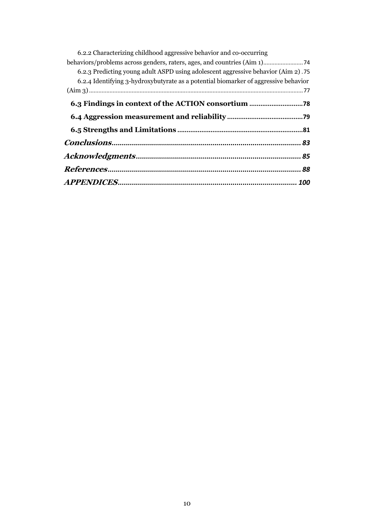| 6.2.2 Characterizing childhood aggressive behavior and co-occurring                 |
|-------------------------------------------------------------------------------------|
|                                                                                     |
| 6.2.3 Predicting young adult ASPD using adolescent aggressive behavior (Aim 2).75   |
| 6.2.4 Identifying 3-hydroxybutyrate as a potential biomarker of aggressive behavior |
|                                                                                     |
|                                                                                     |
|                                                                                     |
|                                                                                     |
|                                                                                     |
|                                                                                     |
|                                                                                     |
|                                                                                     |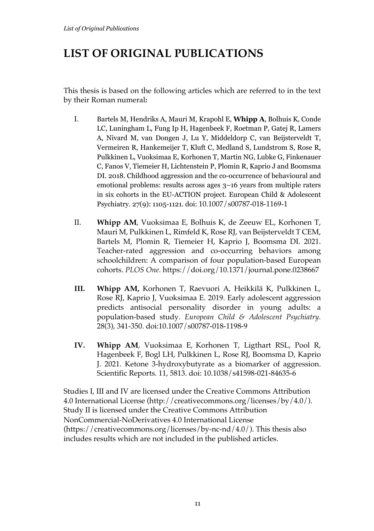# **LIST OF ORIGINAL PUBLICATIONS**

This thesis is based on the following articles which are referred to in the text by their Roman numeral**:** 

- I. Bartels M, Hendriks A, Mauri M, Krapohl E, **Whipp A**, Bolhuis K, Conde LC, Luningham L, Fung Ip H, Hagenbeek F, Roetman P, Gatej R, Lamers A, Nivard M, van Dongen J, Lu Y, Middeldorp C, van Beijsterveldt T, Vermeiren R, Hankemeijer T, Kluft C, Medland S, Lundstrom S, Rose R, Pulkkinen L, Vuoksimaa E, Korhonen T, Martin NG, Lubke G, Finkenauer C, Fanos V, Tiemeier H, Lichtenstein P, Plomin R, Kaprio J and Boomsma DI. 2018. Childhood aggression and the co-occurrence of behavioural and emotional problems: results across ages 3–16 years from multiple raters in six cohorts in the EU-ACTION project. European Child & Adolescent Psychiatry. 27(9): 1105-1121. doi: 10.1007/s00787-018-1169-1
- II. **Whipp AM**, Vuoksimaa E, Bolhuis K, de Zeeuw EL, Korhonen T, Mauri M, Pulkkinen L, Rimfeld K, Rose RJ, van Beijsterveldt T CEM, Bartels M, Plomin R, Tiemeier H, Kaprio J, Boomsma DI. 2021. Teacher-rated aggression and co-occurring behaviors among schoolchildren: A comparison of four population-based European cohorts. *PLOS One*. https://doi.org/10.1371/journal.pone.0238667
- **III. Whipp AM,** Korhonen T, Raevuori A, Heikkilä K, Pulkkinen L, Rose RJ, Kaprio J, Vuoksimaa E. 2019. Early adolescent aggression predicts antisocial personality disorder in young adults: a population-based study. *European Child & Adolescent Psychiatry.*  28(3), 341-350. doi:10.1007/s00787-018-1198-9
- **IV. Whipp AM**, Vuoksimaa E, Korhonen T, Ligthart RSL, Pool R, Hagenbeek F, Bogl LH, Pulkkinen L, Rose RJ, Boomsma D, Kaprio J. 2021. Ketone 3-hydroxybutyrate as a biomarker of aggression. Scientific Reports. 11, 5813. doi: 10.1038/s41598-021-84635-6

Studies I, III and IV are licensed under the Creative Commons Attribution 4.0 International License (http://creativecommons.org/licenses/by/4.0/). Study II is licensed under the Creative Commons Attribution NonCommercial-NoDerivatives 4.0 International License  $(\text{https://creativecommons.org/licenses/by-nc-nd/4.0/}).$  This thesis also includes results which are not included in the published articles.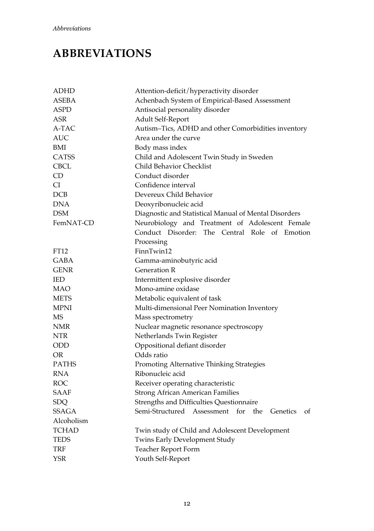# **ABBREVIATIONS**

| <b>ADHD</b>  | Attention-deficit/hyperactivity disorder                   |
|--------------|------------------------------------------------------------|
| <b>ASEBA</b> | Achenbach System of Empirical-Based Assessment             |
| <b>ASPD</b>  | Antisocial personality disorder                            |
| ASR          | Adult Self-Report                                          |
| A-TAC        | Autism-Tics, ADHD and other Comorbidities inventory        |
| <b>AUC</b>   | Area under the curve                                       |
| BMI          | Body mass index                                            |
| <b>CATSS</b> | Child and Adolescent Twin Study in Sweden                  |
| <b>CBCL</b>  | Child Behavior Checklist                                   |
| CD.          | Conduct disorder                                           |
| CI           | Confidence interval                                        |
| DCB          | Devereux Child Behavior                                    |
| <b>DNA</b>   | Deoxyribonucleic acid                                      |
| <b>DSM</b>   | Diagnostic and Statistical Manual of Mental Disorders      |
| FemNAT-CD    | Neurobiology and Treatment of Adolescent Female            |
|              | Conduct Disorder: The Central Role of Emotion              |
|              | Processing                                                 |
| FT12         | FinnTwin12                                                 |
| <b>GABA</b>  | Gamma-aminobutyric acid                                    |
| <b>GENR</b>  | <b>Generation R</b>                                        |
| IED          | Intermittent explosive disorder                            |
| MAO          | Mono-amine oxidase                                         |
| <b>METS</b>  | Metabolic equivalent of task                               |
| <b>MPNI</b>  | Multi-dimensional Peer Nomination Inventory                |
| MS           | Mass spectrometry                                          |
| NMR          | Nuclear magnetic resonance spectroscopy                    |
| NTR          | Netherlands Twin Register                                  |
| ODD          | Oppositional defiant disorder                              |
| OR           | Odds ratio                                                 |
| <b>PATHS</b> | Promoting Alternative Thinking Strategies                  |
| RNA          | Ribonucleic acid                                           |
| ROC          | Receiver operating characteristic                          |
| SAAF         | <b>Strong African American Families</b>                    |
| SDQ          | Strengths and Difficulties Questionnaire                   |
| SSAGA        | Semi-Structured Assessment<br>for<br>the<br>Genetics<br>оf |
| Alcoholism   |                                                            |
| TCHAD        | Twin study of Child and Adolescent Development             |
| <b>TEDS</b>  | Twins Early Development Study                              |
| TRF          | Teacher Report Form                                        |
| YSR          | Youth Self-Report                                          |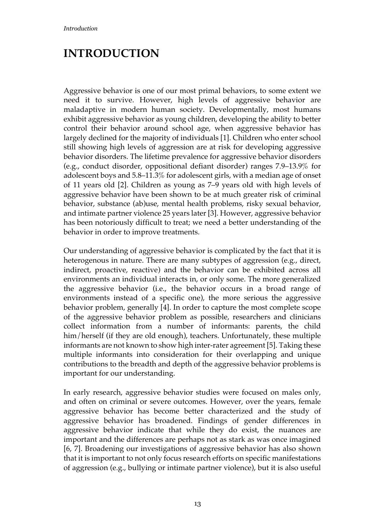# **INTRODUCTION**

Aggressive behavior is one of our most primal behaviors, to some extent we need it to survive. However, high levels of aggressive behavior are maladaptive in modern human society. Developmentally, most humans exhibit aggressive behavior as young children, developing the ability to better control their behavior around school age, when aggressive behavior has largely declined for the majority of individuals [1]. Children who enter school still showing high levels of aggression are at risk for developing aggressive behavior disorders. The lifetime prevalence for aggressive behavior disorders (e.g., conduct disorder, oppositional defiant disorder) ranges 7.9–13.9% for adolescent boys and 5.8–11.3% for adolescent girls, with a median age of onset of 11 years old [2]. Children as young as 7–9 years old with high levels of aggressive behavior have been shown to be at much greater risk of criminal behavior, substance (ab)use, mental health problems, risky sexual behavior, and intimate partner violence 25 years later [3]. However, aggressive behavior has been notoriously difficult to treat; we need a better understanding of the behavior in order to improve treatments.

Our understanding of aggressive behavior is complicated by the fact that it is heterogenous in nature. There are many subtypes of aggression (e.g., direct, indirect, proactive, reactive) and the behavior can be exhibited across all environments an individual interacts in, or only some. The more generalized the aggressive behavior (i.e., the behavior occurs in a broad range of environments instead of a specific one), the more serious the aggressive behavior problem, generally [4]. In order to capture the most complete scope of the aggressive behavior problem as possible, researchers and clinicians collect information from a number of informants: parents, the child him/herself (if they are old enough), teachers. Unfortunately, these multiple informants are not known to show high inter-rater agreement [5]. Taking these multiple informants into consideration for their overlapping and unique contributions to the breadth and depth of the aggressive behavior problems is important for our understanding.

In early research, aggressive behavior studies were focused on males only, and often on criminal or severe outcomes. However, over the years, female aggressive behavior has become better characterized and the study of aggressive behavior has broadened. Findings of gender differences in aggressive behavior indicate that while they do exist, the nuances are important and the differences are perhaps not as stark as was once imagined [6, 7]. Broadening our investigations of aggressive behavior has also shown that it is important to not only focus research efforts on specific manifestations of aggression (e.g., bullying or intimate partner violence), but it is also useful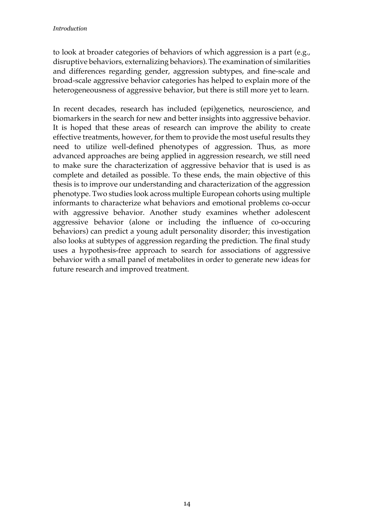to look at broader categories of behaviors of which aggression is a part (e.g., disruptive behaviors, externalizing behaviors). The examination of similarities and differences regarding gender, aggression subtypes, and fine-scale and broad-scale aggressive behavior categories has helped to explain more of the heterogeneousness of aggressive behavior, but there is still more yet to learn.

In recent decades, research has included (epi)genetics, neuroscience, and biomarkers in the search for new and better insights into aggressive behavior. It is hoped that these areas of research can improve the ability to create effective treatments, however, for them to provide the most useful results they need to utilize well-defined phenotypes of aggression. Thus, as more advanced approaches are being applied in aggression research, we still need to make sure the characterization of aggressive behavior that is used is as complete and detailed as possible. To these ends, the main objective of this thesis is to improve our understanding and characterization of the aggression phenotype. Two studies look across multiple European cohorts using multiple informants to characterize what behaviors and emotional problems co-occur with aggressive behavior. Another study examines whether adolescent aggressive behavior (alone or including the influence of co-occuring behaviors) can predict a young adult personality disorder; this investigation also looks at subtypes of aggression regarding the prediction. The final study uses a hypothesis-free approach to search for associations of aggressive behavior with a small panel of metabolites in order to generate new ideas for future research and improved treatment.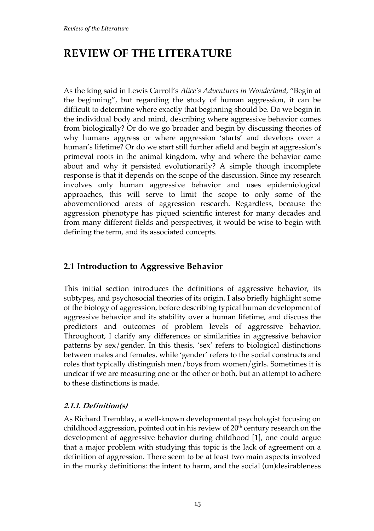# **REVIEW OF THE LITERATURE**

As the king said in Lewis Carroll's *Alice's Adventures in Wonderland*, "Begin at the beginning", but regarding the study of human aggression, it can be difficult to determine where exactly that beginning should be. Do we begin in the individual body and mind, describing where aggressive behavior comes from biologically? Or do we go broader and begin by discussing theories of why humans aggress or where aggression 'starts' and develops over a human's lifetime? Or do we start still further afield and begin at aggression's primeval roots in the animal kingdom, why and where the behavior came about and why it persisted evolutionarily? A simple though incomplete response is that it depends on the scope of the discussion. Since my research involves only human aggressive behavior and uses epidemiological approaches, this will serve to limit the scope to only some of the abovementioned areas of aggression research. Regardless, because the aggression phenotype has piqued scientific interest for many decades and from many different fields and perspectives, it would be wise to begin with defining the term, and its associated concepts.

### **2.1 Introduction to Aggressive Behavior**

This initial section introduces the definitions of aggressive behavior, its subtypes, and psychosocial theories of its origin. I also briefly highlight some of the biology of aggression, before describing typical human development of aggressive behavior and its stability over a human lifetime, and discuss the predictors and outcomes of problem levels of aggressive behavior. Throughout, I clarify any differences or similarities in aggressive behavior patterns by sex/gender. In this thesis, 'sex' refers to biological distinctions between males and females, while 'gender' refers to the social constructs and roles that typically distinguish men/boys from women/girls. Sometimes it is unclear if we are measuring one or the other or both, but an attempt to adhere to these distinctions is made.

#### **2.1.1. Definition(s)**

As Richard Tremblay, a well-known developmental psychologist focusing on childhood aggression, pointed out in his review of  $20<sup>th</sup>$  century research on the development of aggressive behavior during childhood [1], one could argue that a major problem with studying this topic is the lack of agreement on a definition of aggression. There seem to be at least two main aspects involved in the murky definitions: the intent to harm, and the social (un)desirableness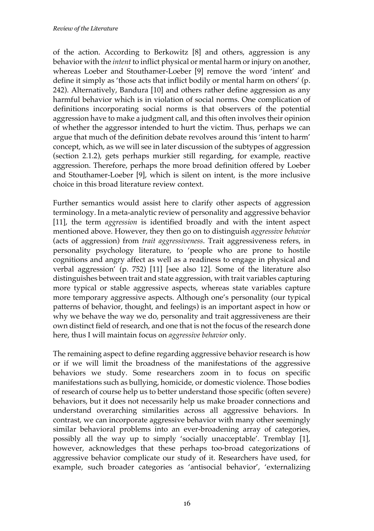of the action. According to Berkowitz [8] and others, aggression is any behavior with the *intent* to inflict physical or mental harm or injury on another, whereas Loeber and Stouthamer-Loeber [9] remove the word 'intent' and define it simply as 'those acts that inflict bodily or mental harm on others' (p. 242). Alternatively, Bandura [10] and others rather define aggression as any harmful behavior which is in violation of social norms. One complication of definitions incorporating social norms is that observers of the potential aggression have to make a judgment call, and this often involves their opinion of whether the aggressor intended to hurt the victim. Thus, perhaps we can argue that much of the definition debate revolves around this 'intent to harm' concept, which, as we will see in later discussion of the subtypes of aggression (section 2.1.2), gets perhaps murkier still regarding, for example, reactive aggression. Therefore, perhaps the more broad definition offered by Loeber and Stouthamer-Loeber [9], which is silent on intent, is the more inclusive choice in this broad literature review context.

Further semantics would assist here to clarify other aspects of aggression terminology. In a meta-analytic review of personality and aggressive behavior [11], the term *aggression* is identified broadly and with the intent aspect mentioned above. However, they then go on to distinguish *aggressive behavior* (acts of aggression) from *trait aggressiveness*. Trait aggressiveness refers, in personality psychology literature, to 'people who are prone to hostile cognitions and angry affect as well as a readiness to engage in physical and verbal aggression' (p. 752) [11] [see also 12]. Some of the literature also distinguishes between trait and state aggression, with trait variables capturing more typical or stable aggressive aspects, whereas state variables capture more temporary aggressive aspects. Although one's personality (our typical patterns of behavior, thought, and feelings) is an important aspect in how or why we behave the way we do, personality and trait aggressiveness are their own distinct field of research, and one that is not the focus of the research done here, thus I will maintain focus on *aggressive behavior* only.

The remaining aspect to define regarding aggressive behavior research is how or if we will limit the broadness of the manifestations of the aggressive behaviors we study. Some researchers zoom in to focus on specific manifestations such as bullying, homicide, or domestic violence. Those bodies of research of course help us to better understand those specific (often severe) behaviors, but it does not necessarily help us make broader connections and understand overarching similarities across all aggressive behaviors. In contrast, we can incorporate aggressive behavior with many other seemingly similar behavioral problems into an ever-broadening array of categories, possibly all the way up to simply 'socially unacceptable'. Tremblay [1], however, acknowledges that these perhaps too-broad categorizations of aggressive behavior complicate our study of it. Researchers have used, for example, such broader categories as 'antisocial behavior', 'externalizing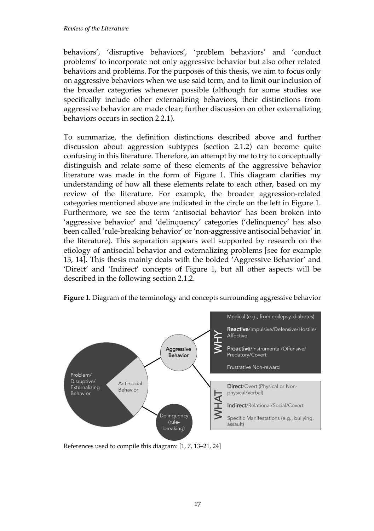behaviors', 'disruptive behaviors', 'problem behaviors' and 'conduct problems' to incorporate not only aggressive behavior but also other related behaviors and problems. For the purposes of this thesis, we aim to focus only on aggressive behaviors when we use said term, and to limit our inclusion of the broader categories whenever possible (although for some studies we specifically include other externalizing behaviors, their distinctions from aggressive behavior are made clear; further discussion on other externalizing behaviors occurs in section 2.2.1).

To summarize, the definition distinctions described above and further discussion about aggression subtypes (section 2.1.2) can become quite confusing in this literature. Therefore, an attempt by me to try to conceptually distinguish and relate some of these elements of the aggressive behavior literature was made in the form of Figure 1. This diagram clarifies my understanding of how all these elements relate to each other, based on my review of the literature. For example, the broader aggression-related categories mentioned above are indicated in the circle on the left in Figure 1. Furthermore, we see the term 'antisocial behavior' has been broken into 'aggressive behavior' and 'delinquency' categories ('delinquency' has also been called 'rule-breaking behavior' or 'non-aggressive antisocial behavior' in the literature). This separation appears well supported by research on the etiology of antisocial behavior and externalizing problems [see for example 13, 14]. This thesis mainly deals with the bolded 'Aggressive Behavior' and 'Direct' and 'Indirect' concepts of Figure 1, but all other aspects will be described in the following section 2.1.2.





References used to compile this diagram: [1, 7, 13–21, 24]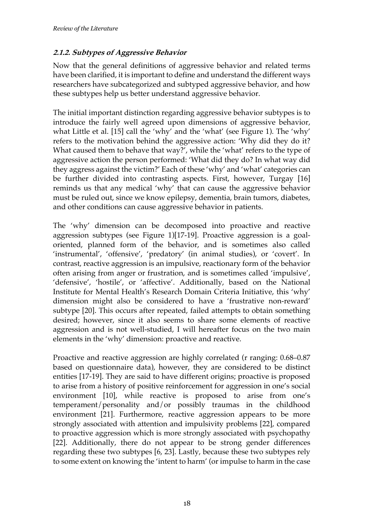#### **2.1.2. Subtypes of Aggressive Behavior**

Now that the general definitions of aggressive behavior and related terms have been clarified, it is important to define and understand the different ways researchers have subcategorized and subtyped aggressive behavior, and how these subtypes help us better understand aggressive behavior.

The initial important distinction regarding aggressive behavior subtypes is to introduce the fairly well agreed upon dimensions of aggressive behavior, what Little et al. [15] call the 'why' and the 'what' (see Figure 1). The 'why' refers to the motivation behind the aggressive action: 'Why did they do it? What caused them to behave that way?', while the 'what' refers to the type of aggressive action the person performed: 'What did they do? In what way did they aggress against the victim?' Each of these 'why' and 'what' categories can be further divided into contrasting aspects. First, however, Turgay [16] reminds us that any medical 'why' that can cause the aggressive behavior must be ruled out, since we know epilepsy, dementia, brain tumors, diabetes, and other conditions can cause aggressive behavior in patients.

The 'why' dimension can be decomposed into proactive and reactive aggression subtypes (see Figure 1)[17-19]. Proactive aggression is a goaloriented, planned form of the behavior, and is sometimes also called 'instrumental', 'offensive', 'predatory' (in animal studies), or 'covert'. In contrast, reactive aggression is an impulsive, reactionary form of the behavior often arising from anger or frustration, and is sometimes called 'impulsive', 'defensive', 'hostile', or 'affective'. Additionally, based on the National Institute for Mental Health's Research Domain Criteria Initiative, this 'why' dimension might also be considered to have a 'frustrative non-reward' subtype [20]. This occurs after repeated, failed attempts to obtain something desired; however, since it also seems to share some elements of reactive aggression and is not well-studied, I will hereafter focus on the two main elements in the 'why' dimension: proactive and reactive.

Proactive and reactive aggression are highly correlated (r ranging:  $0.68 - 0.87$ ) based on questionnaire data), however, they are considered to be distinct entities [17-19]. They are said to have different origins; proactive is proposed to arise from a history of positive reinforcement for aggression in one's social environment [10], while reactive is proposed to arise from one's temperament/personality and/or possibly traumas in the childhood environment [21]. Furthermore, reactive aggression appears to be more strongly associated with attention and impulsivity problems [22], compared to proactive aggression which is more strongly associated with psychopathy [22]. Additionally, there do not appear to be strong gender differences regarding these two subtypes [6, 23]. Lastly, because these two subtypes rely to some extent on knowing the 'intent to harm' (or impulse to harm in the case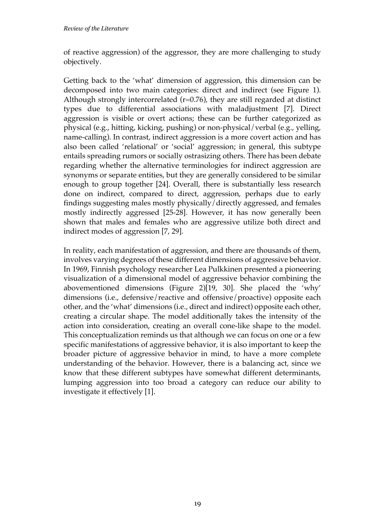of reactive aggression) of the aggressor, they are more challenging to study objectively.

Getting back to the 'what' dimension of aggression, this dimension can be decomposed into two main categories: direct and indirect (see Figure 1). Although strongly intercorrelated ( $r=0.76$ ), they are still regarded at distinct types due to differential associations with maladjustment [7]. Direct aggression is visible or overt actions; these can be further categorized as physical (e.g., hitting, kicking, pushing) or non-physical/verbal (e.g., yelling, name-calling). In contrast, indirect aggression is a more covert action and has also been called 'relational' or 'social' aggression; in general, this subtype entails spreading rumors or socially ostrasizing others. There has been debate regarding whether the alternative terminologies for indirect aggression are synonyms or separate entities, but they are generally considered to be similar enough to group together [24]. Overall, there is substantially less research done on indirect, compared to direct, aggression, perhaps due to early findings suggesting males mostly physically/directly aggressed, and females mostly indirectly aggressed [25-28]. However, it has now generally been shown that males and females who are aggressive utilize both direct and indirect modes of aggression [7, 29].

In reality, each manifestation of aggression, and there are thousands of them, involves varying degrees of these different dimensions of aggressive behavior. In 1969, Finnish psychology researcher Lea Pulkkinen presented a pioneering visualization of a dimensional model of aggressive behavior combining the abovementioned dimensions (Figure 2)[19, 30]. She placed the 'why' dimensions (i.e., defensive/reactive and offensive/proactive) opposite each other, and the 'what' dimensions (i.e., direct and indirect) opposite each other, creating a circular shape. The model additionally takes the intensity of the action into consideration, creating an overall cone-like shape to the model. This conceptualization reminds us that although we can focus on one or a few specific manifestations of aggressive behavior, it is also important to keep the broader picture of aggressive behavior in mind, to have a more complete understanding of the behavior. However, there is a balancing act, since we know that these different subtypes have somewhat different determinants, lumping aggression into too broad a category can reduce our ability to investigate it effectively [1].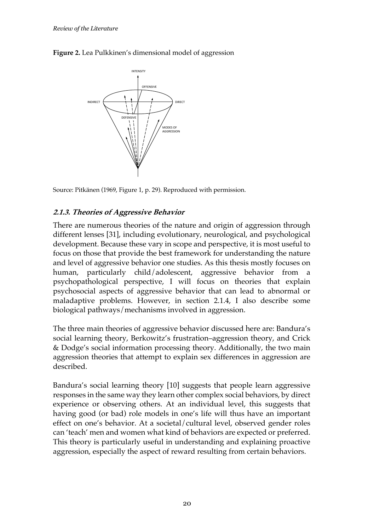



Source: Pitkänen (1969, Figure 1, p. 29). Reproduced with permission.

#### **2.1.3. Theories of Aggressive Behavior**

There are numerous theories of the nature and origin of aggression through different lenses [31], including evolutionary, neurological, and psychological development. Because these vary in scope and perspective, it is most useful to focus on those that provide the best framework for understanding the nature and level of aggressive behavior one studies. As this thesis mostly focuses on human, particularly child/adolescent, aggressive behavior from a psychopathological perspective, I will focus on theories that explain psychosocial aspects of aggressive behavior that can lead to abnormal or maladaptive problems. However, in section 2.1.4, I also describe some biological pathways/mechanisms involved in aggression.

The three main theories of aggressive behavior discussed here are: Bandura's social learning theory, Berkowitz's frustration–aggression theory, and Crick & Dodge's social information processing theory. Additionally, the two main aggression theories that attempt to explain sex differences in aggression are described.

Bandura's social learning theory [10] suggests that people learn aggressive responses in the same way they learn other complex social behaviors, by direct experience or observing others. At an individual level, this suggests that having good (or bad) role models in one's life will thus have an important effect on one's behavior. At a societal/cultural level, observed gender roles can 'teach' men and women what kind of behaviors are expected or preferred. This theory is particularly useful in understanding and explaining proactive aggression, especially the aspect of reward resulting from certain behaviors.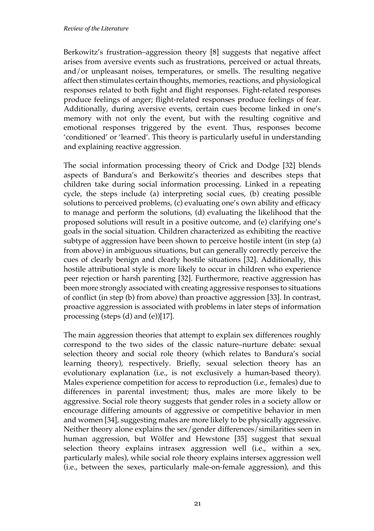Berkowitz's frustration–aggression theory [8] suggests that negative affect arises from aversive events such as frustrations, perceived or actual threats, and/or unpleasant noises, temperatures, or smells. The resulting negative affect then stimulates certain thoughts, memories, reactions, and physiological responses related to both fight and flight responses. Fight-related responses produce feelings of anger; flight-related responses produce feelings of fear. Additionally, during aversive events, certain cues become linked in one's memory with not only the event, but with the resulting cognitive and emotional responses triggered by the event. Thus, responses become 'conditioned' or 'learned'. This theory is particularly useful in understanding and explaining reactive aggression.

The social information processing theory of Crick and Dodge [32] blends aspects of Bandura's and Berkowitz's theories and describes steps that children take during social information processing. Linked in a repeating cycle, the steps include (a) interpreting social cues, (b) creating possible solutions to perceived problems, (c) evaluating one's own ability and efficacy to manage and perform the solutions, (d) evaluating the likelihood that the proposed solutions will result in a positive outcome, and (e) clarifying one's goals in the social situation. Children characterized as exhibiting the reactive subtype of aggression have been shown to perceive hostile intent (in step (a) from above) in ambiguous situations, but can generally correctly perceive the cues of clearly benign and clearly hostile situations [32]. Additionally, this hostile attributional style is more likely to occur in children who experience peer rejection or harsh parenting [32]. Furthermore, reactive aggression has been more strongly associated with creating aggressive responses to situations of conflict (in step (b) from above) than proactive aggression [33]. In contrast, proactive aggression is associated with problems in later steps of information processing (steps (d) and (e))[17].

The main aggression theories that attempt to explain sex differences roughly correspond to the two sides of the classic nature–nurture debate: sexual selection theory and social role theory (which relates to Bandura's social learning theory), respectively. Briefly, sexual selection theory has an evolutionary explanation (i.e., is not exclusively a human-based theory). Males experience competition for access to reproduction (i.e., females) due to differences in parental investment; thus, males are more likely to be aggressive. Social role theory suggests that gender roles in a society allow or encourage differing amounts of aggressive or competitive behavior in men and women [34], suggesting males are more likely to be physically aggressive. Neither theory alone explains the sex/gender differences/similarities seen in human aggression, but Wölfer and Hewstone [35] suggest that sexual selection theory explains intrasex aggression well (i.e., within a sex, particularly males), while social role theory explains intersex aggression well (i.e., between the sexes, particularly male-on-female aggression), and this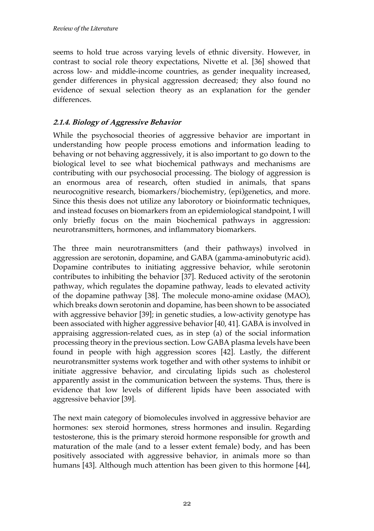seems to hold true across varying levels of ethnic diversity. However, in contrast to social role theory expectations, Nivette et al. [36] showed that across low- and middle-income countries, as gender inequality increased, gender differences in physical aggression decreased; they also found no evidence of sexual selection theory as an explanation for the gender differences.

### **2.1.4. Biology of Aggressive Behavior**

While the psychosocial theories of aggressive behavior are important in understanding how people process emotions and information leading to behaving or not behaving aggressively, it is also important to go down to the biological level to see what biochemical pathways and mechanisms are contributing with our psychosocial processing. The biology of aggression is an enormous area of research, often studied in animals, that spans neurocognitive research, biomarkers/biochemistry, (epi)genetics, and more. Since this thesis does not utilize any laborotory or bioinformatic techniques, and instead focuses on biomarkers from an epidemiological standpoint, I will only briefly focus on the main biochemical pathways in aggression: neurotransmitters, hormones, and inflammatory biomarkers.

The three main neurotransmitters (and their pathways) involved in aggression are serotonin, dopamine, and GABA (gamma-aminobutyric acid). Dopamine contributes to initiating aggressive behavior, while serotonin contributes to inhibiting the behavior [37]. Reduced activity of the serotonin pathway, which regulates the dopamine pathway, leads to elevated activity of the dopamine pathway [38]. The molecule mono-amine oxidase (MAO), which breaks down serotonin and dopamine, has been shown to be associated with aggressive behavior [39]; in genetic studies, a low-activity genotype has been associated with higher aggressive behavior [40, 41]. GABA is involved in appraising aggression-related cues, as in step (a) of the social information processing theory in the previous section. Low GABA plasma levels have been found in people with high aggression scores [42]. Lastly, the different neurotransmitter systems work together and with other systems to inhibit or initiate aggressive behavior, and circulating lipids such as cholesterol apparently assist in the communication between the systems. Thus, there is evidence that low levels of different lipids have been associated with aggressive behavior [39].

The next main category of biomolecules involved in aggressive behavior are hormones: sex steroid hormones, stress hormones and insulin. Regarding testosterone, this is the primary steroid hormone responsible for growth and maturation of the male (and to a lesser extent female) body, and has been positively associated with aggressive behavior, in animals more so than humans [43]. Although much attention has been given to this hormone [44],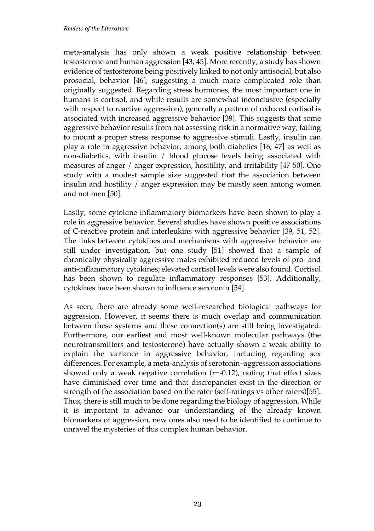meta-analysis has only shown a weak positive relationship between testosterone and human aggression [43, 45]. More recently, a study has shown evidence of testosterone being positively linked to not only antisocial, but also prosocial, behavior [46], suggesting a much more complicated role than originally suggested. Regarding stress hormones, the most important one in humans is cortisol, and while results are somewhat inconclusive (especially with respect to reactive aggression), generally a pattern of reduced cortisol is associated with increased aggressive behavior [39]. This suggests that some aggressive behavior results from not assessing risk in a normative way, failing to mount a proper stress response to aggressive stimuli. Lastly, insulin can play a role in aggressive behavior, among both diabetics [16, 47] as well as non-diabetics, with insulin / blood glucose levels being associated with measures of anger / anger expression, hositility, and irritability [47-50]. One study with a modest sample size suggested that the association between insulin and hostility / anger expression may be mostly seen among women and not men [50].

Lastly, some cytokine inflammatory biomarkers have been shown to play a role in aggressive behavior. Several studies have shown positive associations of C-reactive protein and interleukins with aggressive behavior [39, 51, 52]. The links between cytokines and mechanisms with aggressive behavior are still under investigation, but one study [51] showed that a sample of chronically physically aggressive males exhibited reduced levels of pro- and anti-inflammatory cytokines; elevated cortisol levels were also found. Cortisol has been shown to regulate inflammatory responses [53]. Additionally, cytokines have been shown to influence serotonin [54].

As seen, there are already some well-researched biological pathways for aggression. However, it seems there is much overlap and communication between these systems and these connection(s) are still being investigated. Furthermore, our earliest and most well-known molecular pathways (the neurotransmitters and testosterone) have actually shown a weak ability to explain the variance in aggressive behavior, including regarding sex differences. For example, a meta-analysis of serotonin–aggression associations showed only a weak negative correlation  $(r=0.12)$ , noting that effect sizes have diminished over time and that discrepancies exist in the direction or strength of the association based on the rater (self-ratings vs other raters)[55]. Thus, there is still much to be done regarding the biology of aggression. While it is important to advance our understanding of the already known biomarkers of aggression, new ones also need to be identified to continue to unravel the mysteries of this complex human behavior.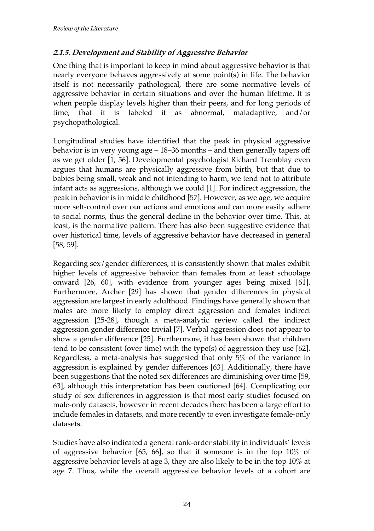#### **2.1.5. Development and Stability of Aggressive Behavior**

One thing that is important to keep in mind about aggressive behavior is that nearly everyone behaves aggressively at some point(s) in life. The behavior itself is not necessarily pathological, there are some normative levels of aggressive behavior in certain situations and over the human lifetime. It is when people display levels higher than their peers, and for long periods of time, that it is labeled it as abnormal, maladaptive, and/or psychopathological.

Longitudinal studies have identified that the peak in physical aggressive behavior is in very young age – 18–36 months – and then generally tapers off as we get older [1, 56]. Developmental psychologist Richard Tremblay even argues that humans are physically aggressive from birth, but that due to babies being small, weak and not intending to harm, we tend not to attribute infant acts as aggressions, although we could [1]. For indirect aggression, the peak in behavior is in middle childhood [57]. However, as we age, we acquire more self-control over our actions and emotions and can more easily adhere to social norms, thus the general decline in the behavior over time. This, at least, is the normative pattern. There has also been suggestive evidence that over historical time, levels of aggressive behavior have decreased in general [58, 59].

Regarding sex/gender differences, it is consistently shown that males exhibit higher levels of aggressive behavior than females from at least schoolage onward [26, 60], with evidence from younger ages being mixed [61]. Furthermore, Archer [29] has shown that gender differences in physical aggression are largest in early adulthood. Findings have generally shown that males are more likely to employ direct aggression and females indirect aggression [25-28], though a meta-analytic review called the indirect aggression gender difference trivial [7]. Verbal aggression does not appear to show a gender difference [25]. Furthermore, it has been shown that children tend to be consistent (over time) with the type(s) of aggression they use [62]. Regardless, a meta-analysis has suggested that only 5% of the variance in aggression is explained by gender differences [63]. Additionally, there have been suggestions that the noted sex differences are diminishing over time [59, 63], although this interpretation has been cautioned [64]. Complicating our study of sex differences in aggression is that most early studies focused on male-only datasets, however in recent decades there has been a large effort to include females in datasets, and more recently to even investigate female-only datasets.

Studies have also indicated a general rank-order stability in individuals' levels of aggressive behavior [65, 66], so that if someone is in the top 10% of aggressive behavior levels at age 3, they are also likely to be in the top 10% at age 7. Thus, while the overall aggressive behavior levels of a cohort are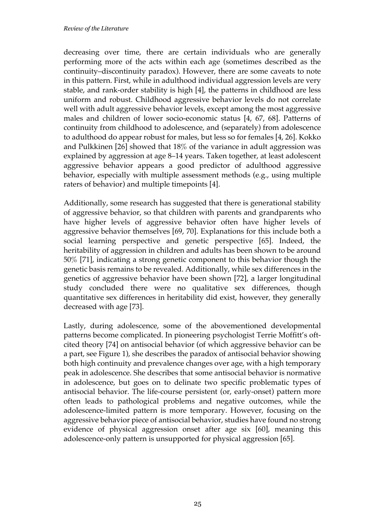decreasing over time, there are certain individuals who are generally performing more of the acts within each age (sometimes described as the continuity–discontinuity paradox). However, there are some caveats to note in this pattern. First, while in adulthood individual aggression levels are very stable, and rank-order stability is high [4], the patterns in childhood are less uniform and robust. Childhood aggressive behavior levels do not correlate well with adult aggressive behavior levels, except among the most aggressive males and children of lower socio-economic status [4, 67, 68]. Patterns of continuity from childhood to adolescence, and (separately) from adolescence to adulthood do appear robust for males, but less so for females [4, 26]. Kokko and Pulkkinen [26] showed that 18% of the variance in adult aggression was explained by aggression at age 8–14 years. Taken together, at least adolescent aggressive behavior appears a good predictor of adulthood aggressive behavior, especially with multiple assessment methods (e.g., using multiple raters of behavior) and multiple timepoints [4].

Additionally, some research has suggested that there is generational stability of aggressive behavior, so that children with parents and grandparents who have higher levels of aggressive behavior often have higher levels of aggressive behavior themselves [69, 70]. Explanations for this include both a social learning perspective and genetic perspective [65]. Indeed, the heritability of aggression in children and adults has been shown to be around 50% [71], indicating a strong genetic component to this behavior though the genetic basis remains to be revealed. Additionally, while sex differences in the genetics of aggressive behavior have been shown [72], a larger longitudinal study concluded there were no qualitative sex differences, though quantitative sex differences in heritability did exist, however, they generally decreased with age [73].

Lastly, during adolescence, some of the abovementioned developmental patterns become complicated. In pioneering psychologist Terrie Moffitt's oftcited theory [74] on antisocial behavior (of which aggressive behavior can be a part, see Figure 1), she describes the paradox of antisocial behavior showing both high continuity and prevalence changes over age, with a high temporary peak in adolescence. She describes that some antisocial behavior is normative in adolescence, but goes on to delinate two specific problematic types of antisocial behavior. The life-course persistent (or, early-onset) pattern more often leads to pathological problems and negative outcomes, while the adolescence-limited pattern is more temporary. However, focusing on the aggressive behavior piece of antisocial behavior, studies have found no strong evidence of physical aggression onset after age six [60], meaning this adolescence-only pattern is unsupported for physical aggression [65].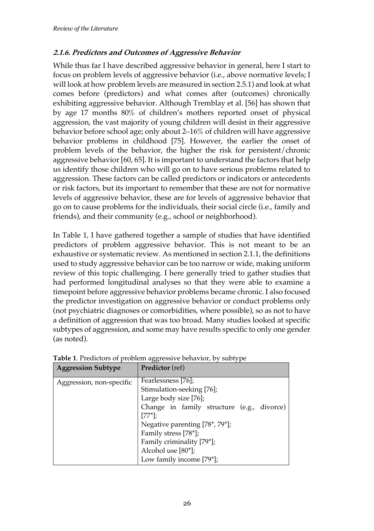### **2.1.6. Predictors and Outcomes of Aggressive Behavior**

While thus far I have described aggressive behavior in general, here I start to focus on problem levels of aggressive behavior (i.e., above normative levels; I will look at how problem levels are measured in section 2.5.1) and look at what comes before (predictors) and what comes after (outcomes) chronically exhibiting aggressive behavior. Although Tremblay et al. [56] has shown that by age 17 months 80% of children's mothers reported onset of physical aggression, the vast majority of young children will desist in their aggressive behavior before school age; only about 2–16% of children will have aggressive behavior problems in childhood [75]. However, the earlier the onset of problem levels of the behavior, the higher the risk for persistent/chronic aggressive behavior [60, 65]. It is important to understand the factors that help us identify those children who will go on to have serious problems related to aggression. These factors can be called predictors or indicators or antecedents or risk factors, but its important to remember that these are not for normative levels of aggressive behavior, these are for levels of aggressive behavior that go on to cause problems for the individuals, their social circle (i.e., family and friends), and their community (e.g., school or neighborhood).

In Table 1, I have gathered together a sample of studies that have identified predictors of problem aggressive behavior. This is not meant to be an exhaustive or systematic review. As mentioned in section 2.1.1, the definitions used to study aggressive behavior can be too narrow or wide, making uniform review of this topic challenging. I here generally tried to gather studies that had performed longitudinal analyses so that they were able to examine a timepoint before aggressive behavior problems became chronic. I also focused the predictor investigation on aggressive behavior or conduct problems only (not psychiatric diagnoses or comorbidities, where possible), so as not to have a definition of aggression that was too broad. Many studies looked at specific subtypes of aggression, and some may have results specific to only one gender (as noted).

| <b>Aggression Subtype</b> | <b>Predictor</b> (ref)                     |
|---------------------------|--------------------------------------------|
| Aggression, non-specific  | Fearlessness [76];                         |
|                           | Stimulation-seeking [76];                  |
|                           | Large body size [76];                      |
|                           | Change in family structure (e.g., divorce) |
|                           | $[77^*];$                                  |
|                           | Negative parenting [78*, 79*];             |
|                           | Family stress [78*];                       |
|                           | Family criminality [79*];                  |
|                           | Alcohol use [80*];                         |
|                           | Low family income [79*];                   |

**Table 1**. Predictors of problem aggressive behavior, by subtype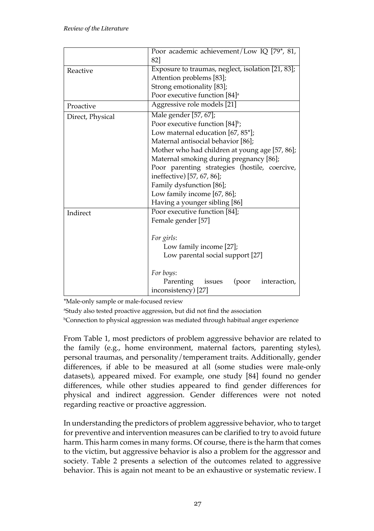|                  | Poor academic achievement/Low IQ [79*, 81,                                |
|------------------|---------------------------------------------------------------------------|
|                  | 821                                                                       |
| Reactive         | Exposure to traumas, neglect, isolation [21, 83];                         |
|                  | Attention problems [83];                                                  |
|                  | Strong emotionality [83];                                                 |
|                  | Poor executive function [84] <sup>a</sup>                                 |
| Proactive        | Aggressive role models [21]                                               |
| Direct, Physical | Male gender [57, 67];                                                     |
|                  | Poor executive function [84] <sup>b</sup> ;                               |
|                  | Low maternal education [67, 85*];                                         |
|                  | Maternal antisocial behavior [86];                                        |
|                  | Mother who had children at young age [57, 86];                            |
|                  | Maternal smoking during pregnancy [86];                                   |
|                  | Poor parenting strategies (hostile, coercive,                             |
|                  | ineffective) [57, 67, 86];                                                |
|                  | Family dysfunction [86];                                                  |
|                  | Low family income [67, 86];                                               |
|                  | Having a younger sibling [86]                                             |
| Indirect         | Poor executive function [84];                                             |
|                  | Female gender [57]                                                        |
|                  | For girls:<br>Low family income [27];<br>Low parental social support [27] |
|                  | For boys:                                                                 |
|                  | Parenting<br>issues<br>(poor<br>interaction,                              |
|                  | inconsistency) [27]                                                       |

\*Male-only sample or male-focused review

a Study also tested proactive aggression, but did not find the association

b Connection to physical aggression was mediated through habitual anger experience

From Table 1, most predictors of problem aggressive behavior are related to the family (e.g., home environment, maternal factors, parenting styles), personal traumas, and personality/temperament traits. Additionally, gender differences, if able to be measured at all (some studies were male-only datasets), appeared mixed. For example, one study [84] found no gender differences, while other studies appeared to find gender differences for physical and indirect aggression. Gender differences were not noted regarding reactive or proactive aggression.

In understanding the predictors of problem aggressive behavior, who to target for preventive and intervention measures can be clarified to try to avoid future harm. This harm comes in many forms. Of course, there is the harm that comes to the victim, but aggressive behavior is also a problem for the aggressor and society. Table 2 presents a selection of the outcomes related to aggressive behavior. This is again not meant to be an exhaustive or systematic review. I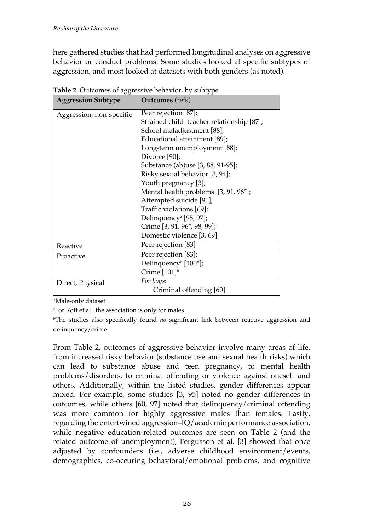here gathered studies that had performed longitudinal analyses on aggressive behavior or conduct problems. Some studies looked at specific subtypes of aggression, and most looked at datasets with both genders (as noted).

| <b>Aggression Subtype</b> | <b>Outcomes</b> (refs)                    |
|---------------------------|-------------------------------------------|
| Aggression, non-specific  | Peer rejection [87];                      |
|                           | Strained child-teacher relationship [87]; |
|                           | School maladjustment [88];                |
|                           | Educational attainment [89];              |
|                           | Long-term unemployment [88];              |
|                           | Divorce [90];                             |
|                           | Substance (ab)use [3, 88, 91-95];         |
|                           | Risky sexual behavior [3, 94];            |
|                           | Youth pregnancy [3];                      |
|                           | Mental health problems [3, 91, 96*];      |
|                           | Attempted suicide [91];                   |
|                           | Traffic violations [69];                  |
|                           | Delinquency <sup>a</sup> [95, 97];        |
|                           | Crime [3, 91, 96*, 98, 99];               |
|                           | Domestic violence [3, 69]                 |
| Reactive                  | Peer rejection [83]                       |
| Proactive                 | Peer rejection [83];                      |
|                           | Delinquency <sup>b</sup> [100*];          |
|                           | Crime [101] <sup>b</sup>                  |
| Direct, Physical          | For boys:                                 |
|                           | Criminal offending [60]                   |

**Table 2.** Outcomes of aggressive behavior, by subtype

\*Male-only dataset

a For Roff et al., the association is only for males

b The studies also specifically found *no* significant link between reactive aggression and delinquency/crime

From Table 2, outcomes of aggressive behavior involve many areas of life, from increased risky behavior (substance use and sexual health risks) which can lead to substance abuse and teen pregnancy, to mental health problems/disorders, to criminal offending or violence against oneself and others. Additionally, within the listed studies, gender differences appear mixed. For example, some studies [3, 95] noted no gender differences in outcomes, while others [60, 97] noted that delinquency/criminal offending was more common for highly aggressive males than females. Lastly, regarding the entertwined aggression–IQ/academic performance association, while negative education-related outcomes are seen on Table 2 (and the related outcome of unemployment), Fergusson et al. [3] showed that once adjusted by confounders (i.e., adverse childhood environment/events, demographics, co-occuring behavioral/emotional problems, and cognitive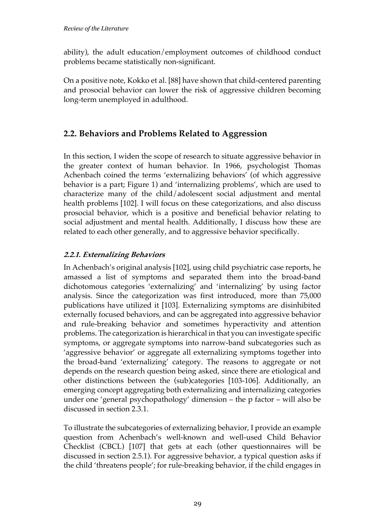ability), the adult education/employment outcomes of childhood conduct problems became statistically non-significant.

On a positive note, Kokko et al. [88] have shown that child-centered parenting and prosocial behavior can lower the risk of aggressive children becoming long-term unemployed in adulthood.

## **2.2. Behaviors and Problems Related to Aggression**

In this section, I widen the scope of research to situate aggressive behavior in the greater context of human behavior. In 1966, psychologist Thomas Achenbach coined the terms 'externalizing behaviors' (of which aggressive behavior is a part; Figure 1) and 'internalizing problems', which are used to characterize many of the child/adolescent social adjustment and mental health problems [102]. I will focus on these categorizations, and also discuss prosocial behavior, which is a positive and beneficial behavior relating to social adjustment and mental health. Additionally, I discuss how these are related to each other generally, and to aggressive behavior specifically.

### **2.2.1. Externalizing Behaviors**

In Achenbach's original analysis [102], using child psychiatric case reports, he amassed a list of symptoms and separated them into the broad-band dichotomous categories 'externalizing' and 'internalizing' by using factor analysis. Since the categorization was first introduced, more than 75,000 publications have utilized it [103]. Externalizing symptoms are disinhibited externally focused behaviors, and can be aggregated into aggressive behavior and rule-breaking behavior and sometimes hyperactivity and attention problems. The categorization is hierarchical in that you can investigate specific symptoms, or aggregate symptoms into narrow-band subcategories such as 'aggressive behavior' or aggregate all externalizing symptoms together into the broad-band 'externalizing' category. The reasons to aggregate or not depends on the research question being asked, since there are etiological and other distinctions between the (sub)categories [103-106]. Additionally, an emerging concept aggregating both externalizing and internalizing categories under one 'general psychopathology' dimension – the p factor – will also be discussed in section 2.3.1.

To illustrate the subcategories of externalizing behavior, I provide an example question from Achenbach's well-known and well-used Child Behavior Checklist (CBCL) [107] that gets at each (other questionnaires will be discussed in section 2.5.1). For aggressive behavior, a typical question asks if the child 'threatens people'; for rule-breaking behavior, if the child engages in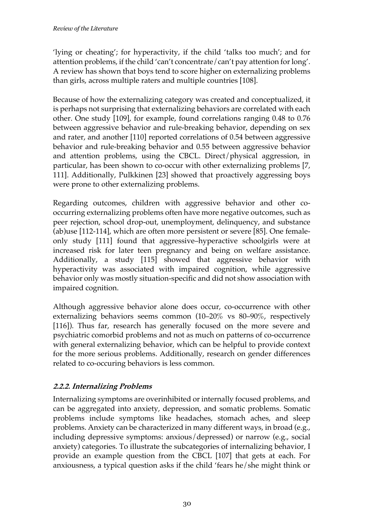'lying or cheating'; for hyperactivity, if the child 'talks too much'; and for attention problems, if the child 'can't concentrate/can't pay attention for long'. A review has shown that boys tend to score higher on externalizing problems than girls, across multiple raters and multiple countries [108].

Because of how the externalizing category was created and conceptualized, it is perhaps not surprising that externalizing behaviors are correlated with each other. One study [109], for example, found correlations ranging 0.48 to 0.76 between aggressive behavior and rule-breaking behavior, depending on sex and rater, and another [110] reported correlations of 0.54 between aggressive behavior and rule-breaking behavior and 0.55 between aggressive behavior and attention problems, using the CBCL. Direct/physical aggression, in particular, has been shown to co-occur with other externalizing problems [7, 111]. Additionally, Pulkkinen [23] showed that proactively aggressing boys were prone to other externalizing problems.

Regarding outcomes, children with aggressive behavior and other cooccurring externalizing problems often have more negative outcomes, such as peer rejection, school drop-out, unemployment, delinquency, and substance (ab)use [112-114], which are often more persistent or severe [85]. One femaleonly study [111] found that aggressive–hyperactive schoolgirls were at increased risk for later teen pregnancy and being on welfare assistance. Additionally, a study [115] showed that aggressive behavior with hyperactivity was associated with impaired cognition, while aggressive behavior only was mostly situation-specific and did not show association with impaired cognition.

Although aggressive behavior alone does occur, co-occurrence with other externalizing behaviors seems common (10–20% vs 80–90%, respectively [116]). Thus far, research has generally focused on the more severe and psychiatric comorbid problems and not as much on patterns of co-occurrence with general externalizing behavior, which can be helpful to provide context for the more serious problems. Additionally, research on gender differences related to co-occuring behaviors is less common.

### **2.2.2. Internalizing Problems**

Internalizing symptoms are overinhibited or internally focused problems, and can be aggregated into anxiety, depression, and somatic problems. Somatic problems include symptoms like headaches, stomach aches, and sleep problems. Anxiety can be characterized in many different ways, in broad (e.g., including depressive symptoms: anxious/depressed) or narrow (e.g., social anxiety) categories. To illustrate the subcategories of internalizing behavior, I provide an example question from the CBCL [107] that gets at each. For anxiousness, a typical question asks if the child 'fears he/she might think or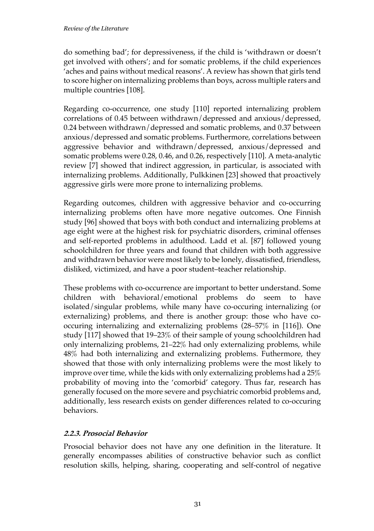#### *Review of the Literature*

do something bad'; for depressiveness, if the child is 'withdrawn or doesn't get involved with others'; and for somatic problems, if the child experiences 'aches and pains without medical reasons'. A review has shown that girls tend to score higher on internalizing problems than boys, across multiple raters and multiple countries [108].

Regarding co-occurrence, one study [110] reported internalizing problem correlations of 0.45 between withdrawn/depressed and anxious/depressed, 0.24 between withdrawn/depressed and somatic problems, and 0.37 between anxious/depressed and somatic problems. Furthermore, correlations between aggressive behavior and withdrawn/depressed, anxious/depressed and somatic problems were 0.28, 0.46, and 0.26, respectively [110]. A meta-analytic review [7] showed that indirect aggression, in particular, is associated with internalizing problems. Additionally, Pulkkinen [23] showed that proactively aggressive girls were more prone to internalizing problems.

Regarding outcomes, children with aggressive behavior and co-occurring internalizing problems often have more negative outcomes. One Finnish study [96] showed that boys with both conduct and internalizing problems at age eight were at the highest risk for psychiatric disorders, criminal offenses and self-reported problems in adulthood. Ladd et al. [87] followed young schoolchildren for three years and found that children with both aggressive and withdrawn behavior were most likely to be lonely, dissatisfied, friendless, disliked, victimized, and have a poor student–teacher relationship.

These problems with co-occurrence are important to better understand. Some children with behavioral/emotional problems do seem to have isolated/singular problems, while many have co-occuring internalizing (or externalizing) problems, and there is another group: those who have cooccuring internalizing and externalizing problems (28–57% in [116]). One study [117] showed that 19–23% of their sample of young schoolchildren had only internalizing problems, 21–22% had only externalizing problems, while 48% had both internalizing and externalizing problems. Futhermore, they showed that those with only internalizing problems were the most likely to improve over time, while the kids with only externalizing problems had a 25% probability of moving into the 'comorbid' category. Thus far, research has generally focused on the more severe and psychiatric comorbid problems and, additionally, less research exists on gender differences related to co-occuring behaviors.

### **2.2.3. Prosocial Behavior**

Prosocial behavior does not have any one definition in the literature. It generally encompasses abilities of constructive behavior such as conflict resolution skills, helping, sharing, cooperating and self-control of negative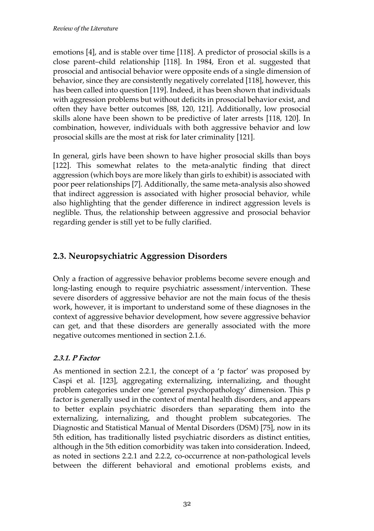emotions [4], and is stable over time [118]. A predictor of prosocial skills is a close parent–child relationship [118]. In 1984, Eron et al. suggested that prosocial and antisocial behavior were opposite ends of a single dimension of behavior, since they are consistently negatively correlated [118], however, this has been called into question [119]. Indeed, it has been shown that individuals with aggression problems but without deficits in prosocial behavior exist, and often they have better outcomes [88, 120, 121]. Additionally, low prosocial skills alone have been shown to be predictive of later arrests [118, 120]. In combination, however, individuals with both aggressive behavior and low prosocial skills are the most at risk for later criminality [121].

In general, girls have been shown to have higher prosocial skills than boys [122]. This somewhat relates to the meta-analytic finding that direct aggression (which boys are more likely than girls to exhibit) is associated with poor peer relationships [7]. Additionally, the same meta-analysis also showed that indirect aggression is associated with higher prosocial behavior, while also highlighting that the gender difference in indirect aggression levels is neglible. Thus, the relationship between aggressive and prosocial behavior regarding gender is still yet to be fully clarified.

## **2.3. Neuropsychiatric Aggression Disorders**

Only a fraction of aggressive behavior problems become severe enough and long-lasting enough to require psychiatric assessment/intervention. These severe disorders of aggressive behavior are not the main focus of the thesis work, however, it is important to understand some of these diagnoses in the context of aggressive behavior development, how severe aggressive behavior can get, and that these disorders are generally associated with the more negative outcomes mentioned in section 2.1.6.

### **2.3.1. P Factor**

As mentioned in section 2.2.1, the concept of a 'p factor' was proposed by Caspi et al. [123], aggregating externalizing, internalizing, and thought problem categories under one 'general psychopathology' dimension. This p factor is generally used in the context of mental health disorders, and appears to better explain psychiatric disorders than separating them into the externalizing, internalizing, and thought problem subcategories. The Diagnostic and Statistical Manual of Mental Disorders (DSM) [75], now in its 5th edition, has traditionally listed psychiatric disorders as distinct entities, although in the 5th edition comorbidity was taken into consideration. Indeed, as noted in sections 2.2.1 and 2.2.2, co-occurrence at non-pathological levels between the different behavioral and emotional problems exists, and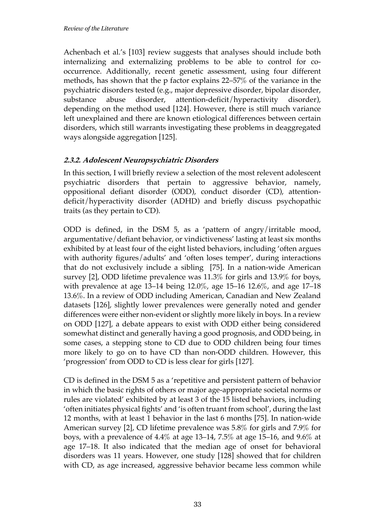Achenbach et al.'s [103] review suggests that analyses should include both internalizing and externalizing problems to be able to control for cooccurrence. Additionally, recent genetic assessment, using four different methods, has shown that the p factor explains 22–57% of the variance in the psychiatric disorders tested (e.g., major depressive disorder, bipolar disorder, substance abuse disorder, attention-deficit/hyperactivity disorder), depending on the method used [124]. However, there is still much variance left unexplained and there are known etiological differences between certain disorders, which still warrants investigating these problems in deaggregated ways alongside aggregation [125].

### **2.3.2. Adolescent Neuropsychiatric Disorders**

In this section, I will briefly review a selection of the most relevent adolescent psychiatric disorders that pertain to aggressive behavior, namely, oppositional defiant disorder (ODD), conduct disorder (CD), attentiondeficit/hyperactivity disorder (ADHD) and briefly discuss psychopathic traits (as they pertain to CD).

ODD is defined, in the DSM 5, as a 'pattern of angry/irritable mood, argumentative/defiant behavior, or vindictiveness' lasting at least six months exhibited by at least four of the eight listed behaviors, including 'often argues with authority figures/adults' and 'often loses temper', during interactions that do not exclusively include a sibling [75]. In a nation-wide American survey [2], ODD lifetime prevalence was 11.3% for girls and 13.9% for boys, with prevalence at age 13–14 being 12.0%, age 15–16 12.6%, and age 17–18 13.6%. In a review of ODD including American, Canadian and New Zealand datasets [126], slightly lower prevalences were generally noted and gender differences were either non-evident or slightly more likely in boys. In a review on ODD [127], a debate appears to exist with ODD either being considered somewhat distinct and generally having a good prognosis, and ODD being, in some cases, a stepping stone to CD due to ODD children being four times more likely to go on to have CD than non-ODD children. However, this 'progression' from ODD to CD is less clear for girls [127].

CD is defined in the DSM 5 as a 'repetitive and persistent pattern of behavior in which the basic rights of others or major age-appropriate societal norms or rules are violated' exhibited by at least 3 of the 15 listed behaviors, including 'often initiates physical fights' and 'is often truant from school', during the last 12 months, with at least 1 behavior in the last 6 months [75]. In nation-wide American survey [2], CD lifetime prevalence was 5.8% for girls and 7.9% for boys, with a prevalence of 4.4% at age 13–14, 7.5% at age 15–16, and 9.6% at age 17–18. It also indicated that the median age of onset for behavioral disorders was 11 years. However, one study [128] showed that for children with CD, as age increased, aggressive behavior became less common while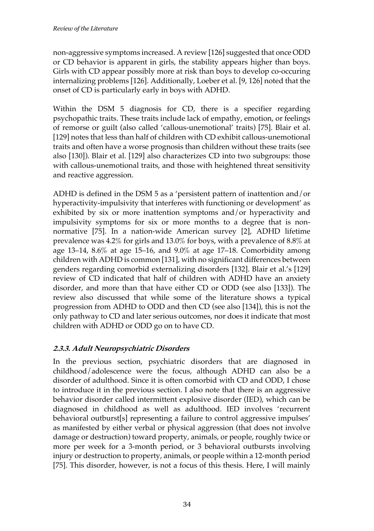non-aggressive symptoms increased. A review [126] suggested that once ODD or CD behavior is apparent in girls, the stability appears higher than boys. Girls with CD appear possibly more at risk than boys to develop co-occuring internalizing problems [126]. Additionally, Loeber et al. [9, 126] noted that the onset of CD is particularly early in boys with ADHD.

Within the DSM 5 diagnosis for CD, there is a specifier regarding psychopathic traits. These traits include lack of empathy, emotion, or feelings of remorse or guilt (also called 'callous-unemotional' traits) [75]. Blair et al. [129] notes that less than half of children with CD exhibit callous-unemotional traits and often have a worse prognosis than children without these traits (see also [130]). Blair et al. [129] also characterizes CD into two subgroups: those with callous-unemotional traits, and those with heightened threat sensitivity and reactive aggression.

ADHD is defined in the DSM 5 as a 'persistent pattern of inattention and/or hyperactivity-impulsivity that interferes with functioning or development' as exhibited by six or more inattention symptoms and/or hyperactivity and impulsivity symptoms for six or more months to a degree that is nonnormative [75]. In a nation-wide American survey [2], ADHD lifetime prevalence was 4.2% for girls and 13.0% for boys, with a prevalence of 8.8% at age 13–14, 8.6% at age 15–16, and 9.0% at age 17–18. Comorbidity among children with ADHD is common [131], with no significant differences between genders regarding comorbid externalizing disorders [132]. Blair et al.'s [129] review of CD indicated that half of children with ADHD have an anxiety disorder, and more than that have either CD or ODD (see also [133]). The review also discussed that while some of the literature shows a typical progression from ADHD to ODD and then CD (see also [134]), this is not the only pathway to CD and later serious outcomes, nor does it indicate that most children with ADHD or ODD go on to have CD.

### **2.3.3. Adult Neuropsychiatric Disorders**

In the previous section, psychiatric disorders that are diagnosed in childhood/adolescence were the focus, although ADHD can also be a disorder of adulthood. Since it is often comorbid with CD and ODD, I chose to introduce it in the previous section. I also note that there is an aggressive behavior disorder called intermittent explosive disorder (IED), which can be diagnosed in childhood as well as adulthood. IED involves 'recurrent behavioral outburst[s] representing a failure to control aggressive impulses' as manifested by either verbal or physical aggression (that does not involve damage or destruction) toward property, animals, or people, roughly twice or more per week for a 3-month period, or 3 behavioral outbursts involving injury or destruction to property, animals, or people within a 12-month period [75]. This disorder, however, is not a focus of this thesis. Here, I will mainly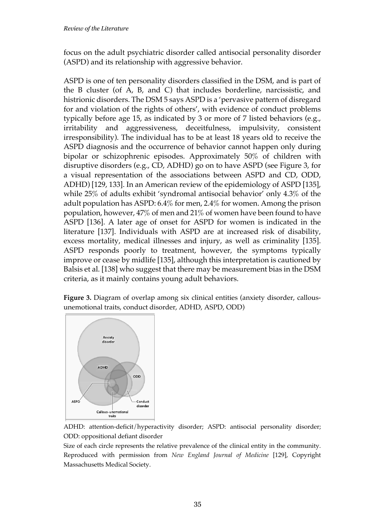focus on the adult psychiatric disorder called antisocial personality disorder (ASPD) and its relationship with aggressive behavior.

ASPD is one of ten personality disorders classified in the DSM, and is part of the B cluster (of A, B, and C) that includes borderline, narcissistic, and histrionic disorders. The DSM 5 says ASPD is a 'pervasive pattern of disregard for and violation of the rights of others', with evidence of conduct problems typically before age 15, as indicated by 3 or more of 7 listed behaviors (e.g., irritability and aggressiveness, deceitfulness, impulsivity, consistent irresponsibility). The individual has to be at least 18 years old to receive the ASPD diagnosis and the occurrence of behavior cannot happen only during bipolar or schizophrenic episodes. Approximately 50% of children with disruptive disorders (e.g., CD, ADHD) go on to have ASPD (see Figure 3, for a visual representation of the associations between ASPD and CD, ODD, ADHD) [129, 133]. In an American review of the epidemiology of ASPD [135], while 25% of adults exhibit 'syndromal antisocial behavior' only 4.3% of the adult population has ASPD: 6.4% for men, 2.4% for women. Among the prison population, however, 47% of men and 21% of women have been found to have ASPD [136]. A later age of onset for ASPD for women is indicated in the literature [137]. Individuals with ASPD are at increased risk of disability, excess mortality, medical illnesses and injury, as well as criminality [135]. ASPD responds poorly to treatment, however, the symptoms typically improve or cease by midlife [135], although this interpretation is cautioned by Balsis et al. [138] who suggest that there may be measurement bias in the DSM criteria, as it mainly contains young adult behaviors.

**Figure 3.** Diagram of overlap among six clinical entities (anxiety disorder, callousunemotional traits, conduct disorder, ADHD, ASPD, ODD)



ADHD: attention-deficit/hyperactivity disorder; ASPD: antisocial personality disorder; ODD: oppositional defiant disorder

Size of each circle represents the relative prevalence of the clinical entity in the community. Reproduced with permission from *New England Journal of Medicine* [129], Copyright Massachusetts Medical Society.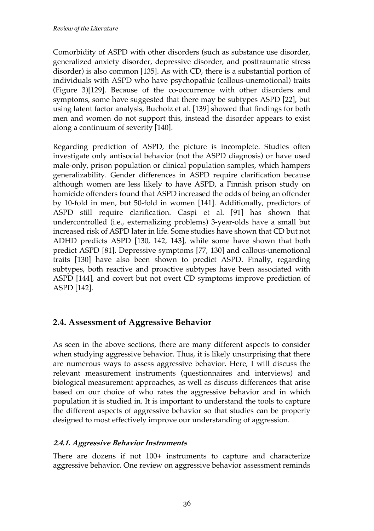Comorbidity of ASPD with other disorders (such as substance use disorder, generalized anxiety disorder, depressive disorder, and posttraumatic stress disorder) is also common [135]. As with CD, there is a substantial portion of individuals with ASPD who have psychopathic (callous-unemotional) traits (Figure 3)[129]. Because of the co-occurrence with other disorders and symptoms, some have suggested that there may be subtypes ASPD [22], but using latent factor analysis, Bucholz et al. [139] showed that findings for both men and women do not support this, instead the disorder appears to exist along a continuum of severity [140].

Regarding prediction of ASPD, the picture is incomplete. Studies often investigate only antisocial behavior (not the ASPD diagnosis) or have used male-only, prison population or clinical population samples, which hampers generalizability. Gender differences in ASPD require clarification because although women are less likely to have ASPD, a Finnish prison study on homicide offenders found that ASPD increased the odds of being an offender by 10-fold in men, but 50-fold in women [141]. Additionally, predictors of ASPD still require clarification. Caspi et al. [91] has shown that undercontrolled (i.e., externalizing problems) 3-year-olds have a small but increased risk of ASPD later in life. Some studies have shown that CD but not ADHD predicts ASPD [130, 142, 143], while some have shown that both predict ASPD [81]. Depressive symptoms [77, 130] and callous-unemotional traits [130] have also been shown to predict ASPD. Finally, regarding subtypes, both reactive and proactive subtypes have been associated with ASPD [144], and covert but not overt CD symptoms improve prediction of ASPD [142].

## **2.4. Assessment of Aggressive Behavior**

As seen in the above sections, there are many different aspects to consider when studying aggressive behavior. Thus, it is likely unsurprising that there are numerous ways to assess aggressive behavior. Here, I will discuss the relevant measurement instruments (questionnaires and interviews) and biological measurement approaches, as well as discuss differences that arise based on our choice of who rates the aggressive behavior and in which population it is studied in. It is important to understand the tools to capture the different aspects of aggressive behavior so that studies can be properly designed to most effectively improve our understanding of aggression.

### **2.4.1. Aggressive Behavior Instruments**

There are dozens if not 100+ instruments to capture and characterize aggressive behavior. One review on aggressive behavior assessment reminds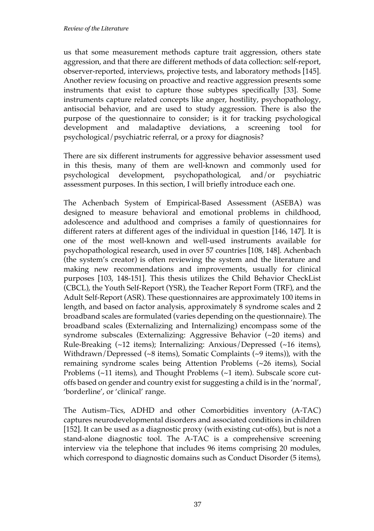us that some measurement methods capture trait aggression, others state aggression, and that there are different methods of data collection: self-report, observer-reported, interviews, projective tests, and laboratory methods [145]. Another review focusing on proactive and reactive aggression presents some instruments that exist to capture those subtypes specifically [33]. Some instruments capture related concepts like anger, hostility, psychopathology, antisocial behavior, and are used to study aggression. There is also the purpose of the questionnaire to consider; is it for tracking psychological development and maladaptive deviations, a screening tool for psychological/psychiatric referral, or a proxy for diagnosis?

There are six different instruments for aggressive behavior assessment used in this thesis, many of them are well-known and commonly used for psychological development, psychopathological, and/or psychiatric assessment purposes. In this section, I will briefly introduce each one.

The Achenbach System of Empirical-Based Assessment (ASEBA) was designed to measure behavioral and emotional problems in childhood, adolescence and adulthood and comprises a family of questionnaires for different raters at different ages of the individual in question [146, 147]. It is one of the most well-known and well-used instruments available for psychopathological research, used in over 57 countries [108, 148]. Achenbach (the system's creator) is often reviewing the system and the literature and making new recommendations and improvements, usually for clinical purposes [103, 148-151]. This thesis utilizes the Child Behavior CheckList (CBCL), the Youth Self-Report (YSR), the Teacher Report Form (TRF), and the Adult Self-Report (ASR). These questionnaires are approximately 100 items in length, and based on factor analysis, approximately 8 syndrome scales and 2 broadband scales are formulated (varies depending on the questionnaire). The broadband scales (Externalizing and Internalizing) encompass some of the syndrome subscales (Externalizing: Aggressive Behavior (~20 items) and Rule-Breaking (~12 items); Internalizing: Anxious/Depressed (~16 items), Withdrawn/Depressed (~8 items), Somatic Complaints (~9 items)), with the remaining syndrome scales being Attention Problems (~26 items), Social Problems (~11 items), and Thought Problems (~1 item). Subscale score cutoffs based on gender and country exist for suggesting a child is in the 'normal', 'borderline', or 'clinical' range.

The Autism–Tics, ADHD and other Comorbidities inventory (A-TAC) captures neurodevelopmental disorders and associated conditions in children [152]. It can be used as a diagnostic proxy (with existing cut-offs), but is not a stand-alone diagnostic tool. The A-TAC is a comprehensive screening interview via the telephone that includes 96 items comprising 20 modules, which correspond to diagnostic domains such as Conduct Disorder (5 items),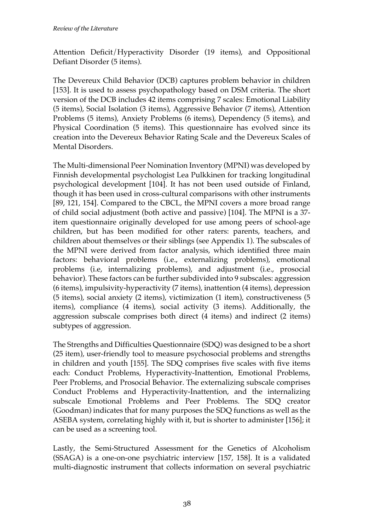Attention Deficit/Hyperactivity Disorder (19 items), and Oppositional Defiant Disorder (5 items).

The Devereux Child Behavior (DCB) captures problem behavior in children [153]. It is used to assess psychopathology based on DSM criteria. The short version of the DCB includes 42 items comprising 7 scales: Emotional Liability (5 items), Social Isolation (3 items), Aggressive Behavior (7 items), Attention Problems (5 items), Anxiety Problems (6 items), Dependency (5 items), and Physical Coordination (5 items). This questionnaire has evolved since its creation into the Devereux Behavior Rating Scale and the Devereux Scales of Mental Disorders.

The Multi-dimensional Peer Nomination Inventory (MPNI) was developed by Finnish developmental psychologist Lea Pulkkinen for tracking longitudinal psychological development [104]. It has not been used outside of Finland, though it has been used in cross-cultural comparisons with other instruments [89, 121, 154]. Compared to the CBCL, the MPNI covers a more broad range of child social adjustment (both active and passive) [104]. The MPNI is a 37 item questionnaire originally developed for use among peers of school-age children, but has been modified for other raters: parents, teachers, and children about themselves or their siblings (see Appendix 1). The subscales of the MPNI were derived from factor analysis, which identified three main factors: behavioral problems (i.e., externalizing problems), emotional problems (i.e, internalizing problems), and adjustment (i.e., prosocial behavior). These factors can be further subdivided into 9 subscales: aggression (6 items), impulsivity-hyperactivity (7 items), inattention (4 items), depression (5 items), social anxiety (2 items), victimization (1 item), constructiveness (5 items), compliance (4 items), social activity (3 items). Additionally, the aggression subscale comprises both direct (4 items) and indirect (2 items) subtypes of aggression.

The Strengths and Difficulties Questionnaire (SDQ) was designed to be a short (25 item), user-friendly tool to measure psychosocial problems and strengths in children and youth [155]. The SDQ comprises five scales with five items each: Conduct Problems, Hyperactivity-Inattention, Emotional Problems, Peer Problems, and Prosocial Behavior. The externalizing subscale comprises Conduct Problems and Hyperactivity-Inattention, and the internalizing subscale Emotional Problems and Peer Problems. The SDQ creator (Goodman) indicates that for many purposes the SDQ functions as well as the ASEBA system, correlating highly with it, but is shorter to administer [156]; it can be used as a screening tool.

Lastly, the Semi-Structured Assessment for the Genetics of Alcoholism (SSAGA) is a one-on-one psychiatric interview [157, 158]. It is a validated multi-diagnostic instrument that collects information on several psychiatric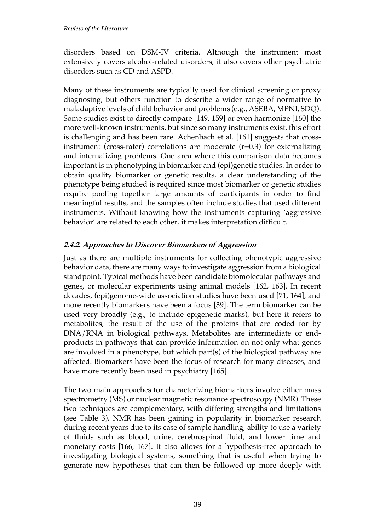disorders based on DSM-IV criteria. Although the instrument most extensively covers alcohol-related disorders, it also covers other psychiatric disorders such as CD and ASPD.

Many of these instruments are typically used for clinical screening or proxy diagnosing, but others function to describe a wider range of normative to maladaptive levels of child behavior and problems (e.g., ASEBA, MPNI, SDQ). Some studies exist to directly compare [149, 159] or even harmonize [160] the more well-known instruments, but since so many instruments exist, this effort is challenging and has been rare. Achenbach et al. [161] suggests that crossinstrument (cross-rater) correlations are moderate  $(r=0.3)$  for externalizing and internalizing problems. One area where this comparison data becomes important is in phenotyping in biomarker and (epi)genetic studies. In order to obtain quality biomarker or genetic results, a clear understanding of the phenotype being studied is required since most biomarker or genetic studies require pooling together large amounts of participants in order to find meaningful results, and the samples often include studies that used different instruments. Without knowing how the instruments capturing 'aggressive behavior' are related to each other, it makes interpretation difficult.

#### **2.4.2. Approaches to Discover Biomarkers of Aggression**

Just as there are multiple instruments for collecting phenotypic aggressive behavior data, there are many ways to investigate aggression from a biological standpoint. Typical methods have been candidate biomolecular pathways and genes, or molecular experiments using animal models [162, 163]. In recent decades, (epi)genome-wide association studies have been used [71, 164], and more recently biomarkers have been a focus [39]. The term biomarker can be used very broadly (e.g., to include epigenetic marks), but here it refers to metabolites, the result of the use of the proteins that are coded for by DNA/RNA in biological pathways. Metabolites are intermediate or endproducts in pathways that can provide information on not only what genes are involved in a phenotype, but which part(s) of the biological pathway are affected. Biomarkers have been the focus of research for many diseases, and have more recently been used in psychiatry [165].

The two main approaches for characterizing biomarkers involve either mass spectrometry (MS) or nuclear magnetic resonance spectroscopy (NMR). These two techniques are complementary, with differing strengths and limitations (see Table 3). NMR has been gaining in popularity in biomarker research during recent years due to its ease of sample handling, ability to use a variety of fluids such as blood, urine, cerebrospinal fluid, and lower time and monetary costs [166, 167]. It also allows for a hypothesis-free approach to investigating biological systems, something that is useful when trying to generate new hypotheses that can then be followed up more deeply with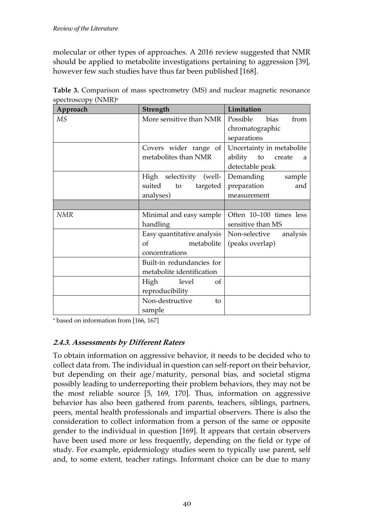molecular or other types of approaches. A 2016 review suggested that NMR should be applied to metabolite investigations pertaining to aggression [39], however few such studies have thus far been published [168].

| Approach   | Strength                   | Limitation                      |  |
|------------|----------------------------|---------------------------------|--|
| МS         | More sensitive than NMR    | Possible<br><b>bias</b><br>from |  |
|            |                            | chromatographic                 |  |
|            |                            | separations                     |  |
|            | Covers wider range of      | Uncertainty in metabolite       |  |
|            | metabolites than NMR       | ability<br>to<br>create<br>a    |  |
|            |                            | detectable peak                 |  |
|            | High selectivity<br>(well- | Demanding<br>sample             |  |
|            | suited<br>targeted<br>to   | preparation<br>and              |  |
|            | analyses)                  | measurement                     |  |
|            |                            |                                 |  |
| <b>NMR</b> | Minimal and easy sample    | Often 10–100 times less         |  |
|            | handling                   | sensitive than MS               |  |
|            | Easy quantitative analysis | Non-selective<br>analysis       |  |
|            | metabolite<br>of           | (peaks overlap)                 |  |
|            | concentrations             |                                 |  |
|            | Built-in redundancies for  |                                 |  |
|            | metabolite identification  |                                 |  |
|            | High<br>level<br>οf        |                                 |  |
|            | reproducibility            |                                 |  |
|            | Non-destructive<br>to      |                                 |  |
|            | sample                     |                                 |  |

**Table 3.** Comparison of mass spectrometry (MS) and nuclear magnetic resonance spectroscopy (NMR)<sup>a</sup>

a based on information from [166, 167]

#### **2.4.3. Assessments by Different Raters**

To obtain information on aggressive behavior, it needs to be decided who to collect data from. The individual in question can self-report on their behavior, but depending on their age/maturity, personal bias, and societal stigma possibly leading to underreporting their problem behaviors, they may not be the most reliable source [5, 169, 170]. Thus, information on aggressive behavior has also been gathered from parents, teachers, siblings, partners, peers, mental health professionals and impartial observers. There is also the consideration to collect information from a person of the same or opposite gender to the individual in question [169]. It appears that certain observers have been used more or less frequently, depending on the field or type of study. For example, epidemiology studies seem to typically use parent, self and, to some extent, teacher ratings. Informant choice can be due to many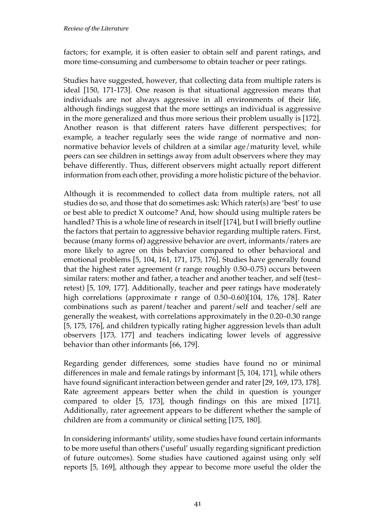factors; for example, it is often easier to obtain self and parent ratings, and more time-consuming and cumbersome to obtain teacher or peer ratings.

Studies have suggested, however, that collecting data from multiple raters is ideal [150, 171-173]. One reason is that situational aggression means that individuals are not always aggressive in all environments of their life, although findings suggest that the more settings an individual is aggressive in the more generalized and thus more serious their problem usually is [172]. Another reason is that different raters have different perspectives; for example, a teacher regularly sees the wide range of normative and nonnormative behavior levels of children at a similar age/maturity level, while peers can see children in settings away from adult observers where they may behave differently. Thus, different observers might actually report different information from each other, providing a more holistic picture of the behavior.

Although it is recommended to collect data from multiple raters, not all studies do so, and those that do sometimes ask: Which rater(s) are 'best' to use or best able to predict X outcome? And, how should using multiple raters be handled? This is a whole line of research in itself [174], but I will briefly outline the factors that pertain to aggressive behavior regarding multiple raters. First, because (many forms of) aggressive behavior are overt, informants/raters are more likely to agree on this behavior compared to other behavioral and emotional problems [5, 104, 161, 171, 175, 176]. Studies have generally found that the highest rater agreement (r range roughly 0.50–0.75) occurs between similar raters: mother and father, a teacher and another teacher, and self (test– retest) [5, 109, 177]. Additionally, teacher and peer ratings have moderately high correlations (approximate r range of 0.50–0.60)[104, 176, 178]. Rater combinations such as parent/teacher and parent/self and teacher/self are generally the weakest, with correlations approximately in the 0.20–0.30 range [5, 175, 176], and children typically rating higher aggression levels than adult observers [173, 177] and teachers indicating lower levels of aggressive behavior than other informants [66, 179].

Regarding gender differences, some studies have found no or minimal differences in male and female ratings by informant [5, 104, 171], while others have found significant interaction between gender and rater [29, 169, 173, 178]. Rate agreement appears better when the child in question is younger compared to older [5, 173], though findings on this are mixed [171]. Additionally, rater agreement appears to be different whether the sample of children are from a community or clinical setting [175, 180].

In considering informants' utility, some studies have found certain informants to be more useful than others ('useful' usually regarding significant prediction of future outcomes). Some studies have cautioned against using only self reports [5, 169], although they appear to become more useful the older the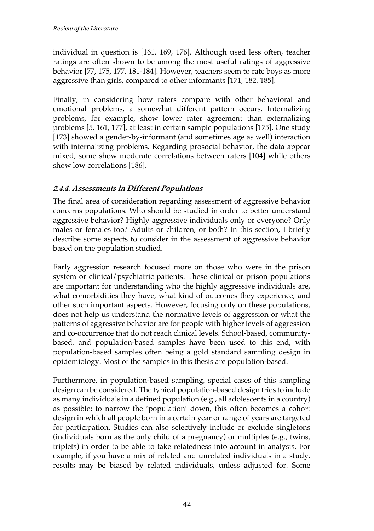individual in question is [161, 169, 176]. Although used less often, teacher ratings are often shown to be among the most useful ratings of aggressive behavior [77, 175, 177, 181-184]. However, teachers seem to rate boys as more aggressive than girls, compared to other informants [171, 182, 185].

Finally, in considering how raters compare with other behavioral and emotional problems, a somewhat different pattern occurs. Internalizing problems, for example, show lower rater agreement than externalizing problems [5, 161, 177], at least in certain sample populations [175]. One study [173] showed a gender-by-informant (and sometimes age as well) interaction with internalizing problems. Regarding prosocial behavior, the data appear mixed, some show moderate correlations between raters [104] while others show low correlations [186].

#### **2.4.4. Assessments in Different Populations**

The final area of consideration regarding assessment of aggressive behavior concerns populations. Who should be studied in order to better understand aggressive behavior? Highly aggressive individuals only or everyone? Only males or females too? Adults or children, or both? In this section, I briefly describe some aspects to consider in the assessment of aggressive behavior based on the population studied.

Early aggression research focused more on those who were in the prison system or clinical/psychiatric patients. These clinical or prison populations are important for understanding who the highly aggressive individuals are, what comorbidities they have, what kind of outcomes they experience, and other such important aspects. However, focusing only on these populations, does not help us understand the normative levels of aggression or what the patterns of aggressive behavior are for people with higher levels of aggression and co-occurrence that do not reach clinical levels. School-based, communitybased, and population-based samples have been used to this end, with population-based samples often being a gold standard sampling design in epidemiology. Most of the samples in this thesis are population-based.

Furthermore, in population-based sampling, special cases of this sampling design can be considered. The typical population-based design tries to include as many individuals in a defined population (e.g., all adolescents in a country) as possible; to narrow the 'population' down, this often becomes a cohort design in which all people born in a certain year or range of years are targeted for participation. Studies can also selectively include or exclude singletons (individuals born as the only child of a pregnancy) or multiples (e.g., twins, triplets) in order to be able to take relatedness into account in analysis. For example, if you have a mix of related and unrelated individuals in a study, results may be biased by related individuals, unless adjusted for. Some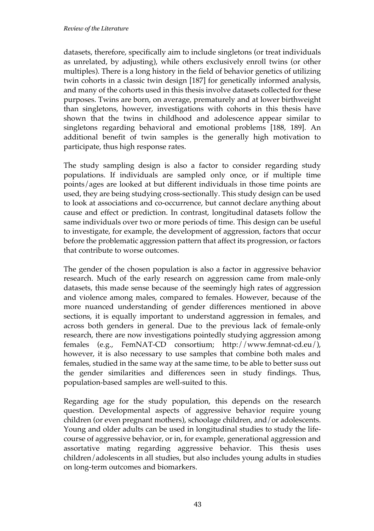datasets, therefore, specifically aim to include singletons (or treat individuals as unrelated, by adjusting), while others exclusively enroll twins (or other multiples). There is a long history in the field of behavior genetics of utilizing twin cohorts in a classic twin design [187] for genetically informed analysis, and many of the cohorts used in this thesis involve datasets collected for these purposes. Twins are born, on average, prematurely and at lower birthweight than singletons, however, investigations with cohorts in this thesis have shown that the twins in childhood and adolescence appear similar to singletons regarding behavioral and emotional problems [188, 189]. An additional benefit of twin samples is the generally high motivation to participate, thus high response rates.

The study sampling design is also a factor to consider regarding study populations. If individuals are sampled only once, or if multiple time points/ages are looked at but different individuals in those time points are used, they are being studying cross-sectionally. This study design can be used to look at associations and co-occurrence, but cannot declare anything about cause and effect or prediction. In contrast, longitudinal datasets follow the same individuals over two or more periods of time. This design can be useful to investigate, for example, the development of aggression, factors that occur before the problematic aggression pattern that affect its progression, or factors that contribute to worse outcomes.

The gender of the chosen population is also a factor in aggressive behavior research. Much of the early research on aggression came from male-only datasets, this made sense because of the seemingly high rates of aggression and violence among males, compared to females. However, because of the more nuanced understanding of gender differences mentioned in above sections, it is equally important to understand aggression in females, and across both genders in general. Due to the previous lack of female-only research, there are now investigations pointedly studying aggression among females (e.g., FemNAT-CD consortium; http://www.femnat-cd.eu/), however, it is also necessary to use samples that combine both males and females, studied in the same way at the same time, to be able to better suss out the gender similarities and differences seen in study findings. Thus, population-based samples are well-suited to this.

Regarding age for the study population, this depends on the research question. Developmental aspects of aggressive behavior require young children (or even pregnant mothers), schoolage children, and/or adolescents. Young and older adults can be used in longitudinal studies to study the lifecourse of aggressive behavior, or in, for example, generational aggression and assortative mating regarding aggressive behavior. This thesis uses children/adolescents in all studies, but also includes young adults in studies on long-term outcomes and biomarkers.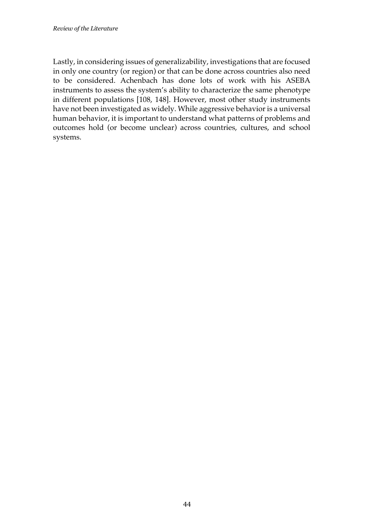Lastly, in considering issues of generalizability, investigations that are focused in only one country (or region) or that can be done across countries also need to be considered. Achenbach has done lots of work with his ASEBA instruments to assess the system's ability to characterize the same phenotype in different populations [108, 148]. However, most other study instruments have not been investigated as widely. While aggressive behavior is a universal human behavior, it is important to understand what patterns of problems and outcomes hold (or become unclear) across countries, cultures, and school systems.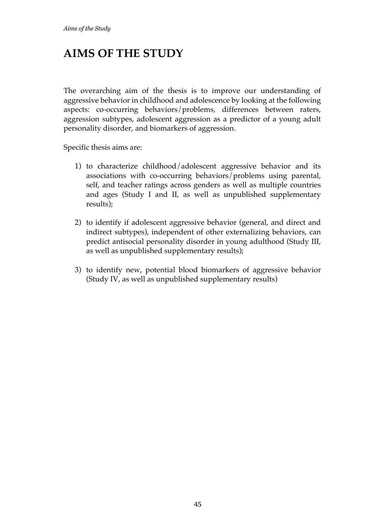## **AIMS OF THE STUDY**

The overarching aim of the thesis is to improve our understanding of aggressive behavior in childhood and adolescence by looking at the following aspects: co-occurring behaviors/problems, differences between raters, aggression subtypes, adolescent aggression as a predictor of a young adult personality disorder, and biomarkers of aggression.

Specific thesis aims are:

- 1) to characterize childhood/adolescent aggressive behavior and its associations with co-occurring behaviors/problems using parental, self, and teacher ratings across genders as well as multiple countries and ages (Study I and II, as well as unpublished supplementary results);
- 2) to identify if adolescent aggressive behavior (general, and direct and indirect subtypes), independent of other externalizing behaviors, can predict antisocial personality disorder in young adulthood (Study III, as well as unpublished supplementary results);
- 3) to identify new, potential blood biomarkers of aggressive behavior (Study IV, as well as unpublished supplementary results)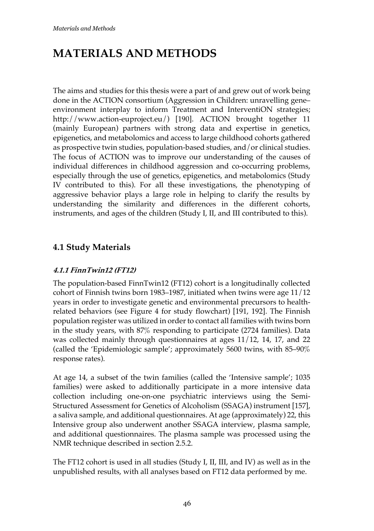# **MATERIALS AND METHODS**

The aims and studies for this thesis were a part of and grew out of work being done in the ACTION consortium (Aggression in Children: unravelling gene– environment interplay to inform Treatment and InterventiON strategies; http://www.action-euproject.eu/) [190]. ACTION brought together 11 (mainly European) partners with strong data and expertise in genetics, epigenetics, and metabolomics and access to large childhood cohorts gathered as prospective twin studies, population-based studies, and/or clinical studies. The focus of ACTION was to improve our understanding of the causes of individual differences in childhood aggression and co-occurring problems, especially through the use of genetics, epigenetics, and metabolomics (Study IV contributed to this). For all these investigations, the phenotyping of aggressive behavior plays a large role in helping to clarify the results by understanding the similarity and differences in the different cohorts, instruments, and ages of the children (Study I, II, and III contributed to this).

## **4.1 Study Materials**

#### **4.1.1 FinnTwin12 (FT12)**

The population-based FinnTwin12 (FT12) cohort is a longitudinally collected cohort of Finnish twins born 1983–1987, initiated when twins were age 11/12 years in order to investigate genetic and environmental precursors to healthrelated behaviors (see Figure 4 for study flowchart) [191, 192]. The Finnish population register was utilized in order to contact all families with twins born in the study years, with 87% responding to participate (2724 families). Data was collected mainly through questionnaires at ages 11/12, 14, 17, and 22 (called the 'Epidemiologic sample'; approximately 5600 twins, with 85–90% response rates).

At age 14, a subset of the twin families (called the 'Intensive sample'; 1035 families) were asked to additionally participate in a more intensive data collection including one-on-one psychiatric interviews using the Semi-Structured Assessment for Genetics of Alcoholism (SSAGA) instrument [157], a saliva sample, and additional questionnaires. At age (approximately) 22, this Intensive group also underwent another SSAGA interview, plasma sample, and additional questionnaires. The plasma sample was processed using the NMR technique described in section 2.5.2.

The FT12 cohort is used in all studies (Study I, II, III, and IV) as well as in the unpublished results, with all analyses based on FT12 data performed by me.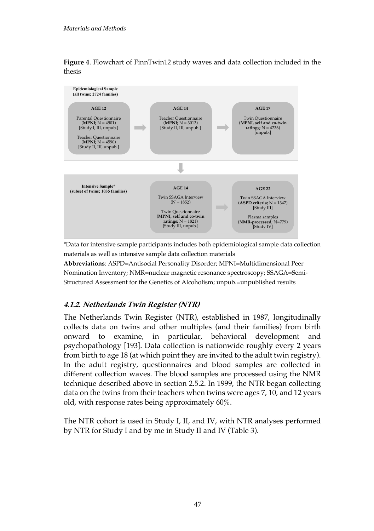**Figure 4**. Flowchart of FinnTwin12 study waves and data collection included in the thesis



\*Data for intensive sample participants includes both epidemiological sample data collection materials as well as intensive sample data collection materials

**Abbreviations**: ASPD=Antisocial Personality Disorder; MPNI=Multidimensional Peer Nomination Inventory; NMR=nuclear magnetic resonance spectroscopy; SSAGA=Semi-Structured Assessment for the Genetics of Alcoholism; unpub.=unpublished results

#### **4.1.2. Netherlands Twin Register (NTR)**

The Netherlands Twin Register (NTR), established in 1987, longitudinally collects data on twins and other multiples (and their families) from birth onward to examine, in particular, behavioral development and psychopathology [193]. Data collection is nationwide roughly every 2 years from birth to age 18 (at which point they are invited to the adult twin registry). In the adult registry, questionnaires and blood samples are collected in different collection waves. The blood samples are processed using the NMR technique described above in section 2.5.2. In 1999, the NTR began collecting data on the twins from their teachers when twins were ages 7, 10, and 12 years old, with response rates being approximately 60%.

The NTR cohort is used in Study I, II, and IV, with NTR analyses performed by NTR for Study I and by me in Study II and IV (Table 3).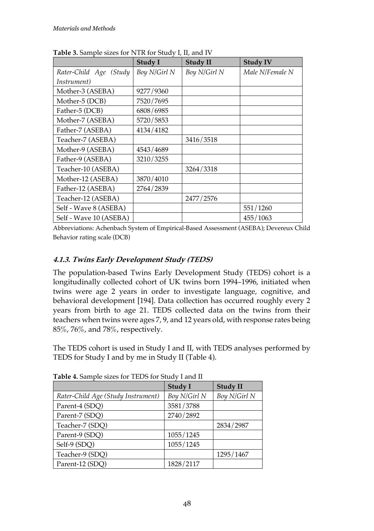|                        | Study I      | <b>Study II</b> | <b>Study IV</b> |
|------------------------|--------------|-----------------|-----------------|
| Rater-Child Age (Study | Boy N/Girl N | Boy N/Girl N    | Male N/Female N |
| <i>Instrument</i> )    |              |                 |                 |
| Mother-3 (ASEBA)       | 9277/9360    |                 |                 |
| Mother-5 (DCB)         | 7520/7695    |                 |                 |
| Father-5 (DCB)         | 6808/6985    |                 |                 |
| Mother-7 (ASEBA)       | 5720/5853    |                 |                 |
| Father-7 (ASEBA)       | 4134/4182    |                 |                 |
| Teacher-7 (ASEBA)      |              | 3416/3518       |                 |
| Mother-9 (ASEBA)       | 4543/4689    |                 |                 |
| Father-9 (ASEBA)       | 3210/3255    |                 |                 |
| Teacher-10 (ASEBA)     |              | 3264/3318       |                 |
| Mother-12 (ASEBA)      | 3870/4010    |                 |                 |
| Father-12 (ASEBA)      | 2764/2839    |                 |                 |
| Teacher-12 (ASEBA)     |              | 2477/2576       |                 |
| Self - Wave 8 (ASEBA)  |              |                 | 551/1260        |
| Self - Wave 10 (ASEBA) |              |                 | 455/1063        |

**Table 3.** Sample sizes for NTR for Study I, II, and IV

Abbreviations: Achenbach System of Empirical-Based Assessment (ASEBA); Devereux Child Behavior rating scale (DCB)

#### **4.1.3. Twins Early Development Study (TEDS)**

The population-based Twins Early Development Study (TEDS) cohort is a longitudinally collected cohort of UK twins born 1994–1996, initiated when twins were age 2 years in order to investigate language, cognitive, and behavioral development [194]. Data collection has occurred roughly every 2 years from birth to age 21. TEDS collected data on the twins from their teachers when twins were ages 7, 9, and 12 years old, with response rates being 85%, 76%, and 78%, respectively.

The TEDS cohort is used in Study I and II, with TEDS analyses performed by TEDS for Study I and by me in Study II (Table 4).

|                                    | Study I      | <b>Study II</b> |
|------------------------------------|--------------|-----------------|
| Rater-Child Age (Study Instrument) | Boy N/Girl N | Boy N/Girl N    |
| Parent-4 (SDQ)                     | 3581/3788    |                 |
| Parent-7 (SDQ)                     | 2740/2892    |                 |
| Teacher-7 (SDQ)                    |              | 2834/2987       |
| Parent-9 (SDQ)                     | 1055/1245    |                 |
| Self-9 (SDQ)                       | 1055/1245    |                 |
| Teacher-9 (SDQ)                    |              | 1295/1467       |
| Parent-12 (SDQ)                    | 1828/2117    |                 |

**Table 4.** Sample sizes for TEDS for Study I and II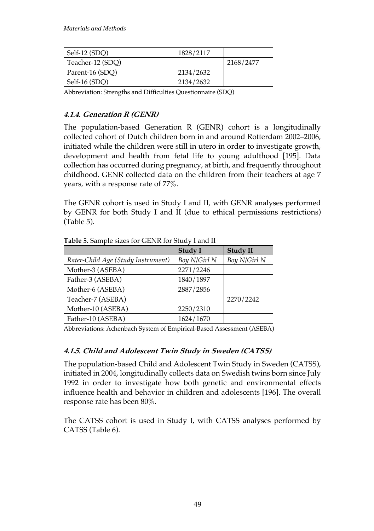| Self-12 (SDO)    | 1828/2117 |           |
|------------------|-----------|-----------|
| Teacher-12 (SDQ) |           | 2168/2477 |
| Parent-16 (SDO)  | 2134/2632 |           |
| Self-16 (SDO)    | 2134/2632 |           |

Abbreviation: Strengths and Difficulties Questionnaire (SDQ)

#### **4.1.4. Generation R (GENR)**

The population-based Generation R (GENR) cohort is a longitudinally collected cohort of Dutch children born in and around Rotterdam 2002–2006, initiated while the children were still in utero in order to investigate growth, development and health from fetal life to young adulthood [195]. Data collection has occurred during pregnancy, at birth, and frequently throughout childhood. GENR collected data on the children from their teachers at age 7 years, with a response rate of 77%.

The GENR cohort is used in Study I and II, with GENR analyses performed by GENR for both Study I and II (due to ethical permissions restrictions) (Table 5).

| <b>I able 5.</b> Salilple sizes for GETVK for Study I and II |                |                 |
|--------------------------------------------------------------|----------------|-----------------|
|                                                              | <b>Study I</b> | <b>Study II</b> |
| Rater-Child Age (Study Instrument)                           | Boy N/Girl N   | Boy N/Girl N    |
| Mother-3 (ASEBA)                                             | 2271/2246      |                 |
| Father-3 (ASEBA)                                             | 1840/1897      |                 |
| Mother-6 (ASEBA)                                             | 2887/2856      |                 |
| Teacher-7 (ASEBA)                                            |                | 2270/2242       |
| Mother-10 (ASEBA)                                            | 2250/2310      |                 |
| Father-10 (ASEBA)                                            | 1624/1670      |                 |

**Table 5.** Sample sizes for GENR for Study I and II

Abbreviations: Achenbach System of Empirical-Based Assessment (ASEBA)

#### **4.1.5. Child and Adolescent Twin Study in Sweden (CATSS)**

The population-based Child and Adolescent Twin Study in Sweden (CATSS), initiated in 2004, longitudinally collects data on Swedish twins born since July 1992 in order to investigate how both genetic and environmental effects influence health and behavior in children and adolescents [196]. The overall response rate has been 80%.

The CATSS cohort is used in Study I, with CATSS analyses performed by CATSS (Table 6).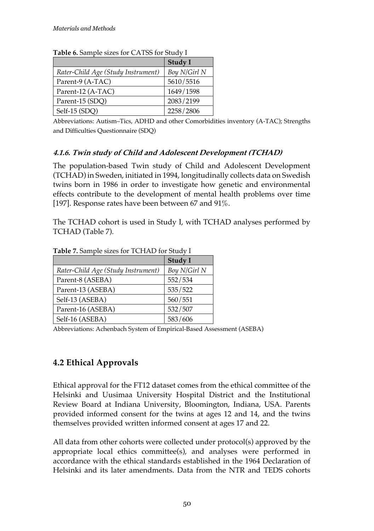| <b>Table 0.</b> Salifuld Sizes for CATSS for Study 1 |              |  |
|------------------------------------------------------|--------------|--|
|                                                      | Study I      |  |
| Rater-Child Age (Study Instrument)                   | Boy N/Girl N |  |
| Parent-9 (A-TAC)                                     | 5610/5516    |  |
| Parent-12 (A-TAC)                                    | 1649/1598    |  |
| Parent-15 (SDQ)                                      | 2083/2199    |  |
| Self-15 (SDQ)                                        | 2258/2806    |  |

**Table 6.** Sample sizes for CATSS for Study I

Abbreviations: Autism–Tics, ADHD and other Comorbidities inventory (A-TAC); Strengths and Difficulties Questionnaire (SDQ)

#### **4.1.6. Twin study of Child and Adolescent Development (TCHAD)**

The population-based Twin study of Child and Adolescent Development (TCHAD) in Sweden, initiated in 1994, longitudinally collects data on Swedish twins born in 1986 in order to investigate how genetic and environmental effects contribute to the development of mental health problems over time [197]. Response rates have been between 67 and 91%.

The TCHAD cohort is used in Study I, with TCHAD analyses performed by TCHAD (Table 7).

|                                    | Study I      |
|------------------------------------|--------------|
| Rater-Child Age (Study Instrument) | Boy N/Girl N |
| Parent-8 (ASEBA)                   | 552/534      |
| Parent-13 (ASEBA)                  | 535/522      |
| Self-13 (ASEBA)                    | 560/551      |
| Parent-16 (ASEBA)                  | 532/507      |
| Self-16 (ASEBA)                    | 583/606      |

**Table 7.** Sample sizes for TCHAD for Study I

Abbreviations: Achenbach System of Empirical-Based Assessment (ASEBA)

## **4.2 Ethical Approvals**

Ethical approval for the FT12 dataset comes from the ethical committee of the Helsinki and Uusimaa University Hospital District and the Institutional Review Board at Indiana University, Bloomington, Indiana, USA. Parents provided informed consent for the twins at ages 12 and 14, and the twins themselves provided written informed consent at ages 17 and 22.

All data from other cohorts were collected under protocol(s) approved by the appropriate local ethics committee(s), and analyses were performed in accordance with the ethical standards established in the 1964 Declaration of Helsinki and its later amendments. Data from the NTR and TEDS cohorts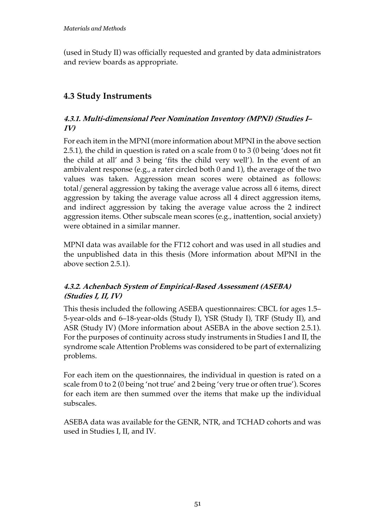(used in Study II) was officially requested and granted by data administrators and review boards as appropriate.

## **4.3 Study Instruments**

#### **4.3.1. Multi-dimensional Peer Nomination Inventory (MPNI) (Studies I– IV)**

For each item in the MPNI (more information about MPNI in the above section 2.5.1), the child in question is rated on a scale from 0 to 3 (0 being 'does not fit the child at all' and 3 being 'fits the child very well'). In the event of an ambivalent response (e.g., a rater circled both 0 and 1), the average of the two values was taken. Aggression mean scores were obtained as follows: total/general aggression by taking the average value across all 6 items, direct aggression by taking the average value across all 4 direct aggression items, and indirect aggression by taking the average value across the 2 indirect aggression items. Other subscale mean scores (e.g., inattention, social anxiety) were obtained in a similar manner.

MPNI data was available for the FT12 cohort and was used in all studies and the unpublished data in this thesis (More information about MPNI in the above section 2.5.1).

#### **4.3.2. Achenbach System of Empirical-Based Assessment (ASEBA) (Studies I, II, IV)**

This thesis included the following ASEBA questionnaires: CBCL for ages 1.5– 5-year-olds and 6–18-year-olds (Study I), YSR (Study I), TRF (Study II), and ASR (Study IV) (More information about ASEBA in the above section 2.5.1). For the purposes of continuity across study instruments in Studies I and II, the syndrome scale Attention Problems was considered to be part of externalizing problems.

For each item on the questionnaires, the individual in question is rated on a scale from 0 to 2 (0 being 'not true' and 2 being 'very true or often true'). Scores for each item are then summed over the items that make up the individual subscales.

ASEBA data was available for the GENR, NTR, and TCHAD cohorts and was used in Studies I, II, and IV.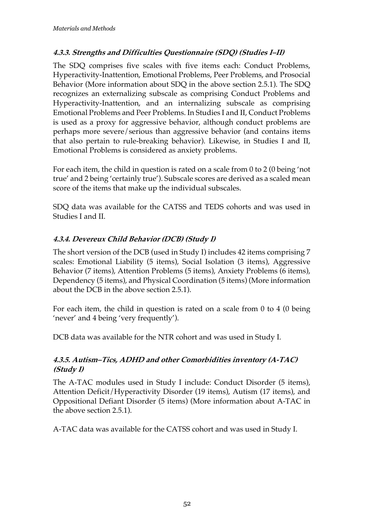#### **4.3.3. Strengths and Difficulties Questionnaire (SDQ) (Studies I–II)**

The SDQ comprises five scales with five items each: Conduct Problems, Hyperactivity-Inattention, Emotional Problems, Peer Problems, and Prosocial Behavior (More information about SDQ in the above section 2.5.1). The SDQ recognizes an externalizing subscale as comprising Conduct Problems and Hyperactivity-Inattention, and an internalizing subscale as comprising Emotional Problems and Peer Problems. In Studies I and II, Conduct Problems is used as a proxy for aggressive behavior, although conduct problems are perhaps more severe/serious than aggressive behavior (and contains items that also pertain to rule-breaking behavior). Likewise, in Studies I and II, Emotional Problems is considered as anxiety problems.

For each item, the child in question is rated on a scale from 0 to 2 (0 being 'not true' and 2 being 'certainly true'). Subscale scores are derived as a scaled mean score of the items that make up the individual subscales.

SDQ data was available for the CATSS and TEDS cohorts and was used in Studies I and II.

#### **4.3.4. Devereux Child Behavior (DCB) (Study I)**

The short version of the DCB (used in Study I) includes 42 items comprising 7 scales: Emotional Liability (5 items), Social Isolation (3 items), Aggressive Behavior (7 items), Attention Problems (5 items), Anxiety Problems (6 items), Dependency (5 items), and Physical Coordination (5 items) (More information about the DCB in the above section 2.5.1).

For each item, the child in question is rated on a scale from 0 to 4 (0 being 'never' and 4 being 'very frequently').

DCB data was available for the NTR cohort and was used in Study I.

#### **4.3.5. Autism–Tics, ADHD and other Comorbidities inventory (A-TAC) (Study I)**

The A-TAC modules used in Study I include: Conduct Disorder (5 items), Attention Deficit/Hyperactivity Disorder (19 items), Autism (17 items), and Oppositional Defiant Disorder (5 items) (More information about A-TAC in the above section 2.5.1).

A-TAC data was available for the CATSS cohort and was used in Study I.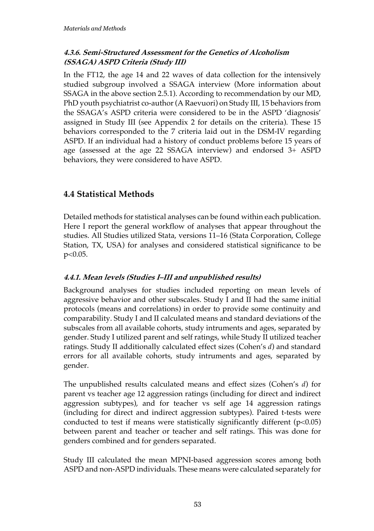#### **4.3.6. Semi-Structured Assessment for the Genetics of Alcoholism (SSAGA) ASPD Criteria (Study III)**

In the FT12, the age 14 and 22 waves of data collection for the intensively studied subgroup involved a SSAGA interview (More information about SSAGA in the above section 2.5.1). According to recommendation by our MD, PhD youth psychiatrist co-author (A Raevuori) on Study III, 15 behaviors from the SSAGA's ASPD criteria were considered to be in the ASPD 'diagnosis' assigned in Study III (see Appendix 2 for details on the criteria). These 15 behaviors corresponded to the 7 criteria laid out in the DSM-IV regarding ASPD. If an individual had a history of conduct problems before 15 years of age (assessed at the age 22 SSAGA interview) and endorsed 3+ ASPD behaviors, they were considered to have ASPD.

## **4.4 Statistical Methods**

Detailed methods for statistical analyses can be found within each publication. Here I report the general workflow of analyses that appear throughout the studies. All Studies utilized Stata, versions 11–16 (Stata Corporation, College Station, TX, USA) for analyses and considered statistical significance to be p<0.05.

#### **4.4.1. Mean levels (Studies I–III and unpublished results)**

Background analyses for studies included reporting on mean levels of aggressive behavior and other subscales. Study I and II had the same initial protocols (means and correlations) in order to provide some continuity and comparability. Study I and II calculated means and standard deviations of the subscales from all available cohorts, study intruments and ages, separated by gender. Study I utilized parent and self ratings, while Study II utilized teacher ratings. Study II additionally calculated effect sizes (Cohen's *d*) and standard errors for all available cohorts, study intruments and ages, separated by gender.

The unpublished results calculated means and effect sizes (Cohen's *d*) for parent vs teacher age 12 aggression ratings (including for direct and indirect aggression subtypes), and for teacher vs self age 14 aggression ratings (including for direct and indirect aggression subtypes). Paired t-tests were conducted to test if means were statistically significantly different  $(p<0.05)$ between parent and teacher or teacher and self ratings. This was done for genders combined and for genders separated.

Study III calculated the mean MPNI-based aggression scores among both ASPD and non-ASPD individuals. These means were calculated separately for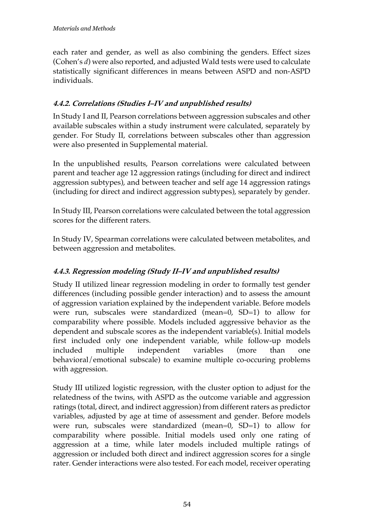each rater and gender, as well as also combining the genders. Effect sizes (Cohen's *d*) were also reported, and adjusted Wald tests were used to calculate statistically significant differences in means between ASPD and non-ASPD individuals.

#### **4.4.2. Correlations (Studies I–IV and unpublished results)**

In Study I and II, Pearson correlations between aggression subscales and other available subscales within a study instrument were calculated, separately by gender. For Study II, correlations between subscales other than aggression were also presented in Supplemental material.

In the unpublished results, Pearson correlations were calculated between parent and teacher age 12 aggression ratings (including for direct and indirect aggression subtypes), and between teacher and self age 14 aggression ratings (including for direct and indirect aggression subtypes), separately by gender.

In Study III, Pearson correlations were calculated between the total aggression scores for the different raters.

In Study IV, Spearman correlations were calculated between metabolites, and between aggression and metabolites.

#### **4.4.3. Regression modeling (Study II–IV and unpublished results)**

Study II utilized linear regression modeling in order to formally test gender differences (including possible gender interaction) and to assess the amount of aggression variation explained by the independent variable. Before models were run, subscales were standardized (mean=0, SD=1) to allow for comparability where possible. Models included aggressive behavior as the dependent and subscale scores as the independent variable(s). Initial models first included only one independent variable, while follow-up models included multiple independent variables (more than one behavioral/emotional subscale) to examine multiple co-occuring problems with aggression.

Study III utilized logistic regression, with the cluster option to adjust for the relatedness of the twins, with ASPD as the outcome variable and aggression ratings (total, direct, and indirect aggression) from different raters as predictor variables, adjusted by age at time of assessment and gender. Before models were run, subscales were standardized (mean=0,  $SD=1$ ) to allow for comparability where possible. Initial models used only one rating of aggression at a time, while later models included multiple ratings of aggression or included both direct and indirect aggression scores for a single rater. Gender interactions were also tested. For each model, receiver operating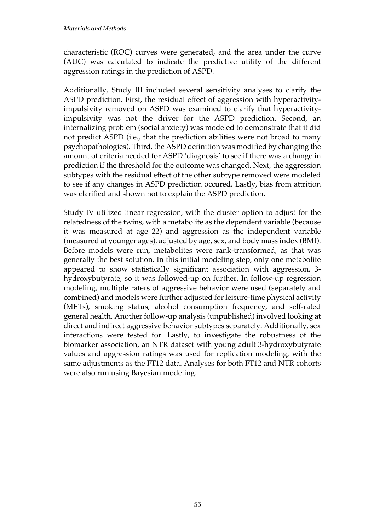characteristic (ROC) curves were generated, and the area under the curve (AUC) was calculated to indicate the predictive utility of the different aggression ratings in the prediction of ASPD.

Additionally, Study III included several sensitivity analyses to clarify the ASPD prediction. First, the residual effect of aggression with hyperactivityimpulsivity removed on ASPD was examined to clarify that hyperactivityimpulsivity was not the driver for the ASPD prediction. Second, an internalizing problem (social anxiety) was modeled to demonstrate that it did not predict ASPD (i.e., that the prediction abilities were not broad to many psychopathologies). Third, the ASPD definition was modified by changing the amount of criteria needed for ASPD 'diagnosis' to see if there was a change in prediction if the threshold for the outcome was changed. Next, the aggression subtypes with the residual effect of the other subtype removed were modeled to see if any changes in ASPD prediction occured. Lastly, bias from attrition was clarified and shown not to explain the ASPD prediction.

Study IV utilized linear regression, with the cluster option to adjust for the relatedness of the twins, with a metabolite as the dependent variable (because it was measured at age 22) and aggression as the independent variable (measured at younger ages), adjusted by age, sex, and body mass index (BMI). Before models were run, metabolites were rank-transformed, as that was generally the best solution. In this initial modeling step, only one metabolite appeared to show statistically significant association with aggression, 3 hydroxybutyrate, so it was followed-up on further. In follow-up regression modeling, multiple raters of aggressive behavior were used (separately and combined) and models were further adjusted for leisure-time physical activity (METs), smoking status, alcohol consumption frequency, and self-rated general health. Another follow-up analysis (unpublished) involved looking at direct and indirect aggressive behavior subtypes separately. Additionally, sex interactions were tested for. Lastly, to investigate the robustness of the biomarker association, an NTR dataset with young adult 3-hydroxybutyrate values and aggression ratings was used for replication modeling, with the same adjustments as the FT12 data. Analyses for both FT12 and NTR cohorts were also run using Bayesian modeling.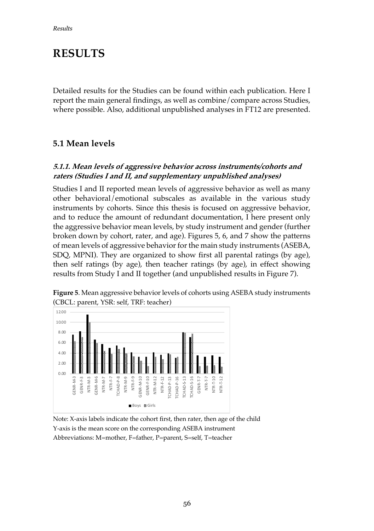## **RESULTS**

Detailed results for the Studies can be found within each publication. Here I report the main general findings, as well as combine/compare across Studies, where possible. Also, additional unpublished analyses in FT12 are presented.

### **5.1 Mean levels**

#### **5.1.1. Mean levels of aggressive behavior across instruments/cohorts and raters (Studies I and II, and supplementary unpublished analyses)**

Studies I and II reported mean levels of aggressive behavior as well as many other behavioral/emotional subscales as available in the various study instruments by cohorts. Since this thesis is focused on aggressive behavior, and to reduce the amount of redundant documentation, I here present only the aggressive behavior mean levels, by study instrument and gender (further broken down by cohort, rater, and age). Figures 5, 6, and 7 show the patterns of mean levels of aggressive behavior for the main study instruments (ASEBA, SDQ, MPNI). They are organized to show first all parental ratings (by age), then self ratings (by age), then teacher ratings (by age), in effect showing results from Study I and II together (and unpublished results in Figure 7).



**Figure 5**. Mean aggressive behavior levels of cohorts using ASEBA study instruments (CBCL: parent, YSR: self, TRF: teacher)

Note: X-axis labels indicate the cohort first, then rater, then age of the child Y-axis is the mean score on the corresponding ASEBA instrument Abbreviations: M=mother, F=father, P=parent, S=self, T=teacher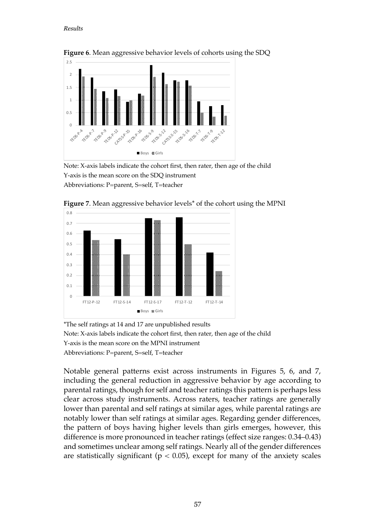#### *Results*



**Figure 6**. Mean aggressive behavior levels of cohorts using the SDQ

Note: X-axis labels indicate the cohort first, then rater, then age of the child Y-axis is the mean score on the SDQ instrument Abbreviations: P=parent, S=self, T=teacher



**Figure 7**. Mean aggressive behavior levels\* of the cohort using the MPNI

\*The self ratings at 14 and 17 are unpublished results Note: X-axis labels indicate the cohort first, then rater, then age of the child Y-axis is the mean score on the MPNI instrument Abbreviations: P=parent, S=self, T=teacher

Notable general patterns exist across instruments in Figures 5, 6, and 7, including the general reduction in aggressive behavior by age according to parental ratings, though for self and teacher ratings this pattern is perhaps less clear across study instruments. Across raters, teacher ratings are generally lower than parental and self ratings at similar ages, while parental ratings are notably lower than self ratings at similar ages. Regarding gender differences, the pattern of boys having higher levels than girls emerges, however, this difference is more pronounced in teacher ratings (effect size ranges: 0.34–0.43) and sometimes unclear among self ratings. Nearly all of the gender differences are statistically significant ( $p < 0.05$ ), except for many of the anxiety scales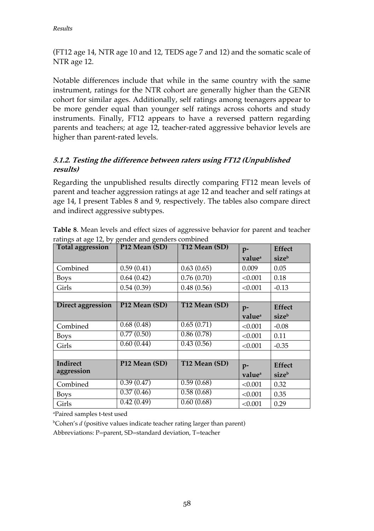(FT12 age 14, NTR age 10 and 12, TEDS age 7 and 12) and the somatic scale of NTR age 12.

Notable differences include that while in the same country with the same instrument, ratings for the NTR cohort are generally higher than the GENR cohort for similar ages. Additionally, self ratings among teenagers appear to be more gender equal than younger self ratings across cohorts and study instruments. Finally, FT12 appears to have a reversed pattern regarding parents and teachers; at age 12, teacher-rated aggressive behavior levels are higher than parent-rated levels.

#### **5.1.2. Testing the difference between raters using FT12 (Unpublished results)**

Regarding the unpublished results directly comparing FT12 mean levels of parent and teacher aggression ratings at age 12 and teacher and self ratings at age 14, I present Tables 8 and 9, respectively. The tables also compare direct and indirect aggressive subtypes.

| <b>Total aggression</b> | P <sub>12</sub> Mean (SD) | T12 Mean (SD) | $p-$               | <b>Effect</b> |
|-------------------------|---------------------------|---------------|--------------------|---------------|
|                         |                           |               | value <sup>a</sup> | sizeb         |
| Combined                | 0.59(0.41)                | 0.63(0.65)    | 0.009              | 0.05          |
| <b>Boys</b>             | 0.64(0.42)                | 0.76(0.70)    | < 0.001            | 0.18          |
| Girls                   | 0.54(0.39)                | 0.48(0.56)    | < 0.001            | $-0.13$       |
|                         |                           |               |                    |               |
| Direct aggression       | P <sub>12</sub> Mean (SD) | T12 Mean (SD) | $p-$               | <b>Effect</b> |
|                         |                           |               | value <sup>a</sup> | sizeb         |
| Combined                | 0.68(0.48)                | 0.65(0.71)    | < 0.001            | $-0.08$       |
| <b>Boys</b>             | 0.77(0.50)                | 0.86(0.78)    | < 0.001            | 0.11          |
| Girls                   | 0.60(0.44)                | 0.43(0.56)    | < 0.001            | $-0.35$       |
|                         |                           |               |                    |               |
| Indirect                | P <sub>12</sub> Mean (SD) | T12 Mean (SD) | $p-$               | <b>Effect</b> |
| aggression              |                           |               | value <sup>a</sup> | sizeb         |
| Combined                | 0.39(0.47)                | 0.59(0.68)    | < 0.001            | 0.32          |
| <b>Boys</b>             | 0.37(0.46)                | 0.58(0.68)    | < 0.001            | 0.35          |
| Girls                   | 0.42(0.49)                | 0.60(0.68)    | < 0.001            | 0.29          |

**Table 8**. Mean levels and effect sizes of aggressive behavior for parent and teacher ratings at age 12, by gender and genders combined

a Paired samples t-test used

<sup>b</sup>Cohen's *d* (positive values indicate teacher rating larger than parent)

Abbreviations: P=parent, SD=standard deviation, T=teacher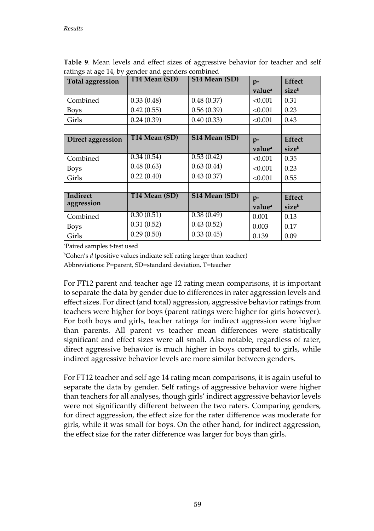| <b>Total aggression</b> | T14 Mean (SD) | S14 Mean (SD) | $p-$               | <b>Effect</b> |
|-------------------------|---------------|---------------|--------------------|---------------|
|                         |               |               | value <sup>a</sup> | sizeb         |
| Combined                | 0.33(0.48)    | 0.48(0.37)    | < 0.001            | 0.31          |
| <b>Boys</b>             | 0.42(0.55)    | 0.56(0.39)    | < 0.001            | 0.23          |
| Girls                   | 0.24(0.39)    | 0.40(0.33)    | < 0.001            | 0.43          |
|                         |               |               |                    |               |
| Direct aggression       | T14 Mean (SD) | S14 Mean (SD) | $p-$               | <b>Effect</b> |
|                         |               |               | value <sup>a</sup> | sizeb         |
| Combined                | 0.34(0.54)    | 0.53(0.42)    | < 0.001            | 0.35          |
| <b>Boys</b>             | 0.48(0.63)    | 0.63(0.44)    | < 0.001            | 0.23          |
| Girls                   | 0.22(0.40)    | 0.43(0.37)    | < 0.001            | 0.55          |
|                         |               |               |                    |               |
| Indirect                | T14 Mean (SD) | S14 Mean (SD) | $p-$               | <b>Effect</b> |
| aggression              |               |               | value <sup>a</sup> | sizeb         |
| Combined                | 0.30(0.51)    | 0.38(0.49)    | 0.001              | 0.13          |
| <b>Boys</b>             | 0.31(0.52)    | 0.43(0.52)    | 0.003              | 0.17          |
| Girls                   | 0.29(0.50)    | 0.33(0.45)    | 0.139              | 0.09          |

**Table 9**. Mean levels and effect sizes of aggressive behavior for teacher and self ratings at age 14, by gender and genders combined

a Paired samples t-test used

<sup>b</sup>Cohen's *d* (positive values indicate self rating larger than teacher)

Abbreviations: P=parent, SD=standard deviation, T=teacher

For FT12 parent and teacher age 12 rating mean comparisons, it is important to separate the data by gender due to differences in rater aggression levels and effect sizes. For direct (and total) aggression, aggressive behavior ratings from teachers were higher for boys (parent ratings were higher for girls however). For both boys and girls, teacher ratings for indirect aggression were higher than parents. All parent vs teacher mean differences were statistically significant and effect sizes were all small. Also notable, regardless of rater, direct aggressive behavior is much higher in boys compared to girls, while indirect aggressive behavior levels are more similar between genders.

For FT12 teacher and self age 14 rating mean comparisons, it is again useful to separate the data by gender. Self ratings of aggressive behavior were higher than teachers for all analyses, though girls' indirect aggressive behavior levels were not significantly different between the two raters. Comparing genders, for direct aggression, the effect size for the rater difference was moderate for girls, while it was small for boys. On the other hand, for indirect aggression, the effect size for the rater difference was larger for boys than girls.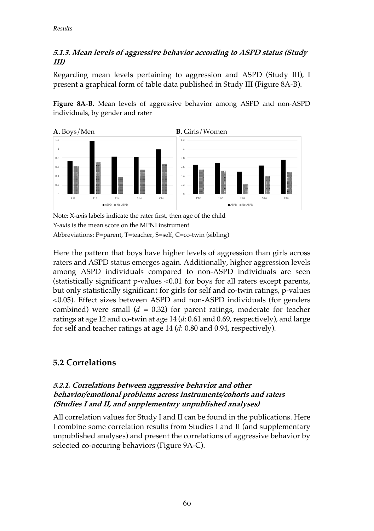#### **5.1.3. Mean levels of aggressive behavior according to ASPD status (Study III)**

Regarding mean levels pertaining to aggression and ASPD (Study III), I present a graphical form of table data published in Study III (Figure 8A-B).

**Figure 8A-B**. Mean levels of aggressive behavior among ASPD and non-ASPD individuals, by gender and rater



Note: X-axis labels indicate the rater first, then age of the child Y-axis is the mean score on the MPNI instrument Abbreviations: P=parent, T=teacher, S=self, C=co-twin (sibling)

Here the pattern that boys have higher levels of aggression than girls across raters and ASPD status emerges again. Additionally, higher aggression levels among ASPD individuals compared to non-ASPD individuals are seen (statistically significant p-values <0.01 for boys for all raters except parents, but only statistically significant for girls for self and co-twin ratings, p-values <0.05). Effect sizes between ASPD and non-ASPD individuals (for genders combined) were small  $(d = 0.32)$  for parent ratings, moderate for teacher ratings at age 12 and co-twin at age 14 (*d*: 0.61 and 0.69, respectively), and large for self and teacher ratings at age 14 (*d*: 0.80 and 0.94, respectively).

## **5.2 Correlations**

#### **5.2.1. Correlations between aggressive behavior and other behavior/emotional problems across instruments/cohorts and raters (Studies I and II, and supplementary unpublished analyses)**

All correlation values for Study I and II can be found in the publications. Here I combine some correlation results from Studies I and II (and supplementary unpublished analyses) and present the correlations of aggressive behavior by selected co-occuring behaviors (Figure 9A-C).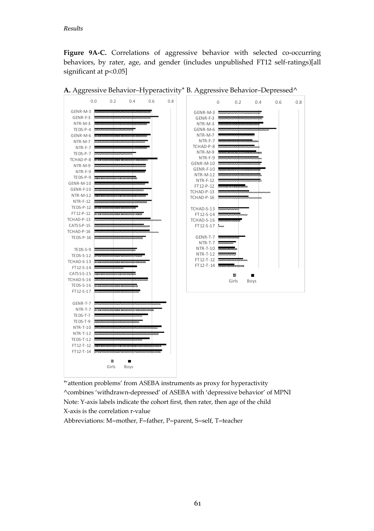**Figure 9A-C.** Correlations of aggressive behavior with selected co-occurring behaviors, by rater, age, and gender (includes unpublished FT12 self-ratings)[all significant at  $p<0.05$ ]



**A.** Aggressive Behavior–Hyperactivity\* B. Aggressive Behavior–Depressed^

\*'attention problems' from ASEBA instruments as proxy for hyperactivity ^combines 'withdrawn-depressed' of ASEBA with 'depressive behavior' of MPNI Note: Y-axis labels indicate the cohort first, then rater, then age of the child X-axis is the correlation r-value Abbreviations: M=mother, F=father, P=parent, S=self, T=teacher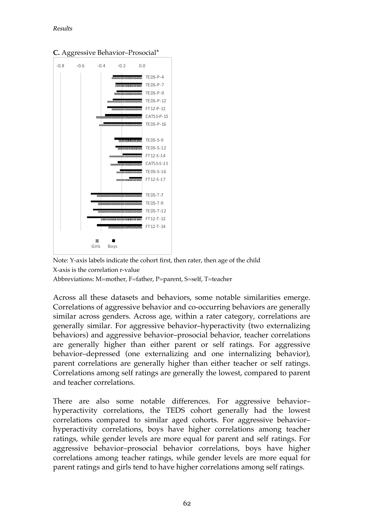

**C.** Aggressive Behavior–Prosocial\*

Note: Y-axis labels indicate the cohort first, then rater, then age of the child X-axis is the correlation r-value Abbreviations: M=mother, F=father, P=parent, S=self, T=teacher

Across all these datasets and behaviors, some notable similarities emerge. Correlations of aggressive behavior and co-occurring behaviors are generally similar across genders. Across age, within a rater category, correlations are generally similar. For aggressive behavior–hyperactivity (two externalizing behaviors) and aggressive behavior–prosocial behavior, teacher correlations are generally higher than either parent or self ratings. For aggressive behavior–depressed (one externalizing and one internalizing behavior), parent correlations are generally higher than either teacher or self ratings. Correlations among self ratings are generally the lowest, compared to parent and teacher correlations.

There are also some notable differences. For aggressive behavior– hyperactivity correlations, the TEDS cohort generally had the lowest correlations compared to similar aged cohorts. For aggressive behavior– hyperactivity correlations, boys have higher correlations among teacher ratings, while gender levels are more equal for parent and self ratings. For aggressive behavior–prosocial behavior correlations, boys have higher correlations among teacher ratings, while gender levels are more equal for parent ratings and girls tend to have higher correlations among self ratings.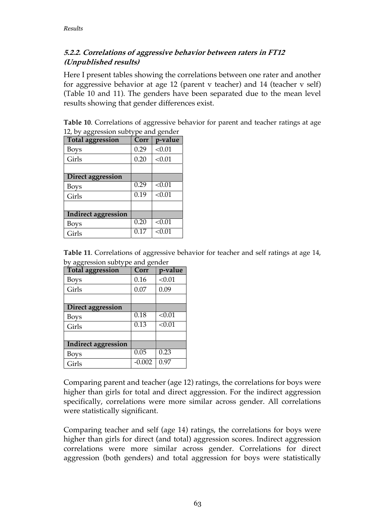#### **5.2.2. Correlations of aggressive behavior between raters in FT12 (Unpublished results)**

Here I present tables showing the correlations between one rater and another for aggressive behavior at age 12 (parent v teacher) and 14 (teacher v self) (Table 10 and 11). The genders have been separated due to the mean level results showing that gender differences exist.

**Table 10**. Correlations of aggressive behavior for parent and teacher ratings at age 12, by aggression subtype and gender

| <b>Total aggression</b>    | Corr | p-value |
|----------------------------|------|---------|
| Boys                       | 0.29 | < 0.01  |
| Girls                      | 0.20 | < 0.01  |
|                            |      |         |
| Direct aggression          |      |         |
| Boys                       | 0.29 | < 0.01  |
| Girls                      | 0.19 | < 0.01  |
|                            |      |         |
| <b>Indirect aggression</b> |      |         |
| Boys                       | 0.20 | < 0.01  |
| Girls                      | 0.17 | < 0.01  |

**Table 11**. Correlations of aggressive behavior for teacher and self ratings at age 14, by aggression subtype and gender

| ◡◡                  |          |         |
|---------------------|----------|---------|
| Total aggression    | Corr     | p-value |
| Boys                | 0.16     | < 0.01  |
| Girls               | 0.07     | 0.09    |
|                     |          |         |
| Direct aggression   |          |         |
| Boys                | 0.18     | < 0.01  |
| Girls               | 0.13     | < 0.01  |
|                     |          |         |
| Indirect aggression |          |         |
| Boys                | 0.05     | 0.23    |
| Girls               | $-0.002$ | 0.97    |

Comparing parent and teacher (age 12) ratings, the correlations for boys were higher than girls for total and direct aggression. For the indirect aggression specifically, correlations were more similar across gender. All correlations were statistically significant.

Comparing teacher and self (age 14) ratings, the correlations for boys were higher than girls for direct (and total) aggression scores. Indirect aggression correlations were more similar across gender. Correlations for direct aggression (both genders) and total aggression for boys were statistically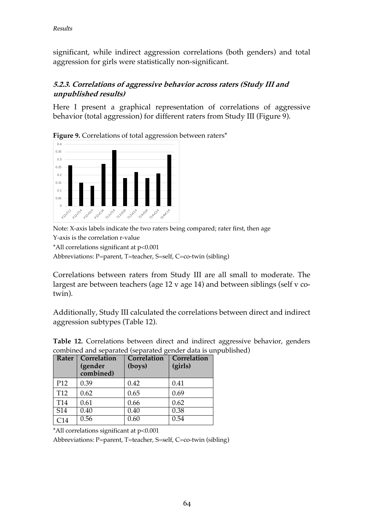significant, while indirect aggression correlations (both genders) and total aggression for girls were statistically non-significant.

#### **5.2.3. Correlations of aggressive behavior across raters (Study III and unpublished results)**

Here I present a graphical representation of correlations of aggressive behavior (total aggression) for different raters from Study III (Figure 9).





Note: X-axis labels indicate the two raters being compared; rater first, then age

Y-axis is the correlation r-value

\*All correlations significant at p<0.001

Abbreviations: P=parent, T=teacher, S=self, C=co-twin (sibling)

Correlations between raters from Study III are all small to moderate. The largest are between teachers (age 12 v age 14) and between siblings (self v cotwin).

Additionally, Study III calculated the correlations between direct and indirect aggression subtypes (Table 12).

|                  | Rater   Correlation<br>(gender<br>combined) | Correlation<br>(boys) | Correlation<br>(girls) |
|------------------|---------------------------------------------|-----------------------|------------------------|
| P <sub>12</sub>  | 0.39                                        | 0.42                  | 0.41                   |
| T <sub>12</sub>  | 0.62                                        | 0.65                  | 0.69                   |
| T <sub>14</sub>  | 0.61                                        | 0.66                  | 0.62                   |
| $\overline{S14}$ | 0.40                                        | 0.40                  | 0.38                   |
| C <sub>14</sub>  | 0.56                                        | 0.60                  | 0.54                   |

**Table 12.** Correlations between direct and indirect aggressive behavior, genders combined and separated (separated gender data is unpublished)

\*All correlations significant at p<0.001

Abbreviations: P=parent, T=teacher, S=self, C=co-twin (sibling)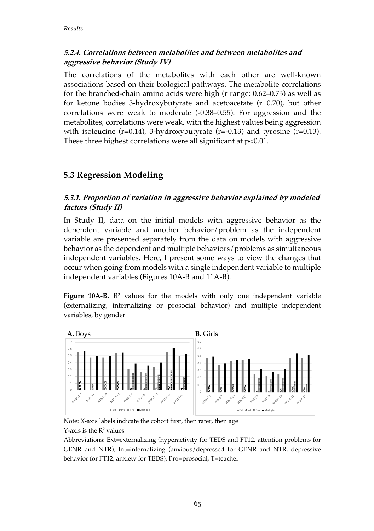#### **5.2.4. Correlations between metabolites and between metabolites and aggressive behavior (Study IV)**

The correlations of the metabolites with each other are well-known associations based on their biological pathways. The metabolite correlations for the branched-chain amino acids were high (r range: 0.62–0.73) as well as for ketone bodies 3-hydroxybutyrate and acetoacetate  $(r=0.70)$ , but other correlations were weak to moderate (-0.38–0.55). For aggression and the metabolites, correlations were weak, with the highest values being aggression with isoleucine (r=0.14), 3-hydroxybutyrate (r=-0.13) and tyrosine (r=0.13). These three highest correlations were all significant at  $p<0.01$ .

#### **5.3 Regression Modeling**

#### **5.3.1. Proportion of variation in aggressive behavior explained by modeled factors (Study II)**

In Study II, data on the initial models with aggressive behavior as the dependent variable and another behavior/problem as the independent variable are presented separately from the data on models with aggressive behavior as the dependent and multiple behaviors/problems as simultaneous independent variables. Here, I present some ways to view the changes that occur when going from models with a single independent variable to multiple independent variables (Figures 10A-B and 11A-B).

**Figure 10A-B.**  $\mathbb{R}^2$  values for the models with only one independent variable (externalizing, internalizing or prosocial behavior) and multiple independent variables, by gender



Note: X-axis labels indicate the cohort first, then rater, then age  $Y$ -axis is the  $R^2$  values

Abbreviations: Ext=externalizing (hyperactivity for TEDS and FT12, attention problems for GENR and NTR), Int=internalizing (anxious/depressed for GENR and NTR, depressive behavior for FT12, anxiety for TEDS), Pro=prosocial, T=teacher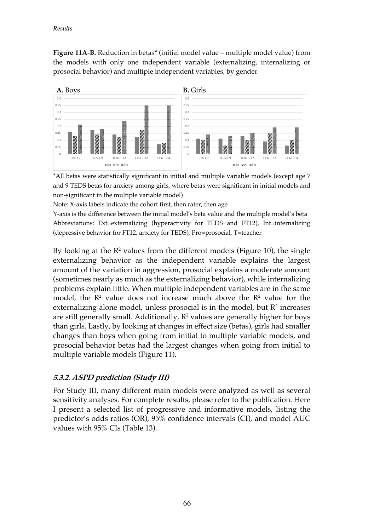**Figure 11A-B.** Reduction in betas\* (initial model value – multiple model value) from the models with only one independent variable (externalizing, internalizing or prosocial behavior) and multiple independent variables, by gender



\*All betas were statistically significant in initial and multiple variable models (except age 7 and 9 TEDS betas for anxiety among girls, where betas were significant in initial models and non-significant in the multiple variable model)

Note: X-axis labels indicate the cohort first, then rater, then age

Y-axis is the difference between the initial model's beta value and the multiple model's beta Abbreviations: Ext=externalizing (hyperactivity for TEDS and FT12), Int=internalizing (depressive behavior for FT12, anxiety for TEDS), Pro=prosocial, T=teacher

By looking at the  $\mathbb{R}^2$  values from the different models (Figure 10), the single externalizing behavior as the independent variable explains the largest amount of the variation in aggression, prosocial explains a moderate amount (sometimes nearly as much as the externalizing behavior), while internalizing problems explain little. When multiple independent variables are in the same model, the  $\mathbb{R}^2$  value does not increase much above the  $\mathbb{R}^2$  value for the externalizing alone model, unless prosocial is in the model, but  $\mathbb{R}^2$  increases are still generally small. Additionally,  $R^2$  values are generally higher for boys than girls. Lastly, by looking at changes in effect size (betas), girls had smaller changes than boys when going from initial to multiple variable models, and prosocial behavior betas had the largest changes when going from initial to multiple variable models (Figure 11).

#### **5.3.2. ASPD prediction (Study III)**

For Study III, many different main models were analyzed as well as several sensitivity analyses. For complete results, please refer to the publication. Here I present a selected list of progressive and informative models, listing the predictor's odds ratios (OR), 95% confidence intervals (CI), and model AUC values with 95% CIs (Table 13).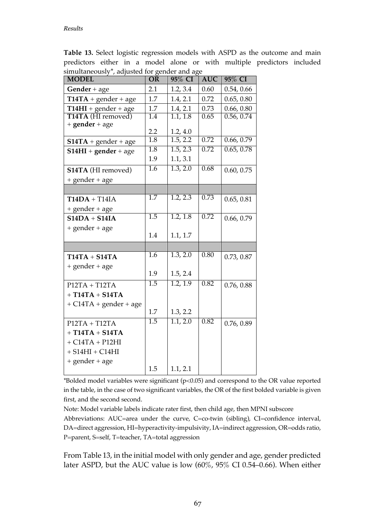| simultaneously^, adjusted for gender and age<br><b>MODEL</b> | <b>OR</b>               | 95% CI   | <b>AUC</b> | 95% CI     |
|--------------------------------------------------------------|-------------------------|----------|------------|------------|
| Gender + age                                                 | 2.1                     | 1.2, 3.4 | 0.60       | 0.54, 0.66 |
| $T14TA + gender + age$                                       | 1.7                     | 1.4, 2.1 | 0.72       | 0.65, 0.80 |
| $T14HI + gender + age$                                       | 1.7                     | 1.4, 2.1 | 0.73       | 0.66, 0.80 |
| T14TA (HI removed)                                           | $\overline{1.4}$        | 1.1, 1.8 | 0.65       | 0.56, 0.74 |
| $+$ gender $+$ age                                           |                         |          |            |            |
|                                                              | 2.2<br>$\overline{1.8}$ | 1.2, 4.0 | 0.72       | 0.66, 0.79 |
| $S14TA + gender + age$                                       |                         | 1.5, 2.2 |            |            |
| $S14HI + gender + age$                                       | $\overline{1.8}$        | 1.5, 2.3 | 0.72       | 0.65, 0.78 |
|                                                              | 1.9                     | 1.1, 3.1 |            |            |
| S14TA (HI removed)                                           | $\overline{1.6}$        | 1.3, 2.0 | 0.68       | 0.60, 0.75 |
| + gender + age                                               |                         |          |            |            |
|                                                              |                         |          |            |            |
| $T14DA + T14IA$                                              | $\overline{1.7}$        | 1.2, 2.3 | 0.73       | 0.65, 0.81 |
| + gender + age                                               |                         |          |            |            |
| $S14DA + S14IA$                                              | 1.5                     | 1.2, 1.8 | 0.72       | 0.66, 0.79 |
| + gender + age                                               |                         |          |            |            |
|                                                              | 1.4                     | 1.1, 1.7 |            |            |
|                                                              |                         |          |            |            |
| $T14TA + S14TA$                                              | 1.6                     | 1.3, 2.0 | 0.80       | 0.73, 0.87 |
| + gender + age                                               |                         |          |            |            |
|                                                              | 1.9                     | 1.5, 2.4 |            |            |
| $P12TA + T12TA$                                              | 1.5                     | 1.2, 1.9 | 0.82       | 0.76, 0.88 |
| $+ T14TA + S14TA$                                            |                         |          |            |            |
| $+ C14TA + gender + age$                                     |                         |          |            |            |
|                                                              | 1.7                     | 1.3, 2.2 |            |            |
| $P12TA + T12TA$                                              | $\overline{1.5}$        | 1.1, 2.0 | 0.82       | 0.76, 0.89 |
| $+ T14TA + S14TA$                                            |                         |          |            |            |
| $+ C14TA + P12HI$                                            |                         |          |            |            |
| $+$ S14HI $+$ C14HI                                          |                         |          |            |            |
| + gender + age                                               |                         |          |            |            |
|                                                              | 1.5                     | 1.1, 2.1 |            |            |

**Table 13.** Select logistic regression models with ASPD as the outcome and main predictors either in a model alone or with multiple predictors included simultaneously\*, adjusted for gender and age

 $*$ Bolded model variables were significant ( $p$ <0.05) and correspond to the OR value reported in the table, in the case of two significant variables, the OR of the first bolded variable is given first, and the second second.

Note: Model variable labels indicate rater first, then child age, then MPNI subscore Abbreviations: AUC=area under the curve, C=co-twin (sibling), CI=confidence interval, DA=direct aggression, HI=hyperactivity-impulsivity, IA=indirect aggression, OR=odds ratio, P=parent, S=self, T=teacher, TA=total aggression

From Table 13, in the initial model with only gender and age, gender predicted later ASPD, but the AUC value is low (60%, 95% CI 0.54–0.66). When either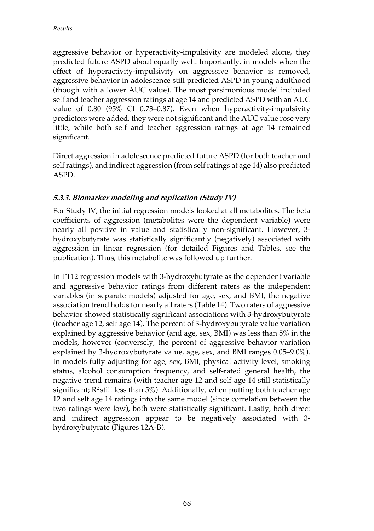aggressive behavior or hyperactivity-impulsivity are modeled alone, they predicted future ASPD about equally well. Importantly, in models when the effect of hyperactivity-impulsivity on aggressive behavior is removed, aggressive behavior in adolescence still predicted ASPD in young adulthood (though with a lower AUC value). The most parsimonious model included self and teacher aggression ratings at age 14 and predicted ASPD with an AUC value of 0.80 (95% CI 0.73–0.87). Even when hyperactivity-impulsivity predictors were added, they were not significant and the AUC value rose very little, while both self and teacher aggression ratings at age 14 remained significant.

Direct aggression in adolescence predicted future ASPD (for both teacher and self ratings), and indirect aggression (from self ratings at age 14) also predicted ASPD.

#### **5.3.3. Biomarker modeling and replication (Study IV)**

For Study IV, the initial regression models looked at all metabolites. The beta coefficients of aggression (metabolites were the dependent variable) were nearly all positive in value and statistically non-significant. However, 3 hydroxybutyrate was statistically significantly (negatively) associated with aggression in linear regression (for detailed Figures and Tables, see the publication). Thus, this metabolite was followed up further.

In FT12 regression models with 3-hydroxybutyrate as the dependent variable and aggressive behavior ratings from different raters as the independent variables (in separate models) adjusted for age, sex, and BMI, the negative association trend holds for nearly all raters (Table 14). Two raters of aggressive behavior showed statistically significant associations with 3-hydroxybutyrate (teacher age 12, self age 14). The percent of 3-hydroxybutyrate value variation explained by aggressive behavior (and age, sex, BMI) was less than 5% in the models, however (conversely, the percent of aggressive behavior variation explained by 3-hydroxybutyrate value, age, sex, and BMI ranges 0.05–9.0%). In models fully adjusting for age, sex, BMI, physical activity level, smoking status, alcohol consumption frequency, and self-rated general health, the negative trend remains (with teacher age 12 and self age 14 still statistically significant;  $R^2$  still less than  $5\%$ ). Additionally, when putting both teacher age 12 and self age 14 ratings into the same model (since correlation between the two ratings were low), both were statistically significant. Lastly, both direct and indirect aggression appear to be negatively associated with 3 hydroxybutyrate (Figures 12A-B).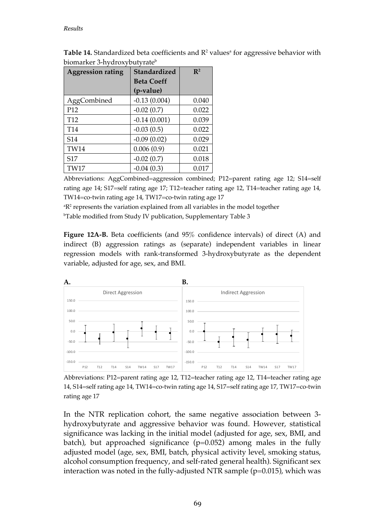| <b>Aggression rating</b> | <b>Standardized</b> | $\mathbb{R}^2$ |
|--------------------------|---------------------|----------------|
|                          | <b>Beta Coeff</b>   |                |
|                          | (p-value)           |                |
| AggCombined              | $-0.13(0.004)$      | 0.040          |
| P <sub>12</sub>          | $-0.02(0.7)$        | 0.022          |
| T <sub>12</sub>          | $-0.14(0.001)$      | 0.039          |
| T <sub>14</sub>          | $-0.03(0.5)$        | 0.022          |
| S14                      | $-0.09(0.02)$       | 0.029          |
| <b>TW14</b>              | 0.006(0.9)          | 0.021          |
| S <sub>17</sub>          | $-0.02(0.7)$        | 0.018          |
| TW17                     | $-0.04(0.3)$        | 0.017          |

**Table 14.** Standardized beta coefficients and  $\mathbb{R}^2$  values<sup>a</sup> for aggressive behavior with biomarker 3-hydroxybutyrateb

Abbreviations: AggCombined=aggression combined; P12=parent rating age 12; S14=self rating age 14; S17=self rating age 17; T12=teacher rating age 12, T14=teacher rating age 14, TW14=co-twin rating age 14, TW17=co-twin rating age 17

<sup>a</sup>R<sup>2</sup> represents the variation explained from all variables in the model together

b Table modified from Study IV publication, Supplementary Table 3

**Figure 12A-B.** Beta coefficients (and 95% confidence intervals) of direct (A) and indirect (B) aggression ratings as (separate) independent variables in linear regression models with rank-transformed 3-hydroxybutyrate as the dependent variable, adjusted for age, sex, and BMI.



Abbreviations: P12=parent rating age 12, T12=teacher rating age 12, T14=teacher rating age 14, S14=self rating age 14, TW14=co-twin rating age 14, S17=self rating age 17, TW17=co-twin rating age 17

In the NTR replication cohort, the same negative association between 3 hydroxybutyrate and aggressive behavior was found. However, statistical significance was lacking in the initial model (adjusted for age, sex, BMI, and batch), but approached significance  $(p=0.052)$  among males in the fully adjusted model (age, sex, BMI, batch, physical activity level, smoking status, alcohol consumption frequency, and self-rated general health). Significant sex interaction was noted in the fully-adjusted NTR sample ( $p=0.015$ ), which was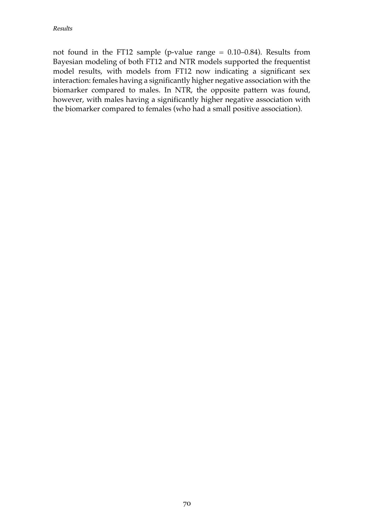not found in the FT12 sample (p-value range  $= 0.10-0.84$ ). Results from Bayesian modeling of both FT12 and NTR models supported the frequentist model results, with models from FT12 now indicating a significant sex interaction: females having a significantly higher negative association with the biomarker compared to males. In NTR, the opposite pattern was found, however, with males having a significantly higher negative association with the biomarker compared to females (who had a small positive association).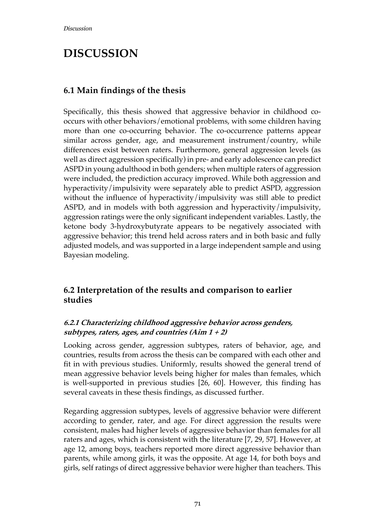## **DISCUSSION**

### **6.1 Main findings of the thesis**

Specifically, this thesis showed that aggressive behavior in childhood cooccurs with other behaviors/emotional problems, with some children having more than one co-occurring behavior. The co-occurrence patterns appear similar across gender, age, and measurement instrument/country, while differences exist between raters. Furthermore, general aggression levels (as well as direct aggression specifically) in pre- and early adolescence can predict ASPD in young adulthood in both genders; when multiple raters of aggression were included, the prediction accuracy improved. While both aggression and hyperactivity/impulsivity were separately able to predict ASPD, aggression without the influence of hyperactivity/impulsivity was still able to predict ASPD, and in models with both aggression and hyperactivity/impulsivity, aggression ratings were the only significant independent variables. Lastly, the ketone body 3-hydroxybutyrate appears to be negatively associated with aggressive behavior; this trend held across raters and in both basic and fully adjusted models, and was supported in a large independent sample and using Bayesian modeling.

#### **6.2 Interpretation of the results and comparison to earlier studies**

#### **6.2.1 Characterizing childhood aggressive behavior across genders, subtypes, raters, ages, and countries (Aim 1 + 2)**

Looking across gender, aggression subtypes, raters of behavior, age, and countries, results from across the thesis can be compared with each other and fit in with previous studies. Uniformly, results showed the general trend of mean aggressive behavior levels being higher for males than females, which is well-supported in previous studies [26, 60]. However, this finding has several caveats in these thesis findings, as discussed further.

Regarding aggression subtypes, levels of aggressive behavior were different according to gender, rater, and age. For direct aggression the results were consistent, males had higher levels of aggressive behavior than females for all raters and ages, which is consistent with the literature [7, 29, 57]. However, at age 12, among boys, teachers reported more direct aggressive behavior than parents, while among girls, it was the opposite. At age 14, for both boys and girls, self ratings of direct aggressive behavior were higher than teachers. This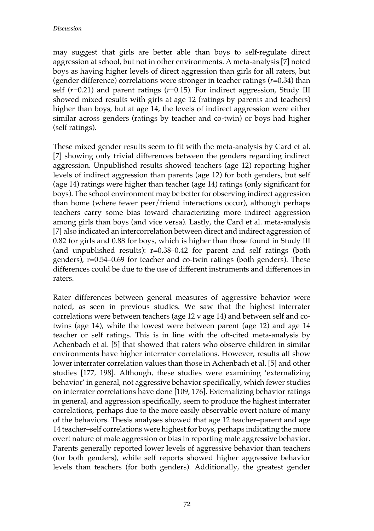may suggest that girls are better able than boys to self-regulate direct aggression at school, but not in other environments. A meta-analysis [7] noted boys as having higher levels of direct aggression than girls for all raters, but (gender difference) correlations were stronger in teacher ratings (*r*=0.34) than self  $(r=0.21)$  and parent ratings  $(r=0.15)$ . For indirect aggression, Study III showed mixed results with girls at age 12 (ratings by parents and teachers) higher than boys, but at age 14, the levels of indirect aggression were either similar across genders (ratings by teacher and co-twin) or boys had higher (self ratings).

These mixed gender results seem to fit with the meta-analysis by Card et al. [7] showing only trivial differences between the genders regarding indirect aggression. Unpublished results showed teachers (age 12) reporting higher levels of indirect aggression than parents (age 12) for both genders, but self (age 14) ratings were higher than teacher (age 14) ratings (only significant for boys). The school environment may be better for observing indirect aggression than home (where fewer peer/friend interactions occur), although perhaps teachers carry some bias toward characterizing more indirect aggression among girls than boys (and vice versa). Lastly, the Card et al. meta-analysis [7] also indicated an intercorrelation between direct and indirect aggression of 0.82 for girls and 0.88 for boys, which is higher than those found in Study III (and unpublished results): r=0.38–0.42 for parent and self ratings (both genders), r=0.54–0.69 for teacher and co-twin ratings (both genders). These differences could be due to the use of different instruments and differences in raters.

Rater differences between general measures of aggressive behavior were noted, as seen in previous studies. We saw that the highest interrater correlations were between teachers (age 12 v age 14) and between self and cotwins (age 14), while the lowest were between parent (age 12) and age 14 teacher or self ratings. This is in line with the oft-cited meta-analysis by Achenbach et al. [5] that showed that raters who observe children in similar environments have higher interrater correlations. However, results all show lower interrater correlation values than those in Achenbach et al. [5] and other studies [177, 198]. Although, these studies were examining 'externalizing behavior' in general, not aggressive behavior specifically, which fewer studies on interrater correlations have done [109, 176]. Externalizing behavior ratings in general, and aggression specifically, seem to produce the highest interrater correlations, perhaps due to the more easily observable overt nature of many of the behaviors. Thesis analyses showed that age 12 teacher–parent and age 14 teacher–self correlations were highest for boys, perhaps indicating the more overt nature of male aggression or bias in reporting male aggressive behavior. Parents generally reported lower levels of aggressive behavior than teachers (for both genders), while self reports showed higher aggressive behavior levels than teachers (for both genders). Additionally, the greatest gender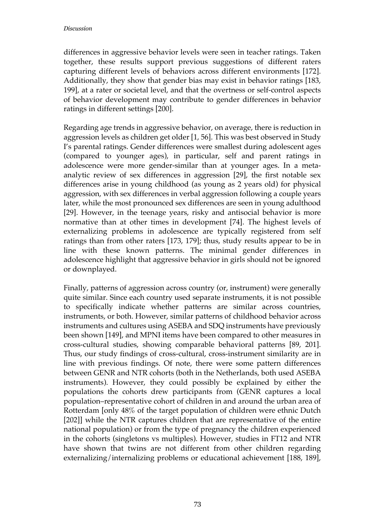differences in aggressive behavior levels were seen in teacher ratings. Taken together, these results support previous suggestions of different raters capturing different levels of behaviors across different environments [172]. Additionally, they show that gender bias may exist in behavior ratings [183, 199], at a rater or societal level, and that the overtness or self-control aspects of behavior development may contribute to gender differences in behavior ratings in different settings [200].

Regarding age trends in aggressive behavior, on average, there is reduction in aggression levels as children get older [1, 56]. This was best observed in Study I's parental ratings. Gender differences were smallest during adolescent ages (compared to younger ages), in particular, self and parent ratings in adolescence were more gender-similar than at younger ages. In a metaanalytic review of sex differences in aggression [29], the first notable sex differences arise in young childhood (as young as 2 years old) for physical aggression, with sex differences in verbal aggression following a couple years later, while the most pronounced sex differences are seen in young adulthood [29]. However, in the teenage years, risky and antisocial behavior is more normative than at other times in development [74]. The highest levels of externalizing problems in adolescence are typically registered from self ratings than from other raters [173, 179]; thus, study results appear to be in line with these known patterns. The minimal gender differences in adolescence highlight that aggressive behavior in girls should not be ignored or downplayed.

Finally, patterns of aggression across country (or, instrument) were generally quite similar. Since each country used separate instruments, it is not possible to specifically indicate whether patterns are similar across countries, instruments, or both. However, similar patterns of childhood behavior across instruments and cultures using ASEBA and SDQ instruments have previously been shown [149], and MPNI items have been compared to other measures in cross-cultural studies, showing comparable behavioral patterns [89, 201]. Thus, our study findings of cross-cultural, cross-instrument similarity are in line with previous findings. Of note, there were some pattern differences between GENR and NTR cohorts (both in the Netherlands, both used ASEBA instruments). However, they could possibly be explained by either the populations the cohorts drew participants from (GENR captures a local population–representative cohort of children in and around the urban area of Rotterdam [only 48% of the target population of children were ethnic Dutch [202]] while the NTR captures children that are representative of the entire national population) or from the type of pregnancy the children experienced in the cohorts (singletons vs multiples). However, studies in FT12 and NTR have shown that twins are not different from other children regarding externalizing/internalizing problems or educational achievement [188, 189],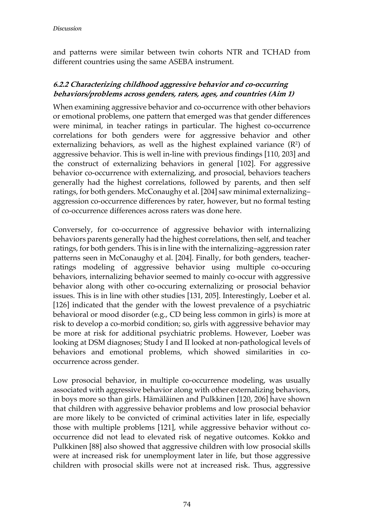and patterns were similar between twin cohorts NTR and TCHAD from different countries using the same ASEBA instrument.

## **6.2.2 Characterizing childhood aggressive behavior and co-occurring behaviors/problems across genders, raters, ages, and countries (Aim 1)**

When examining aggressive behavior and co-occurrence with other behaviors or emotional problems, one pattern that emerged was that gender differences were minimal, in teacher ratings in particular. The highest co-occurrence correlations for both genders were for aggressive behavior and other externalizing behaviors, as well as the highest explained variance  $(R<sup>2</sup>)$  of aggressive behavior. This is well in-line with previous findings [110, 203] and the construct of externalizing behaviors in general [102]. For aggressive behavior co-occurrence with externalizing, and prosocial, behaviors teachers generally had the highest correlations, followed by parents, and then self ratings, for both genders. McConaughy et al. [204] saw minimal externalizing– aggression co-occurrence differences by rater, however, but no formal testing of co-occurrence differences across raters was done here.

Conversely, for co-occurrence of aggressive behavior with internalizing behaviors parents generally had the highest correlations, then self, and teacher ratings, for both genders. This is in line with the internalizing–aggression rater patterns seen in McConaughy et al. [204]. Finally, for both genders, teacherratings modeling of aggressive behavior using multiple co-occuring behaviors, internalizing behavior seemed to mainly co-occur with aggressive behavior along with other co-occuring externalizing or prosocial behavior issues. This is in line with other studies [131, 205]. Interestingly, Loeber et al. [126] indicated that the gender with the lowest prevalence of a psychiatric behavioral or mood disorder (e.g., CD being less common in girls) is more at risk to develop a co-morbid condition; so, girls with aggressive behavior may be more at risk for additional psychiatric problems. However, Loeber was looking at DSM diagnoses; Study I and II looked at non-pathological levels of behaviors and emotional problems, which showed similarities in cooccurrence across gender.

Low prosocial behavior, in multiple co-occurrence modeling, was usually associated with aggressive behavior along with other externalizing behaviors, in boys more so than girls. Hämäläinen and Pulkkinen [120, 206] have shown that children with aggressive behavior problems and low prosocial behavior are more likely to be convicted of criminal activities later in life, especially those with multiple problems [121], while aggressive behavior without cooccurrence did not lead to elevated risk of negative outcomes. Kokko and Pulkkinen [88] also showed that aggressive children with low prosocial skills were at increased risk for unemployment later in life, but those aggressive children with prosocial skills were not at increased risk. Thus, aggressive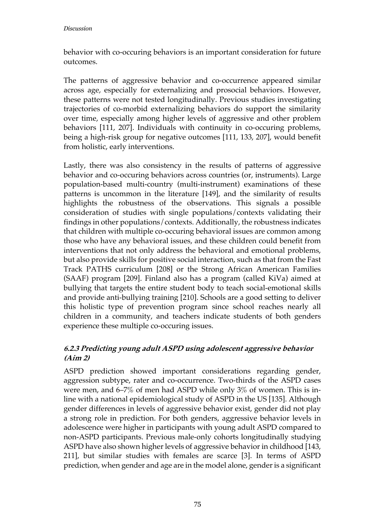behavior with co-occuring behaviors is an important consideration for future outcomes.

The patterns of aggressive behavior and co-occurrence appeared similar across age, especially for externalizing and prosocial behaviors. However, these patterns were not tested longitudinally. Previous studies investigating trajectories of co-morbid externalizing behaviors do support the similarity over time, especially among higher levels of aggressive and other problem behaviors [111, 207]. Individuals with continuity in co-occuring problems, being a high-risk group for negative outcomes [111, 133, 207], would benefit from holistic, early interventions.

Lastly, there was also consistency in the results of patterns of aggressive behavior and co-occuring behaviors across countries (or, instruments). Large population-based multi-country (multi-instrument) examinations of these patterns is uncommon in the literature [149], and the similarity of results highlights the robustness of the observations. This signals a possible consideration of studies with single populations/contexts validating their findings in other populations/contexts. Additionally, the robustness indicates that children with multiple co-occuring behavioral issues are common among those who have any behavioral issues, and these children could benefit from interventions that not only address the behavioral and emotional problems, but also provide skills for positive social interaction, such as that from the Fast Track PATHS curriculum [208] or the Strong African American Families (SAAF) program [209]. Finland also has a program (called KiVa) aimed at bullying that targets the entire student body to teach social-emotional skills and provide anti-bullying training [210]. Schools are a good setting to deliver this holistic type of prevention program since school reaches nearly all children in a community, and teachers indicate students of both genders experience these multiple co-occuring issues.

## **6.2.3 Predicting young adult ASPD using adolescent aggressive behavior (Aim 2)**

ASPD prediction showed important considerations regarding gender, aggression subtype, rater and co-occurrence. Two-thirds of the ASPD cases were men, and 6–7% of men had ASPD while only 3% of women. This is inline with a national epidemiological study of ASPD in the US [135]. Although gender differences in levels of aggressive behavior exist, gender did not play a strong role in prediction. For both genders, aggressive behavior levels in adolescence were higher in participants with young adult ASPD compared to non-ASPD participants. Previous male-only cohorts longitudinally studying ASPD have also shown higher levels of aggressive behavior in childhood [143, 211], but similar studies with females are scarce [3]. In terms of ASPD prediction, when gender and age are in the model alone, gender is a significant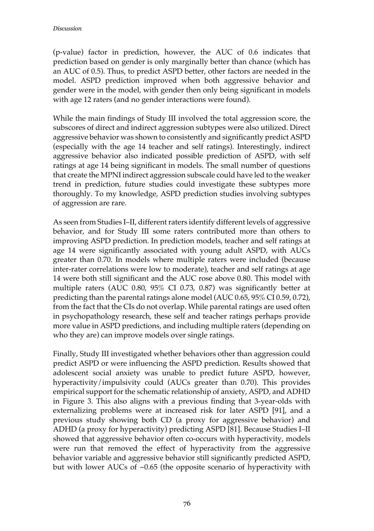(p-value) factor in prediction, however, the AUC of 0.6 indicates that prediction based on gender is only marginally better than chance (which has an AUC of 0.5). Thus, to predict ASPD better, other factors are needed in the model. ASPD prediction improved when both aggressive behavior and gender were in the model, with gender then only being significant in models with age 12 raters (and no gender interactions were found).

While the main findings of Study III involved the total aggression score, the subscores of direct and indirect aggression subtypes were also utilized. Direct aggressive behavior was shown to consistently and significantly predict ASPD (especially with the age 14 teacher and self ratings). Interestingly, indirect aggressive behavior also indicated possible prediction of ASPD, with self ratings at age 14 being significant in models. The small number of questions that create the MPNI indirect aggression subscale could have led to the weaker trend in prediction, future studies could investigate these subtypes more thoroughly. To my knowledge, ASPD prediction studies involving subtypes of aggression are rare.

As seen from Studies I–II, different raters identify different levels of aggressive behavior, and for Study III some raters contributed more than others to improving ASPD prediction. In prediction models, teacher and self ratings at age 14 were significantly associated with young adult ASPD, with AUCs greater than 0.70. In models where multiple raters were included (because inter-rater correlations were low to moderate), teacher and self ratings at age 14 were both still significant and the AUC rose above 0.80. This model with multiple raters (AUC 0.80, 95% CI 0.73, 0.87) was significantly better at predicting than the parental ratings alone model (AUC 0.65, 95% CI 0.59, 0.72), from the fact that the CIs do not overlap. While parental ratings are used often in psychopathology research, these self and teacher ratings perhaps provide more value in ASPD predictions, and including multiple raters (depending on who they are) can improve models over single ratings.

Finally, Study III investigated whether behaviors other than aggression could predict ASPD or were influencing the ASPD prediction. Results showed that adolescent social anxiety was unable to predict future ASPD, however, hyperactivity/impulsivity could (AUCs greater than 0.70). This provides empirical support for the schematic relationship of anxiety, ASPD, and ADHD in Figure 3. This also aligns with a previous finding that 3-year-olds with externalizing problems were at increased risk for later ASPD [91], and a previous study showing both CD (a proxy for aggressive behavior) and ADHD (a proxy for hyperactivity) predicting ASPD [81]. Because Studies I–II showed that aggressive behavior often co-occurs with hyperactivity, models were run that removed the effect of hyperactivity from the aggressive behavior variable and aggressive behavior still significantly predicted ASPD, but with lower AUCs of ~0.65 (the opposite scenario of hyperactivity with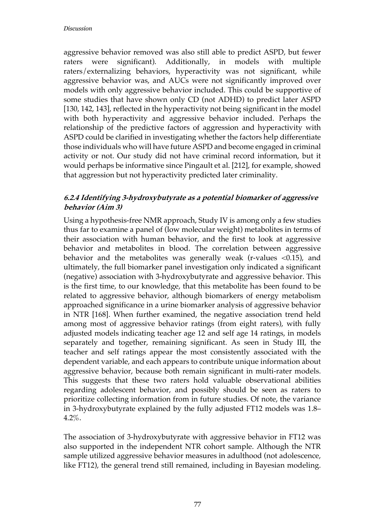aggressive behavior removed was also still able to predict ASPD, but fewer raters were significant). Additionally, in models with multiple raters/externalizing behaviors, hyperactivity was not significant, while aggressive behavior was, and AUCs were not significantly improved over models with only aggressive behavior included. This could be supportive of some studies that have shown only CD (not ADHD) to predict later ASPD [130, 142, 143], reflected in the hyperactivity not being significant in the model with both hyperactivity and aggressive behavior included. Perhaps the relationship of the predictive factors of aggression and hyperactivity with ASPD could be clarified in investigating whether the factors help differentiate those individuals who will have future ASPD and become engaged in criminal activity or not. Our study did not have criminal record information, but it would perhaps be informative since Pingault et al. [212], for example, showed that aggression but not hyperactivity predicted later criminality.

## **6.2.4 Identifying 3-hydroxybutyrate as a potential biomarker of aggressive behavior (Aim 3)**

Using a hypothesis-free NMR approach, Study IV is among only a few studies thus far to examine a panel of (low molecular weight) metabolites in terms of their association with human behavior, and the first to look at aggressive behavior and metabolites in blood. The correlation between aggressive behavior and the metabolites was generally weak (r-values <0.15), and ultimately, the full biomarker panel investigation only indicated a significant (negative) association with 3-hydroxybutyrate and aggressive behavior. This is the first time, to our knowledge, that this metabolite has been found to be related to aggressive behavior, although biomarkers of energy metabolism approached significance in a urine biomarker analysis of aggressive behavior in NTR [168]. When further examined, the negative association trend held among most of aggressive behavior ratings (from eight raters), with fully adjusted models indicating teacher age 12 and self age 14 ratings, in models separately and together, remaining significant. As seen in Study III, the teacher and self ratings appear the most consistently associated with the dependent variable, and each appears to contribute unique information about aggressive behavior, because both remain significant in multi-rater models. This suggests that these two raters hold valuable observational abilities regarding adolescent behavior, and possibly should be seen as raters to prioritize collecting information from in future studies. Of note, the variance in 3-hydroxybutyrate explained by the fully adjusted FT12 models was 1.8– 4.2%.

The association of 3-hydroxybutyrate with aggressive behavior in FT12 was also supported in the independent NTR cohort sample. Although the NTR sample utilized aggressive behavior measures in adulthood (not adolescence, like FT12), the general trend still remained, including in Bayesian modeling.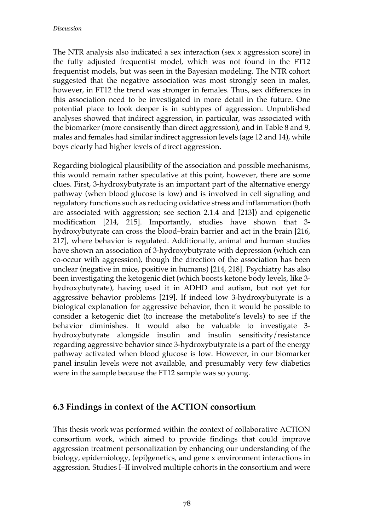The NTR analysis also indicated a sex interaction (sex x aggression score) in the fully adjusted frequentist model, which was not found in the FT12 frequentist models, but was seen in the Bayesian modeling. The NTR cohort suggested that the negative association was most strongly seen in males, however, in FT12 the trend was stronger in females. Thus, sex differences in this association need to be investigated in more detail in the future. One potential place to look deeper is in subtypes of aggression. Unpublished analyses showed that indirect aggression, in particular, was associated with the biomarker (more consisently than direct aggression), and in Table 8 and 9, males and females had similar indirect aggression levels (age 12 and 14), while boys clearly had higher levels of direct aggression.

Regarding biological plausibility of the association and possible mechanisms, this would remain rather speculative at this point, however, there are some clues. First, 3-hydroxybutyrate is an important part of the alternative energy pathway (when blood glucose is low) and is involved in cell signaling and regulatory functions such as reducing oxidative stress and inflammation (both are associated with aggression; see section 2.1.4 and [213]) and epigenetic modification [214, 215]. Importantly, studies have shown that 3 hydroxybutyrate can cross the blood–brain barrier and act in the brain [216, 217], where behavior is regulated. Additionally, animal and human studies have shown an association of 3-hydroxybutyrate with depression (which can co-occur with aggression), though the direction of the association has been unclear (negative in mice, positive in humans) [214, 218]. Psychiatry has also been investigating the ketogenic diet (which boosts ketone body levels, like 3 hydroxybutyrate), having used it in ADHD and autism, but not yet for aggressive behavior problems [219]. If indeed low 3-hydroxybutyrate is a biological explanation for aggressive behavior, then it would be possible to consider a ketogenic diet (to increase the metabolite's levels) to see if the behavior diminishes. It would also be valuable to investigate 3 hydroxybutyrate alongside insulin and insulin sensitivity/resistance regarding aggressive behavior since 3-hydroxybutyrate is a part of the energy pathway activated when blood glucose is low. However, in our biomarker panel insulin levels were not available, and presumably very few diabetics were in the sample because the FT12 sample was so young.

## **6.3 Findings in context of the ACTION consortium**

This thesis work was performed within the context of collaborative ACTION consortium work, which aimed to provide findings that could improve aggression treatment personalization by enhancing our understanding of the biology, epidemiology, (epi)genetics, and gene x environment interactions in aggression. Studies I–II involved multiple cohorts in the consortium and were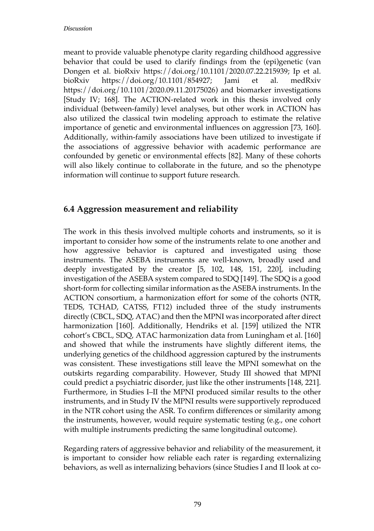meant to provide valuable phenotype clarity regarding childhood aggressive behavior that could be used to clarify findings from the (epi)genetic (van Dongen et al. bioRxiv https://doi.org/10.1101/2020.07.22.215939; Ip et al. bioRxiv https://doi.org/10.1101/854927; Jami et al. medRxiv https://doi.org/10.1101/2020.09.11.20175026) and biomarker investigations [Study IV; 168]. The ACTION-related work in this thesis involved only individual (between-family) level analyses, but other work in ACTION has also utilized the classical twin modeling approach to estimate the relative importance of genetic and environmental influences on aggression [73, 160]. Additionally, within-family associations have been utilized to investigate if the associations of aggressive behavior with academic performance are confounded by genetic or environmental effects [82]. Many of these cohorts will also likely continue to collaborate in the future, and so the phenotype information will continue to support future research.

## **6.4 Aggression measurement and reliability**

The work in this thesis involved multiple cohorts and instruments, so it is important to consider how some of the instruments relate to one another and how aggressive behavior is captured and investigated using those instruments. The ASEBA instruments are well-known, broadly used and deeply investigated by the creator [5, 102, 148, 151, 220], including investigation of the ASEBA system compared to SDQ [149]. The SDQ is a good short-form for collecting similar information as the ASEBA instruments. In the ACTION consortium, a harmonization effort for some of the cohorts (NTR, TEDS, TCHAD, CATSS, FT12) included three of the study instruments directly (CBCL, SDQ, ATAC) and then the MPNI was incorporated after direct harmonization [160]. Additionally, Hendriks et al. [159] utilized the NTR cohort's CBCL, SDQ, ATAC harmonization data from Luningham et al. [160] and showed that while the instruments have slightly different items, the underlying genetics of the childhood aggression captured by the instruments was consistent. These investigations still leave the MPNI somewhat on the outskirts regarding comparability. However, Study III showed that MPNI could predict a psychiatric disorder, just like the other instruments [148, 221]. Furthermore, in Studies I–II the MPNI produced similar results to the other instruments, and in Study IV the MPNI results were supportively reproduced in the NTR cohort using the ASR. To confirm differences or similarity among the instruments, however, would require systematic testing (e.g., one cohort with multiple instruments predicting the same longitudinal outcome).

Regarding raters of aggressive behavior and reliability of the measurement, it is important to consider how reliable each rater is regarding externalizing behaviors, as well as internalizing behaviors (since Studies I and II look at co-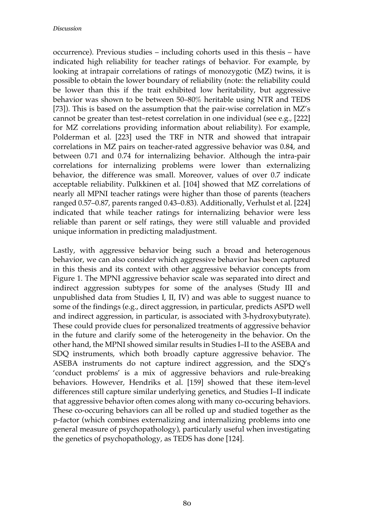occurrence). Previous studies – including cohorts used in this thesis – have indicated high reliability for teacher ratings of behavior. For example, by looking at intrapair correlations of ratings of monozygotic (MZ) twins, it is possible to obtain the lower boundary of reliability (note: the reliability could be lower than this if the trait exhibited low heritability, but aggressive behavior was shown to be between 50–80% heritable using NTR and TEDS [73]). This is based on the assumption that the pair-wise correlation in MZ's cannot be greater than test–retest correlation in one individual (see e.g., [222] for MZ correlations providing information about reliability). For example, Polderman et al. [223] used the TRF in NTR and showed that intrapair correlations in MZ pairs on teacher-rated aggressive behavior was 0.84, and between 0.71 and 0.74 for internalizing behavior. Although the intra-pair correlations for internalizing problems were lower than externalizing behavior, the difference was small. Moreover, values of over 0.7 indicate acceptable reliability. Pulkkinen et al. [104] showed that MZ correlations of nearly all MPNI teacher ratings were higher than those of parents (teachers ranged 0.57–0.87, parents ranged 0.43–0.83). Additionally, Verhulst et al. [224] indicated that while teacher ratings for internalizing behavior were less reliable than parent or self ratings, they were still valuable and provided unique information in predicting maladjustment.

Lastly, with aggressive behavior being such a broad and heterogenous behavior, we can also consider which aggressive behavior has been captured in this thesis and its context with other aggressive behavior concepts from Figure 1. The MPNI aggressive behavior scale was separated into direct and indirect aggression subtypes for some of the analyses (Study III and unpublished data from Studies I, II, IV) and was able to suggest nuance to some of the findings (e.g., direct aggression, in particular, predicts ASPD well and indirect aggression, in particular, is associated with 3-hydroxybutyrate). These could provide clues for personalized treatments of aggressive behavior in the future and clarify some of the heterogeneity in the behavior. On the other hand, the MPNI showed similar results in Studies I–II to the ASEBA and SDQ instruments, which both broadly capture aggressive behavior. The ASEBA instruments do not capture indirect aggression, and the SDQ's 'conduct problems' is a mix of aggressive behaviors and rule-breaking behaviors. However, Hendriks et al. [159] showed that these item-level differences still capture similar underlying genetics, and Studies I–II indicate that aggressive behavior often comes along with many co-occuring behaviors. These co-occuring behaviors can all be rolled up and studied together as the p-factor (which combines externalizing and internalizing problems into one general measure of psychopathology), particularly useful when investigating the genetics of psychopathology, as TEDS has done [124].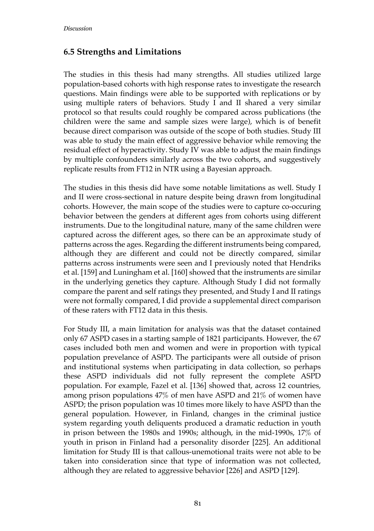## **6.5 Strengths and Limitations**

The studies in this thesis had many strengths. All studies utilized large population-based cohorts with high response rates to investigate the research questions. Main findings were able to be supported with replications or by using multiple raters of behaviors. Study I and II shared a very similar protocol so that results could roughly be compared across publications (the children were the same and sample sizes were large), which is of benefit because direct comparison was outside of the scope of both studies. Study III was able to study the main effect of aggressive behavior while removing the residual effect of hyperactivity. Study IV was able to adjust the main findings by multiple confounders similarly across the two cohorts, and suggestively replicate results from FT12 in NTR using a Bayesian approach.

The studies in this thesis did have some notable limitations as well. Study I and II were cross-sectional in nature despite being drawn from longitudinal cohorts. However, the main scope of the studies were to capture co-occuring behavior between the genders at different ages from cohorts using different instruments. Due to the longitudinal nature, many of the same children were captured across the different ages, so there can be an approximate study of patterns across the ages. Regarding the different instruments being compared, although they are different and could not be directly compared, similar patterns across instruments were seen and I previously noted that Hendriks et al. [159] and Luningham et al. [160] showed that the instruments are similar in the underlying genetics they capture. Although Study I did not formally compare the parent and self ratings they presented, and Study I and II ratings were not formally compared, I did provide a supplemental direct comparison of these raters with FT12 data in this thesis.

For Study III, a main limitation for analysis was that the dataset contained only 67 ASPD cases in a starting sample of 1821 participants. However, the 67 cases included both men and women and were in proportion with typical population prevelance of ASPD. The participants were all outside of prison and institutional systems when participating in data collection, so perhaps these ASPD individuals did not fully represent the complete ASPD population. For example, Fazel et al. [136] showed that, across 12 countries, among prison populations 47% of men have ASPD and 21% of women have ASPD; the prison population was 10 times more likely to have ASPD than the general population. However, in Finland, changes in the criminal justice system regarding youth deliquents produced a dramatic reduction in youth in prison between the 1980s and 1990s; although, in the mid-1990s, 17% of youth in prison in Finland had a personality disorder [225]. An additional limitation for Study III is that callous-unemotional traits were not able to be taken into consideration since that type of information was not collected, although they are related to aggressive behavior [226] and ASPD [129].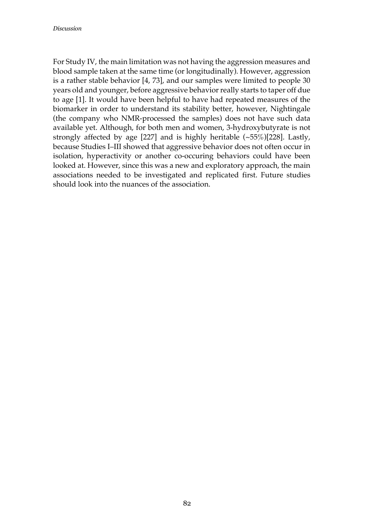For Study IV, the main limitation was not having the aggression measures and blood sample taken at the same time (or longitudinally). However, aggression is a rather stable behavior [4, 73], and our samples were limited to people 30 years old and younger, before aggressive behavior really starts to taper off due to age [1]. It would have been helpful to have had repeated measures of the biomarker in order to understand its stability better, however, Nightingale (the company who NMR-processed the samples) does not have such data available yet. Although, for both men and women, 3-hydroxybutyrate is not strongly affected by age [227] and is highly heritable (~55%)[228]. Lastly, because Studies I–III showed that aggressive behavior does not often occur in isolation, hyperactivity or another co-occuring behaviors could have been looked at. However, since this was a new and exploratory approach, the main associations needed to be investigated and replicated first. Future studies should look into the nuances of the association.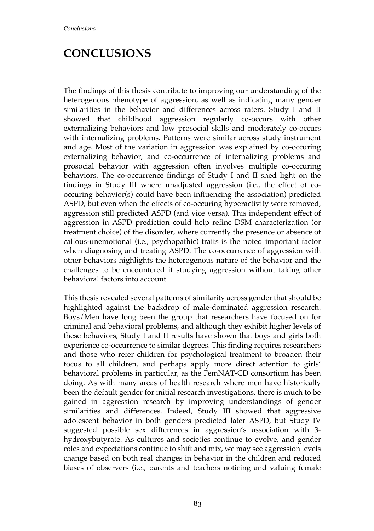## **CONCLUSIONS**

The findings of this thesis contribute to improving our understanding of the heterogenous phenotype of aggression, as well as indicating many gender similarities in the behavior and differences across raters. Study I and II showed that childhood aggression regularly co-occurs with other externalizing behaviors and low prosocial skills and moderately co-occurs with internalizing problems. Patterns were similar across study instrument and age. Most of the variation in aggression was explained by co-occuring externalizing behavior, and co-occurrence of internalizing problems and prosocial behavior with aggression often involves multiple co-occuring behaviors. The co-occurrence findings of Study I and II shed light on the findings in Study III where unadjusted aggression (i.e., the effect of cooccuring behavior(s) could have been influencing the association) predicted ASPD, but even when the effects of co-occuring hyperactivity were removed, aggression still predicted ASPD (and vice versa). This independent effect of aggression in ASPD prediction could help refine DSM characterization (or treatment choice) of the disorder, where currently the presence or absence of callous-unemotional (i.e., psychopathic) traits is the noted important factor when diagnosing and treating ASPD. The co-occurrence of aggression with other behaviors highlights the heterogenous nature of the behavior and the challenges to be encountered if studying aggression without taking other behavioral factors into account.

This thesis revealed several patterns of similarity across gender that should be highlighted against the backdrop of male-dominated aggression research. Boys/Men have long been the group that researchers have focused on for criminal and behavioral problems, and although they exhibit higher levels of these behaviors, Study I and II results have shown that boys and girls both experience co-occurrence to similar degrees. This finding requires researchers and those who refer children for psychological treatment to broaden their focus to all children, and perhaps apply more direct attention to girls' behavioral problems in particular, as the FemNAT-CD consortium has been doing. As with many areas of health research where men have historically been the default gender for initial research investigations, there is much to be gained in aggression research by improving understandings of gender similarities and differences. Indeed, Study III showed that aggressive adolescent behavior in both genders predicted later ASPD, but Study IV suggested possible sex differences in aggression's association with 3 hydroxybutyrate. As cultures and societies continue to evolve, and gender roles and expectations continue to shift and mix, we may see aggression levels change based on both real changes in behavior in the children and reduced biases of observers (i.e., parents and teachers noticing and valuing female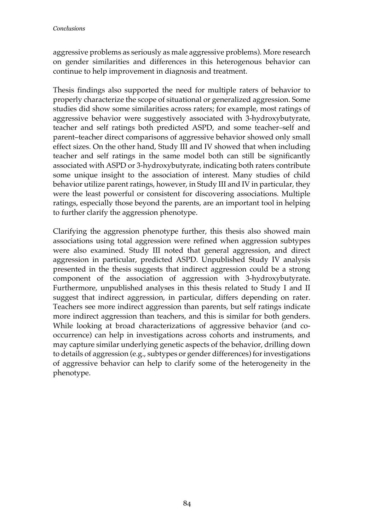aggressive problems as seriously as male aggressive problems). More research on gender similarities and differences in this heterogenous behavior can continue to help improvement in diagnosis and treatment.

Thesis findings also supported the need for multiple raters of behavior to properly characterize the scope of situational or generalized aggression. Some studies did show some similarities across raters; for example, most ratings of aggressive behavior were suggestively associated with 3-hydroxybutyrate, teacher and self ratings both predicted ASPD, and some teacher–self and parent–teacher direct comparisons of aggressive behavior showed only small effect sizes. On the other hand, Study III and IV showed that when including teacher and self ratings in the same model both can still be significantly associated with ASPD or 3-hydroxybutyrate, indicating both raters contribute some unique insight to the association of interest. Many studies of child behavior utilize parent ratings, however, in Study III and IV in particular, they were the least powerful or consistent for discovering associations. Multiple ratings, especially those beyond the parents, are an important tool in helping to further clarify the aggression phenotype.

Clarifying the aggression phenotype further, this thesis also showed main associations using total aggression were refined when aggression subtypes were also examined. Study III noted that general aggression, and direct aggression in particular, predicted ASPD. Unpublished Study IV analysis presented in the thesis suggests that indirect aggression could be a strong component of the association of aggression with 3-hydroxybutyrate. Furthermore, unpublished analyses in this thesis related to Study I and II suggest that indirect aggression, in particular, differs depending on rater. Teachers see more indirect aggression than parents, but self ratings indicate more indirect aggression than teachers, and this is similar for both genders. While looking at broad characterizations of aggressive behavior (and cooccurrence) can help in investigations across cohorts and instruments, and may capture similar underlying genetic aspects of the behavior, drilling down to details of aggression (e.g., subtypes or gender differences) for investigations of aggressive behavior can help to clarify some of the heterogeneity in the phenotype.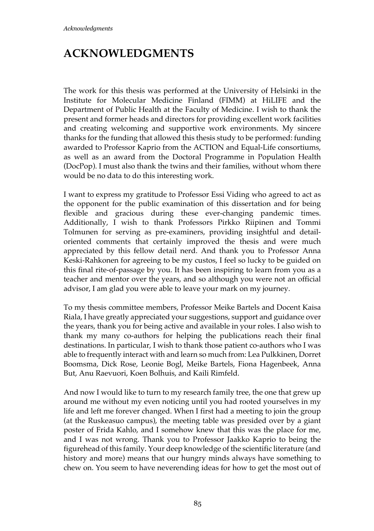# **ACKNOWLEDGMENTS**

The work for this thesis was performed at the University of Helsinki in the Institute for Molecular Medicine Finland (FIMM) at HiLIFE and the Department of Public Health at the Faculty of Medicine. I wish to thank the present and former heads and directors for providing excellent work facilities and creating welcoming and supportive work environments. My sincere thanks for the funding that allowed this thesis study to be performed: funding awarded to Professor Kaprio from the ACTION and Equal-Life consortiums, as well as an award from the Doctoral Programme in Population Health (DocPop). I must also thank the twins and their families, without whom there would be no data to do this interesting work.

I want to express my gratitude to Professor Essi Viding who agreed to act as the opponent for the public examination of this dissertation and for being flexible and gracious during these ever-changing pandemic times. Additionally, I wish to thank Professors Pirkko Riipinen and Tommi Tolmunen for serving as pre-examiners, providing insightful and detailoriented comments that certainly improved the thesis and were much appreciated by this fellow detail nerd. And thank you to Professor Anna Keski-Rahkonen for agreeing to be my custos, I feel so lucky to be guided on this final rite-of-passage by you. It has been inspiring to learn from you as a teacher and mentor over the years, and so although you were not an official advisor, I am glad you were able to leave your mark on my journey.

To my thesis committee members, Professor Meike Bartels and Docent Kaisa Riala, I have greatly appreciated your suggestions, support and guidance over the years, thank you for being active and available in your roles. I also wish to thank my many co-authors for helping the publications reach their final destinations. In particular, I wish to thank those patient co-authors who I was able to frequently interact with and learn so much from: Lea Pulkkinen, Dorret Boomsma, Dick Rose, Leonie Bogl, Meike Bartels, Fiona Hagenbeek, Anna But, Anu Raevuori, Koen Bolhuis, and Kaili Rimfeld.

And now I would like to turn to my research family tree, the one that grew up around me without my even noticing until you had rooted yourselves in my life and left me forever changed. When I first had a meeting to join the group (at the Ruskeasuo campus), the meeting table was presided over by a giant poster of Frida Kahlo, and I somehow knew that this was the place for me, and I was not wrong. Thank you to Professor Jaakko Kaprio to being the figurehead of this family. Your deep knowledge of the scientific literature (and history and more) means that our hungry minds always have something to chew on. You seem to have neverending ideas for how to get the most out of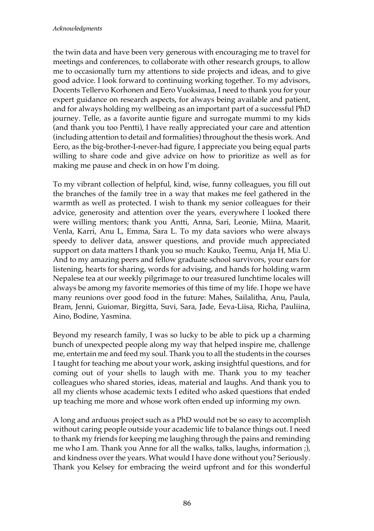the twin data and have been very generous with encouraging me to travel for meetings and conferences, to collaborate with other research groups, to allow me to occasionally turn my attentions to side projects and ideas, and to give good advice. I look forward to continuing working together. To my advisors, Docents Tellervo Korhonen and Eero Vuoksimaa, I need to thank you for your expert guidance on research aspects, for always being available and patient, and for always holding my wellbeing as an important part of a successful PhD journey. Telle, as a favorite auntie figure and surrogate mummi to my kids (and thank you too Pentti), I have really appreciated your care and attention (including attention to detail and formalities) throughout the thesis work. And Eero, as the big-brother-I-never-had figure, I appreciate you being equal parts willing to share code and give advice on how to prioritize as well as for making me pause and check in on how I'm doing.

To my vibrant collection of helpful, kind, wise, funny colleagues, you fill out the branches of the family tree in a way that makes me feel gathered in the warmth as well as protected. I wish to thank my senior colleagues for their advice, generosity and attention over the years, everywhere I looked there were willing mentors; thank you Antti, Anna, Sari, Leonie, Miina, Maarit, Venla, Karri, Anu L, Emma, Sara L. To my data saviors who were always speedy to deliver data, answer questions, and provide much appreciated support on data matters I thank you so much: Kauko, Teemu, Anja H, Mia U. And to my amazing peers and fellow graduate school survivors, your ears for listening, hearts for sharing, words for advising, and hands for holding warm Nepalese tea at our weekly pilgrimage to our treasured lunchtime locales will always be among my favorite memories of this time of my life. I hope we have many reunions over good food in the future: Mahes, Sailalitha, Anu, Paula, Bram, Jenni, Guiomar, Birgitta, Suvi, Sara, Jade, Eeva-Liisa, Richa, Pauliina, Aino, Bodine, Yasmina.

Beyond my research family, I was so lucky to be able to pick up a charming bunch of unexpected people along my way that helped inspire me, challenge me, entertain me and feed my soul. Thank you to all the students in the courses I taught for teaching me about your work, asking insightful questions, and for coming out of your shells to laugh with me. Thank you to my teacher colleagues who shared stories, ideas, material and laughs. And thank you to all my clients whose academic texts I edited who asked questions that ended up teaching me more and whose work often ended up informing my own.

A long and arduous project such as a PhD would not be so easy to accomplish without caring people outside your academic life to balance things out. I need to thank my friends for keeping me laughing through the pains and reminding me who I am. Thank you Anne for all the walks, talks, laughs, information ;), and kindness over the years. What would I have done without you? Seriously. Thank you Kelsey for embracing the weird upfront and for this wonderful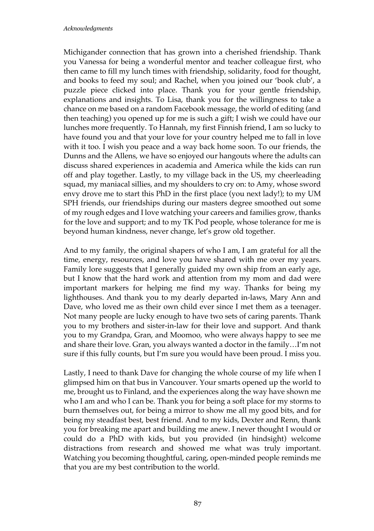Michigander connection that has grown into a cherished friendship. Thank you Vanessa for being a wonderful mentor and teacher colleague first, who then came to fill my lunch times with friendship, solidarity, food for thought, and books to feed my soul; and Rachel, when you joined our 'book club', a puzzle piece clicked into place. Thank you for your gentle friendship, explanations and insights. To Lisa, thank you for the willingness to take a chance on me based on a random Facebook message, the world of editing (and then teaching) you opened up for me is such a gift; I wish we could have our lunches more frequently. To Hannah, my first Finnish friend, I am so lucky to have found you and that your love for your country helped me to fall in love with it too. I wish you peace and a way back home soon. To our friends, the Dunns and the Allens, we have so enjoyed our hangouts where the adults can discuss shared experiences in academia and America while the kids can run off and play together. Lastly, to my village back in the US, my cheerleading squad, my maniacal sillies, and my shoulders to cry on: to Amy, whose sword envy drove me to start this PhD in the first place (you next lady!); to my UM SPH friends, our friendships during our masters degree smoothed out some of my rough edges and I love watching your careers and families grow, thanks for the love and support; and to my TK Pod people, whose tolerance for me is beyond human kindness, never change, let's grow old together.

And to my family, the original shapers of who I am, I am grateful for all the time, energy, resources, and love you have shared with me over my years. Family lore suggests that I generally guided my own ship from an early age, but I know that the hard work and attention from my mom and dad were important markers for helping me find my way. Thanks for being my lighthouses. And thank you to my dearly departed in-laws, Mary Ann and Dave, who loved me as their own child ever since I met them as a teenager. Not many people are lucky enough to have two sets of caring parents. Thank you to my brothers and sister-in-law for their love and support. And thank you to my Grandpa, Gran, and Moomoo, who were always happy to see me and share their love. Gran, you always wanted a doctor in the family…I'm not sure if this fully counts, but I'm sure you would have been proud. I miss you.

Lastly, I need to thank Dave for changing the whole course of my life when I glimpsed him on that bus in Vancouver. Your smarts opened up the world to me, brought us to Finland, and the experiences along the way have shown me who I am and who I can be. Thank you for being a soft place for my storms to burn themselves out, for being a mirror to show me all my good bits, and for being my steadfast best, best friend. And to my kids, Dexter and Renn, thank you for breaking me apart and building me anew. I never thought I would or could do a PhD with kids, but you provided (in hindsight) welcome distractions from research and showed me what was truly important. Watching you becoming thoughtful, caring, open-minded people reminds me that you are my best contribution to the world.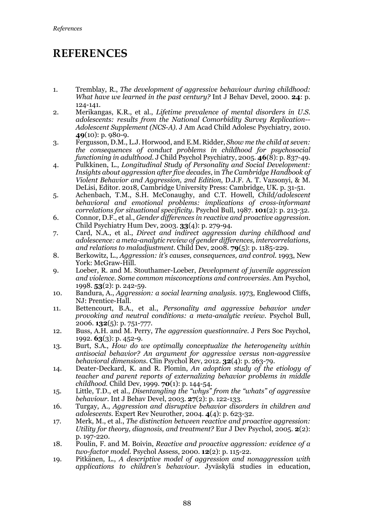## **REFERENCES**

- 1. Tremblay, R., *The development of aggressive behaviour during childhood: What have we learned in the past century?* Int J Behav Devel, 2000. **24**: p. 124-141.
- 2. Merikangas, K.R., et al., *Lifetime prevalence of mental disorders in U.S. adolescents: results from the National Comorbidity Survey Replication-- Adolescent Supplement (NCS-A).* J Am Acad Child Adolesc Psychiatry, 2010. **49**(10): p. 980-9.
- 3. Fergusson, D.M., L.J. Horwood, and E.M. Ridder, *Show me the child at seven: the consequences of conduct problems in childhood for psychosocial functioning in adulthood.* J Child Psychol Psychiatry, 2005. **46**(8): p. 837-49.
- 4. Pulkkinen, L., *Longitudinal Study of Personality and Social Development: Insights about aggression after five decades*, in *The Cambridge Handbook of Violent Behavior and Aggression, 2nd Edition*, D.J.F. A. T. Vazsonyi, & M. DeLisi, Editor. 2018, Cambridge University Press: Cambridge, UK. p. 31-51.
- 5. Achenbach, T.M., S.H. McConaughy, and C.T. Howell, *Child/adolescent behavioral and emotional problems: implications of cross-informant correlations for situational specificity.* Psychol Bull, 1987. **101**(2): p. 213-32.
- 6. Connor, D.F., et al., *Gender differences in reactive and proactive aggression.* Child Psychiatry Hum Dev, 2003. **33**(4): p. 279-94.
- 7. Card, N.A., et al., *Direct and indirect aggression during childhood and adolescence: a meta-analytic review of gender differences, intercorrelations, and relations to maladjustment.* Child Dev, 2008. **79**(5): p. 1185-229.
- 8. Berkowitz, L., *Aggression: it's causes, consequences, and control*. 1993, New York: McGraw-Hill.
- 9. Loeber, R. and M. Stouthamer-Loeber, *Development of juvenile aggression and violence. Some common misconceptions and controversies.* Am Psychol, 1998. **53**(2): p. 242-59.
- 10. Bandura, A., *Aggression: a social learning analysis*. 1973, Englewood Cliffs, NJ: Prentice-Hall.
- 11. Bettencourt, B.A., et al., *Personality and aggressive behavior under provoking and neutral conditions: a meta-analytic review.* Psychol Bull, 2006. **132**(5): p. 751-777.
- 12. Buss, A.H. and M. Perry, *The aggression questionnaire.* J Pers Soc Psychol, 1992. **63**(3): p. 452-9.
- 13. Burt, S.A., *How do we optimally conceptualize the heterogeneity within antisocial behavior? An argument for aggressive versus non-aggressive behavioral dimensions.* Clin Psychol Rev, 2012. **32**(4): p. 263-79.
- 14. Deater-Deckard, K. and R. Plomin, *An adoption study of the etiology of teacher and parent reports of externalizing behavior problems in middle childhood.* Child Dev, 1999. **70**(1): p. 144-54.
- 15. Little, T.D., et al., *Disentangling the "whys" from the "whats" of aggressive behaviour.* Int J Behav Devel, 2003. **27**(2): p. 122-133.
- 16. Turgay, A., *Aggression and disruptive behavior disorders in children and adolescents.* Expert Rev Neurother, 2004. **4**(4): p. 623-32.
- 17. Merk, M., et al., *The distinction between reactive and proactive aggression: Utility for theory, diagnosis, and treatment?* Eur J Dev Psychol, 2005. **2**(2): p. 197-220.
- 18. Poulin, F. and M. Boivin, *Reactive and proactive aggression: evidence of a two-factor model.* Psychol Assess, 2000. **12**(2): p. 115-22.
- 19. Pitkänen, L., *A descriptive model of aggression and nonaggression with applications to children's behaviour*. Jyväskylä studies in education,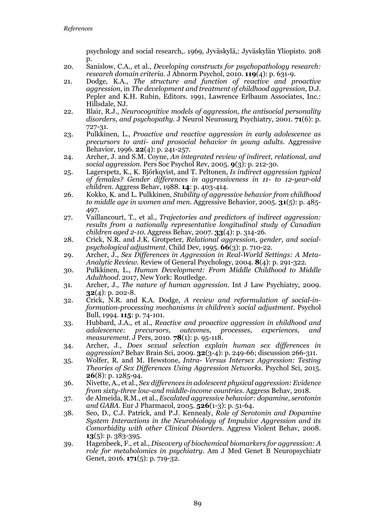psychology and social research,. 1969, Jyväskylä,: Jyväskylän Yliopisto. 208 p.

- 20. Sanislow, C.A., et al., *Developing constructs for psychopathology research: research domain criteria.* J Abnorm Psychol, 2010. **119**(4): p. 631-9.
- 21. Dodge, K.A., *The structure and function of reactive and proactive aggression*, in *The development and treatment of childhood aggression*, D.J. Pepler and K.H. Rubin, Editors. 1991, Lawrence Erlbaum Associates, Inc.: Hillsdale, NJ.
- 22. Blair, R.J., *Neurocognitive models of aggression, the antisocial personality disorders, and psychopathy.* J Neurol Neurosurg Psychiatry, 2001. **71**(6): p. 727-31.
- 23. Pulkkinen, L., *Proactive and reactive aggression in early adolescence as precursors to anti- and prosocial behavior in young adults.* Aggressive Behavior, 1996. **22**(4): p. 241-257.
- 24. Archer, J. and S.M. Coyne, *An integrated review of indirect, relational, and social aggression.* Pers Soc Psychol Rev, 2005. **9**(3): p. 212-30.
- 25. Lagerspetz, K., K. Björkqvist, and T. Peltonen, *Is indirect aggression typical of females? Gender differences in aggressiveness in 11- to 12-year-old children.* Aggress Behav, 1988. **14**: p. 403-414.
- 26. Kokko, K. and L. Pulkkinen, *Stability of aggressive behavior from childhood to middle age in women and men.* Aggressive Behavior, 2005. **31**(5): p. 485- 497.
- 27. Vaillancourt, T., et al., *Trajectories and predictors of indirect aggression: results from a nationally representative longitudinal study of Canadian children aged 2-10.* Aggress Behav, 2007. **33**(4): p. 314-26.
- 28. Crick, N.R. and J.K. Grotpeter, *Relational aggression, gender, and socialpsychological adjustment.* Child Dev, 1995. **66**(3): p. 710-22.
- 29. Archer, J., *Sex Differences in Aggression in Real-World Settings: A Meta-Analytic Review.* Review of General Psychology, 2004. **8**(4): p. 291-322.
- 30. Pulkkinen, L., *Human Development: From Middle Childhood to Middle Adulthood*. 2017, New York: Routledge.
- 31. Archer, J., *The nature of human aggression.* Int J Law Psychiatry, 2009. **32**(4): p. 202-8.
- 32. Crick, N.R. and K.A. Dodge, *A review and reformulation of social-information-processing mechanisms in children's social adjustment.* Psychol Bull, 1994. **115**: p. 74-101.
- 33. Hubbard, J.A., et al., *Reactive and proactive aggression in childhood and adolescence: precursors, outcomes, processes, experiences, and measurement.* J Pers, 2010. **78**(1): p. 95-118.
- 34. Archer, J., *Does sexual selection explain human sex differences in aggression?* Behav Brain Sci, 2009. **32**(3-4): p. 249-66; discussion 266-311.
- 35. Wolfer, R. and M. Hewstone, *Intra- Versus Intersex Aggression: Testing Theories of Sex Differences Using Aggression Networks.* Psychol Sci, 2015. **26**(8): p. 1285-94.
- 36. Nivette, A., et al., *Sex differences in adolescent physical aggression: Evidence from sixty-three low-and middle-income countries.* Aggress Behav, 2018.
- 37. de Almeida, R.M., et al., *Escalated aggressive behavior: dopamine, serotonin and GABA.* Eur J Pharmacol, 2005. **526**(1-3): p. 51-64.
- 38. Seo, D., C.J. Patrick, and P.J. Kennealy, *Role of Serotonin and Dopamine System Interactions in the Neurobiology of Impulsive Aggression and its Comorbidity with other Clinical Disorders.* Aggress Violent Behav, 2008. **13**(5): p. 383-395.
- 39. Hagenbeek, F., et al., *Discovery of biochemical biomarkers for aggression: A role for metabolomics in psychiatry.* Am J Med Genet B Neuropsychiatr Genet, 2016. **171**(5): p. 719-32.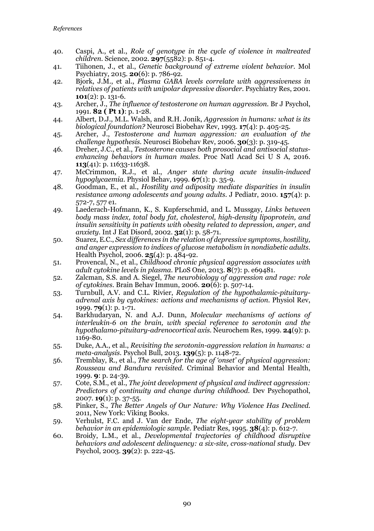- 40. Caspi, A., et al., *Role of genotype in the cycle of violence in maltreated children.* Science, 2002. **297**(5582): p. 851-4.
- 41. Tiihonen, J., et al., *Genetic background of extreme violent behavior.* Mol Psychiatry, 2015. **20**(6): p. 786-92.
- 42. Bjork, J.M., et al., *Plasma GABA levels correlate with aggressiveness in relatives of patients with unipolar depressive disorder.* Psychiatry Res, 2001. **101**(2): p. 131-6.
- 43. Archer, J., *The influence of testosterone on human aggression.* Br J Psychol, 1991. **82 ( Pt 1)**: p. 1-28.
- 44. Albert, D.J., M.L. Walsh, and R.H. Jonik, *Aggression in humans: what is its biological foundation?* Neurosci Biobehav Rev, 1993. **17**(4): p. 405-25.
- 45. Archer, J., *Testosterone and human aggression: an evaluation of the challenge hypothesis.* Neurosci Biobehav Rev, 2006. **30**(3): p. 319-45.
- 46. Dreher, J.C., et al., *Testosterone causes both prosocial and antisocial statusenhancing behaviors in human males.* Proc Natl Acad Sci U S A, 2016. **113**(41): p. 11633-11638.
- 47. McCrimmon, R.J., et al., *Anger state during acute insulin-induced hypoglycaemia.* Physiol Behav, 1999. **67**(1): p. 35-9.
- 48. Goodman, E., et al., *Hostility and adiposity mediate disparities in insulin resistance among adolescents and young adults.* J Pediatr, 2010. **157**(4): p. 572-7, 577 e1.
- 49. Laederach-Hofmann, K., S. Kupferschmid, and L. Mussgay, *Links between body mass index, total body fat, cholesterol, high-density lipoprotein, and insulin sensitivity in patients with obesity related to depression, anger, and anxiety.* Int J Eat Disord, 2002. **32**(1): p. 58-71.
- 50. Suarez, E.C., *Sex differences in the relation of depressive symptoms, hostility, and anger expression to indices of glucose metabolism in nondiabetic adults.* Health Psychol, 2006. **25**(4): p. 484-92.
- 51. Provencal, N., et al., *Childhood chronic physical aggression associates with adult cytokine levels in plasma.* PLoS One, 2013. **8**(7): p. e69481.
- 52. Zalcman, S.S. and A. Siegel, *The neurobiology of aggression and rage: role of cytokines.* Brain Behav Immun, 2006. **20**(6): p. 507-14.
- 53. Turnbull, A.V. and C.L. Rivier, *Regulation of the hypothalamic-pituitaryadrenal axis by cytokines: actions and mechanisms of action.* Physiol Rev, 1999. **79**(1): p. 1-71.
- 54. Barkhudaryan, N. and A.J. Dunn, *Molecular mechanisms of actions of interleukin-6 on the brain, with special reference to serotonin and the hypothalamo-pituitary-adrenocortical axis.* Neurochem Res, 1999. **24**(9): p. 1169-80.
- 55. Duke, A.A., et al., *Revisiting the serotonin-aggression relation in humans: a meta-analysis.* Psychol Bull, 2013. **139**(5): p. 1148-72.
- 56. Tremblay, R., et al., *The search for the age of 'onset' of physical aggression: Rousseau and Bandura revisited.* Criminal Behavior and Mental Health, 1999. **9**: p. 24-39.
- 57. Cote, S.M., et al., *The joint development of physical and indirect aggression: Predictors of continuity and change during childhood.* Dev Psychopathol, 2007. **19**(1): p. 37-55.
- 58. Pinker, S., *The Better Angels of Our Nature: Why Violence Has Declined*. 2011, New York: Viking Books.
- 59. Verhulst, F.C. and J. Van der Ende, *The eight-year stability of problem behavior in an epidemiologic sample.* Pediatr Res, 1995. **38**(4): p. 612-7.
- 60. Broidy, L.M., et al., *Developmental trajectories of childhood disruptive behaviors and adolescent delinquency: a six-site, cross-national study.* Dev Psychol, 2003. **39**(2): p. 222-45.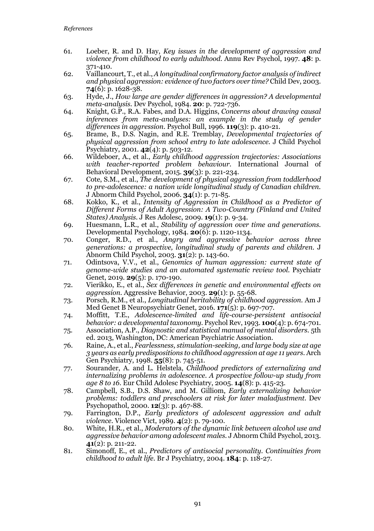- 61. Loeber, R. and D. Hay, *Key issues in the development of aggression and violence from childhood to early adulthood.* Annu Rev Psychol, 1997. **48**: p. 371-410.
- 62. Vaillancourt, T., et al., *A longitudinal confirmatory factor analysis of indirect and physical aggression: evidence of two factors over time?* Child Dev, 2003. **74**(6): p. 1628-38.
- 63. Hyde, J., *How large are gender differences in aggression? A developmental meta-analysis.* Dev Psychol, 1984. **20**: p. 722-736.
- 64. Knight, G.P., R.A. Fabes, and D.A. Higgins, *Concerns about drawing causal*  inferences from meta-analyses: an example in the study of gender *differences in aggression.* Psychol Bull, 1996. **119**(3): p. 410-21.
- 65. Brame, B., D.S. Nagin, and R.E. Tremblay, *Developmental trajectories of physical aggression from school entry to late adolescence.* J Child Psychol Psychiatry, 2001. **42**(4): p. 503-12.
- 66. Wildeboer, A., et al., *Early childhood aggression trajectories: Associations with teacher-reported problem behaviour.* International Journal of Behavioral Development, 2015. **39**(3): p. 221-234.
- 67. Cote, S.M., et al., *The development of physical aggression from toddlerhood to pre-adolescence: a nation wide longitudinal study of Canadian children.* J Abnorm Child Psychol, 2006. **34**(1): p. 71-85.
- 68. Kokko, K., et al., *Intensity of Aggression in Childhood as a Predictor of Different Forms of Adult Aggression: A Two-Country (Finland and United States) Analysis.* J Res Adolesc, 2009. **19**(1): p. 9-34.
- 69. Huesmann, L.R., et al., *Stability of aggression over time and generations.* Developmental Psychology, 1984. **20**(6): p. 1120-1134.
- 70. Conger, R.D., et al., *Angry and aggressive behavior across three generations: a prospective, longitudinal study of parents and children.* J Abnorm Child Psychol, 2003. **31**(2): p. 143-60.
- 71. Odintsova, V.V., et al., *Genomics of human aggression: current state of genome-wide studies and an automated systematic review tool.* Psychiatr Genet, 2019. **29**(5): p. 170-190.
- 72. Vierikko, E., et al., *Sex differences in genetic and environmental effects on aggression.* Aggressive Behavior, 2003. **29**(1): p. 55-68.
- 73. Porsch, R.M., et al., *Longitudinal heritability of childhood aggression.* Am J Med Genet B Neuropsychiatr Genet, 2016. **171**(5): p. 697-707.
- 74. Moffitt, T.E., *Adolescence-limited and life-course-persistent antisocial behavior: a developmental taxonomy.* Psychol Rev, 1993. **100**(4): p. 674-701.
- 75. Association, A.P., *Diagnostic and statistical manual of mental disorders*. 5th ed. 2013, Washington, DC: American Psychiatric Association.
- 76. Raine, A., et al., *Fearlessness, stimulation-seeking, and large body size at age 3 years as early predispositions to childhood aggression at age 11 years.* Arch Gen Psychiatry, 1998. **55**(8): p. 745-51.
- 77. Sourander, A. and L. Helstela, *Childhood predictors of externalizing and internalizing problems in adolescence. A prospective follow-up study from age 8 to 16.* Eur Child Adolesc Psychiatry, 2005. **14**(8): p. 415-23.
- 78. Campbell, S.B., D.S. Shaw, and M. Gilliom, *Early externalizing behavior problems: toddlers and preschoolers at risk for later maladjustment.* Dev Psychopathol, 2000. **12**(3): p. 467-88.
- 79. Farrington, D.P., *Early predictors of adolescent aggression and adult violence.* Violence Vict, 1989. **4**(2): p. 79-100.
- 80. White, H.R., et al., *Moderators of the dynamic link between alcohol use and aggressive behavior among adolescent males.* J Abnorm Child Psychol, 2013. **41**(2): p. 211-22.
- 81. Simonoff, E., et al., *Predictors of antisocial personality. Continuities from childhood to adult life.* Br J Psychiatry, 2004. **184**: p. 118-27.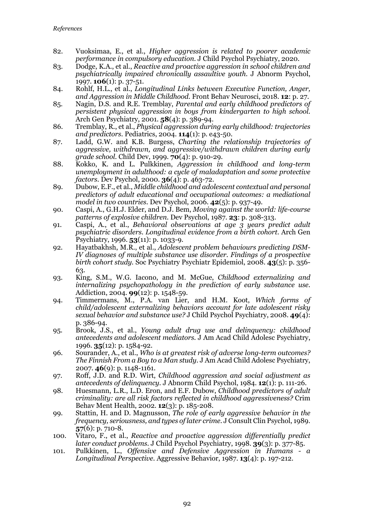- 82. Vuoksimaa, E., et al., *Higher aggression is related to poorer academic performance in compulsory education.* J Child Psychol Psychiatry, 2020.
- 83. Dodge, K.A., et al., *Reactive and proactive aggression in school children and psychiatrically impaired chronically assaultive youth.* J Abnorm Psychol, 1997. **106**(1): p. 37-51.
- 84. Rohlf, H.L., et al., *Longitudinal Links between Executive Function, Anger, and Aggression in Middle Childhood.* Front Behav Neurosci, 2018. **12**: p. 27.
- 85. Nagin, D.S. and R.E. Tremblay, *Parental and early childhood predictors of persistent physical aggression in boys from kindergarten to high school.* Arch Gen Psychiatry, 2001. **58**(4): p. 389-94.
- 86. Tremblay, R., et al., *Physical aggression during early childhood: trajectories and predictors.* Pediatrics, 2004. **114**(1): p. e43-50.
- 87. Ladd, G.W. and K.B. Burgess, *Charting the relationship trajectories of aggressive, withdrawn, and aggressive/withdrawn children during early grade school.* Child Dev, 1999. **70**(4): p. 910-29.
- 88. Kokko, K. and L. Pulkkinen, *Aggression in childhood and long-term unemployment in adulthood: a cycle of maladaptation and some protective factors.* Dev Psychol, 2000. **36**(4): p. 463-72.
- 89. Dubow, E.F., et al., *Middle childhood and adolescent contextual and personal predictors of adult educational and occupational outcomes: a mediational model in two countries.* Dev Psychol, 2006. **42**(5): p. 937-49.
- 90. Caspi, A., G.H.J. Elder, and D.J. Bem, *Moving against the world: life-course patterns of explosive children.* Dev Psychol, 1987. **23**: p. 308-313.
- 91. Caspi, A., et al., *Behavioral observations at age 3 years predict adult psychiatric disorders. Longitudinal evidence from a birth cohort.* Arch Gen Psychiatry, 1996. **53**(11): p. 1033-9.
- 92. Hayatbakhsh, M.R., et al., *Adolescent problem behaviours predicting DSM-IV diagnoses of multiple substance use disorder. Findings of a prospective birth cohort study.* Soc Psychiatry Psychiatr Epidemiol, 2008. **43**(5): p. 356- 63.
- 93. King, S.M., W.G. Iacono, and M. McGue, *Childhood externalizing and internalizing psychopathology in the prediction of early substance use.* Addiction, 2004. **99**(12): p. 1548-59.
- 94. Timmermans, M., P.A. van Lier, and H.M. Koot, *Which forms of child/adolescent externalizing behaviors account for late adolescent risky sexual behavior and substance use?* J Child Psychol Psychiatry, 2008. **49**(4): p. 386-94.
- 95. Brook, J.S., et al., *Young adult drug use and delinquency: childhood antecedents and adolescent mediators.* J Am Acad Child Adolesc Psychiatry, 1996. **35**(12): p. 1584-92.
- 96. Sourander, A., et al., *Who is at greatest risk of adverse long-term outcomes? The Finnish From a Boy to a Man study.* J Am Acad Child Adolesc Psychiatry, 2007. **46**(9): p. 1148-1161.
- 97. Roff, J.D. and R.D. Wirt, *Childhood aggression and social adjustment as antecedents of delinquency.* J Abnorm Child Psychol, 1984. **12**(1): p. 111-26.
- 98. Huesmann, L.R., L.D. Eron, and E.F. Dubow, *Childhood predictors of adult criminality: are all risk factors reflected in childhood aggressiveness?* Crim Behav Ment Health, 2002. **12**(3): p. 185-208.
- 99. Stattin, H. and D. Magnusson, *The role of early aggressive behavior in the frequency, seriousness, and types of later crime.* J Consult Clin Psychol, 1989. **57**(6): p. 710-8.
- 100. Vitaro, F., et al., *Reactive and proactive aggression differentially predict later conduct problems.* J Child Psychol Psychiatry, 1998. **39**(3): p. 377-85.
- 101. Pulkkinen, L., *Offensive and Defensive Aggression in Humans a Longitudinal Perspective.* Aggressive Behavior, 1987. **13**(4): p. 197-212.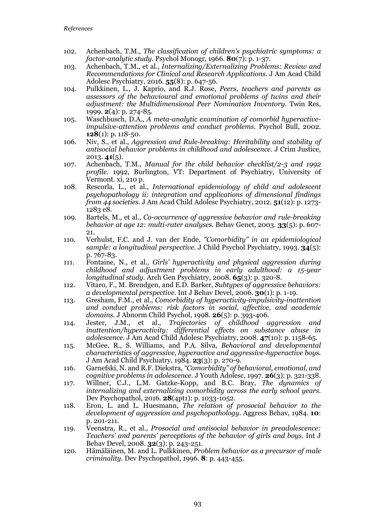- 102. Achenbach, T.M., *The classification of children's psychiatric symptoms: a factor-analytic study.* Psychol Monogr, 1966. **80**(7): p. 1-37.
- 103. Achenbach, T.M., et al., *Internalizing/Externalizing Problems: Review and Recommendations for Clinical and Research Applications.* J Am Acad Child Adolesc Psychiatry, 2016. **55**(8): p. 647-56.
- 104. Pulkkinen, L., J. Kaprio, and R.J. Rose, *Peers, teachers and parents as assessors of the behavioural and emotional problems of twins and their adjustment: the Multidimensional Peer Nomination Inventory.* Twin Res, 1999. **2**(4): p. 274-85.
- 105. Waschbusch, D.A., *A meta-analytic examination of comorbid hyperactiveimpulsive-attention problems and conduct problems.* Psychol Bull, 2002. **128**(1): p. 118-50.
- 106. Niv, S., et al., *Aggression and Rule-breaking: Heritability and stability of antisocial behavior problems in childhood and adolescence.* J Crim Justice, 2013. **41**(5).
- 107. Achenbach, T.M., *Manual for the child behavior checklist/2-3 and 1992 profile*. 1992, Burlington, VT: Department of Psychiatry, University of Vermont. xi, 210 p.
- 108. Rescorla, L., et al., *International epidemiology of child and adolescent psychopathology ii: integration and applications of dimensional findings from 44 societies.* J Am Acad Child Adolesc Psychiatry, 2012. **51**(12): p. 1273- 1283 e8.
- 109. Bartels, M., et al., *Co-occurrence of aggressive behavior and rule-breaking behavior at age 12: multi-rater analyses.* Behav Genet, 2003. **33**(5): p. 607- 21.
- 110. Verhulst, F.C. and J. van der Ende, *"Comorbidity" in an epidemiological sample: a longitudinal perspective.* J Child Psychol Psychiatry, 1993. **34**(5): p. 767-83.
- 111. Fontaine, N., et al., *Girls' hyperactivity and physical aggression during childhood and adjustment problems in early adulthood: a 15-year longitudinal study.* Arch Gen Psychiatry, 2008. **65**(3): p. 320-8.
- 112. Vitaro, F., M. Brendgen, and E.D. Barker, *Subtypes of aggressive behaviors: a developmental perspective.* Int J Behav Devel, 2006. **30**(1): p. 1-19.
- 113. Gresham, F.M., et al., *Comorbidity of hyperactivity-impulsivity-inattention and conduct problems: risk factors in social, affective, and academic domains.* J Abnorm Child Psychol, 1998. **26**(5): p. 393-406.
- 114. Jester, J.M., et al., *Trajectories of childhood aggression and inattention/hyperactivity: differential effects on substance abuse in adolescence.* J Am Acad Child Adolesc Psychiatry, 2008. **47**(10): p. 1158-65.
- 115. McGee, R., S. Williams, and P.A. Silva, *Behavioral and developmental characteristics of aggressive, hyperactive and aggressive-hyperactive boys.* J Am Acad Child Psychiatry, 1984. **23**(3): p. 270-9.
- 116. Garnefski, N. and R.F. Diekstra, *"Comorbidity" of behavioral, emotional, and cognitive problems in adolescence.* J Youth Adolesc, 1997. **26**(3): p. 321-338.
- 117. Willner, C.J., L.M. Gatzke-Kopp, and B.C. Bray, *The dynamics of internalizing and externalizing comorbidity across the early school years.* Dev Psychopathol, 2016. **28**(4pt1): p. 1033-1052.
- 118. Eron, L. and L. Huesmann, *The relation of prosocial behavior to the development of aggression and psychopathology.* Aggress Behav, 1984. **10**: p. 201-211.
- 119. Veenstra, R., et al., *Prosocial and antisocial behavior in preadolescence: Teachers' and parents' perceptions of the behavior of girls and boys.* Int J Behav Devel, 2008. **32**(3): p. 243-251.
- 120. Hämäläinen, M. and L. Pulkkinen, *Problem behavior as a precursor of male criminality.* Dev Psychopathol, 1996. **8**: p. 443-455.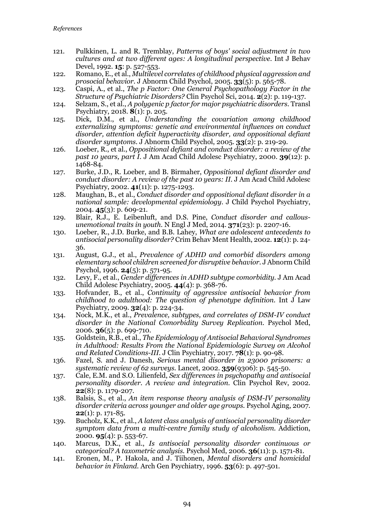- 121. Pulkkinen, L. and R. Tremblay, *Patterns of boys' social adjustment in two cultures and at two different ages: A longitudinal perspective.* Int J Behav Devel, 1992. **15**: p. 527-553.
- 122. Romano, E., et al., *Multilevel correlates of childhood physical aggression and prosocial behavior.* J Abnorm Child Psychol, 2005. **33**(5): p. 565-78.
- 123. Caspi, A., et al., *The p Factor: One General Psychopathology Factor in the Structure of Psychiatric Disorders?* Clin Psychol Sci, 2014. **2**(2): p. 119-137.
- 124. Selzam, S., et al., *A polygenic p factor for major psychiatric disorders.* Transl Psychiatry, 2018. **8**(1): p. 205.
- 125. Dick, D.M., et al., *Understanding the covariation among childhood externalizing symptoms: genetic and environmental influences on conduct disorder, attention deficit hyperactivity disorder, and oppositional defiant disorder symptoms.* J Abnorm Child Psychol, 2005. **33**(2): p. 219-29.
- 126. Loeber, R., et al., *Oppositional defiant and conduct disorder: a review of the past 10 years, part I.* J Am Acad Child Adolesc Psychiatry, 2000. **39**(12): p. 1468-84.
- 127. Burke, J.D., R. Loeber, and B. Birmaher, *Oppositional defiant disorder and conduct disorder: A review of the past 10 years: II.* J Am Acad Child Adolesc Psychiatry, 2002. **41**(11): p. 1275-1293.
- 128. Maughan, B., et al., *Conduct disorder and oppositional defiant disorder in a national sample: developmental epidemiology.* J Child Psychol Psychiatry, 2004. **45**(3): p. 609-21.
- 129. Blair, R.J., E. Leibenluft, and D.S. Pine, *Conduct disorder and callousunemotional traits in youth.* N Engl J Med, 2014. **371**(23): p. 2207-16.
- 130. Loeber, R., J.D. Burke, and B.B. Lahey, *What are adolescent antecedents to antisocial personality disorder?* Crim Behav Ment Health, 2002. **12**(1): p. 24- 36.
- 131. August, G.J., et al., *Prevalence of ADHD and comorbid disorders among elementary school children screened for disruptive behavior.* J Abnorm Child Psychol, 1996. **24**(5): p. 571-95.
- 132. Levy, F., et al., *Gender differences in ADHD subtype comorbidity.* J Am Acad Child Adolesc Psychiatry, 2005. **44**(4): p. 368-76.
- 133. Hofvander, B., et al., *Continuity of aggressive antisocial behavior from childhood to adulthood: The question of phenotype definition.* Int J Law Psychiatry, 2009. **32**(4): p. 224-34.
- 134. Nock, M.K., et al., *Prevalence, subtypes, and correlates of DSM-IV conduct disorder in the National Comorbidity Survey Replication.* Psychol Med, 2006. **36**(5): p. 699-710.
- 135. Goldstein, R.B., et al., *The Epidemiology of Antisocial Behavioral Syndromes in Adulthood: Results From the National Epidemiologic Survey on Alcohol and Related Conditions-III.* J Clin Psychiatry, 2017. **78**(1): p. 90-98.
- 136. Fazel, S. and J. Danesh, *Serious mental disorder in 23000 prisoners: a systematic review of 62 surveys.* Lancet, 2002. **359**(9306): p. 545-50.
- 137. Cale, E.M. and S.O. Lilienfeld, *Sex differences in psychopathy and antisocial personality disorder. A review and integration.* Clin Psychol Rev, 2002. **22**(8): p. 1179-207.
- 138. Balsis, S., et al., *An item response theory analysis of DSM-IV personality disorder criteria across younger and older age groups.* Psychol Aging, 2007. **22**(1): p. 171-85.
- 139. Bucholz, K.K., et al., *A latent class analysis of antisocial personality disorder symptom data from a multi-centre family study of alcoholism.* Addiction, 2000. **95**(4): p. 553-67.
- 140. Marcus, D.K., et al., *Is antisocial personality disorder continuous or categorical? A taxometric analysis.* Psychol Med, 2006. **36**(11): p. 1571-81.
- 141. Eronen, M., P. Hakola, and J. Tiihonen, *Mental disorders and homicidal behavior in Finland.* Arch Gen Psychiatry, 1996. **53**(6): p. 497-501.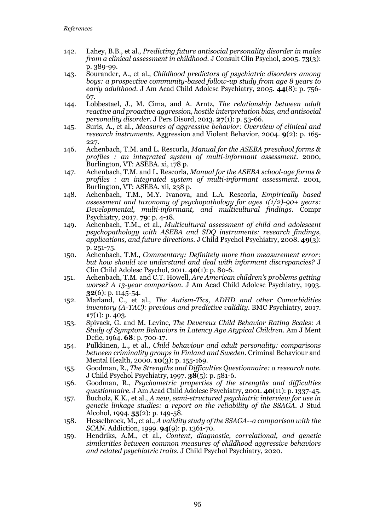- 142. Lahey, B.B., et al., *Predicting future antisocial personality disorder in males from a clinical assessment in childhood.* J Consult Clin Psychol, 2005. **73**(3): p. 389-99.
- 143. Sourander, A., et al., *Childhood predictors of psychiatric disorders among boys: a prospective community-based follow-up study from age 8 years to early adulthood.* J Am Acad Child Adolesc Psychiatry, 2005. **44**(8): p. 756- 67.
- 144. Lobbestael, J., M. Cima, and A. Arntz, *The relationship between adult reactive and proactive aggression, hostile interpretation bias, and antisocial personality disorder.* J Pers Disord, 2013. **27**(1): p. 53-66.
- 145. Suris, A., et al., *Measures of aggressive behavior: Overview of clinical and research instruments.* Aggression and Violent Behavior, 2004. **9**(2): p. 165- 227.
- 146. Achenbach, T.M. and L. Rescorla, *Manual for the ASEBA preschool forms & profiles : an integrated system of multi-informant assessment*. 2000, Burlington, VT: ASEBA. xi, 178 p.
- 147. Achenbach, T.M. and L. Rescorla, *Manual for the ASEBA school-age forms & profiles : an integrated system of multi-informant assessment*. 2001, Burlington, VT: ASEBA. xii, 238 p.
- 148. Achenbach, T.M., M.Y. Ivanova, and L.A. Rescorla, *Empirically based assessment and taxonomy of psychopathology for ages 1(1/2)-90+ years: Developmental, multi-informant, and multicultural findings.* Compr Psychiatry, 2017. **79**: p. 4-18.
- 149. Achenbach, T.M., et al., *Multicultural assessment of child and adolescent psychopathology with ASEBA and SDQ instruments: research findings, applications, and future directions.* J Child Psychol Psychiatry, 2008. **49**(3): p. 251-75.
- 150. Achenbach, T.M., *Commentary: Definitely more than measurement error: but how should we understand and deal with informant discrepancies?* J Clin Child Adolesc Psychol, 2011. **40**(1): p. 80-6.
- 151. Achenbach, T.M. and C.T. Howell, *Are American children's problems getting worse? A 13-year comparison.* J Am Acad Child Adolesc Psychiatry, 1993. **32**(6): p. 1145-54.
- 152. Marland, C., et al., *The Autism-Tics, ADHD and other Comorbidities inventory (A-TAC): previous and predictive validity.* BMC Psychiatry, 2017. **17**(1): p. 403.
- 153. Spivack, G. and M. Levine, *The Devereux Child Behavior Rating Scales: A Study of Symptom Behaviors in Latency Age Atypical Children.* Am J Ment Defic, 1964. **68**: p. 700-17.
- 154. Pulkkinen, L., et al., *Child behaviour and adult personality: comparisons between criminality groups in Finland and Sweden.* Criminal Behaviour and Mental Health, 2000. **10**(3): p. 155-169.
- 155. Goodman, R., *The Strengths and Difficulties Questionnaire: a research note.* J Child Psychol Psychiatry, 1997. **38**(5): p. 581-6.
- 156. Goodman, R., *Psychometric properties of the strengths and difficulties questionnaire.* J Am Acad Child Adolesc Psychiatry, 2001. **40**(11): p. 1337-45.
- 157. Bucholz, K.K., et al., *A new, semi-structured psychiatric interview for use in genetic linkage studies: a report on the reliability of the SSAGA.* J Stud Alcohol, 1994. **55**(2): p. 149-58.
- 158. Hesselbrock, M., et al., *A validity study of the SSAGA--a comparison with the SCAN.* Addiction, 1999. **94**(9): p. 1361-70.
- 159. Hendriks, A.M., et al., *Content, diagnostic, correlational, and genetic similarities between common measures of childhood aggressive behaviors and related psychiatric traits.* J Child Psychol Psychiatry, 2020.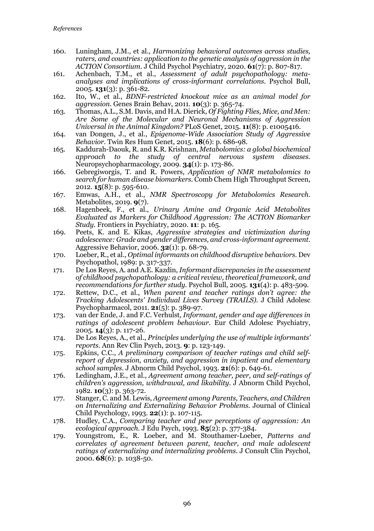- 160. Luningham, J.M., et al., *Harmonizing behavioral outcomes across studies, raters, and countries: application to the genetic analysis of aggression in the ACTION Consortium.* J Child Psychol Psychiatry, 2020. **61**(7): p. 807-817.
- 161. Achenbach, T.M., et al., *Assessment of adult psychopathology: metaanalyses and implications of cross-informant correlations.* Psychol Bull, 2005. **131**(3): p. 361-82.
- 162. Ito, W., et al., *BDNF-restricted knockout mice as an animal model for aggression.* Genes Brain Behav, 2011. **10**(3): p. 365-74.
- 163. Thomas, A.L., S.M. Davis, and H.A. Dierick, *Of Fighting Flies, Mice, and Men: Are Some of the Molecular and Neuronal Mechanisms of Aggression Universal in the Animal Kingdom?* PLoS Genet, 2015. **11**(8): p. e1005416.
- 164. van Dongen, J., et al., *Epigenome-Wide Association Study of Aggressive Behavior.* Twin Res Hum Genet, 2015. **18**(6): p. 686-98.
- 165. Kaddurah-Daouk, R. and K.R. Krishnan, *Metabolomics: a global biochemical approach to the study of central nervous system diseases.* Neuropsychopharmacology, 2009. **34**(1): p. 173-86.
- 166. Gebregiworgis, T. and R. Powers, *Application of NMR metabolomics to search for human disease biomarkers.* Comb Chem High Throughput Screen, 2012. **15**(8): p. 595-610.
- 167. Emwas, A.H., et al., *NMR Spectroscopy for Metabolomics Research.* Metabolites, 2019. **9**(7).
- 168. Hagenbeek, F., et al., *Urinary Amine and Organic Acid Metabolites Evaluated as Markers for Childhood Aggression: The ACTION Biomarker Study.* Frontiers in Psychiatry, 2020. **11**: p. 165.
- 169. Peets, K. and E. Kikas, *Aggressive strategies and victimization during adolescence: Grade and gender differences, and cross-informant agreement.* Aggressive Behavior, 2006. **32**(1): p. 68-79.
- 170. Loeber, R., et al., *Optimal informants on childhood disruptive behaviors.* Dev Psychopathol, 1989: p. 317-337.
- 171. De Los Reyes, A. and A.E. Kazdin, *Informant discrepancies in the assessment of childhood psychopathology: a critical review, theoretical framework, and recommendations for further study.* Psychol Bull, 2005. **131**(4): p. 483-509.
- 172. Rettew, D.C., et al., *When parent and teacher ratings don't agree: the Tracking Adolescents' Individual Lives Survey (TRAILS).* J Child Adolesc Psychopharmacol, 2011. **21**(5): p. 389-97.
- 173. van der Ende, J. and F.C. Verhulst, *Informant, gender and age differences in ratings of adolescent problem behaviour.* Eur Child Adolesc Psychiatry, 2005. **14**(3): p. 117-26.
- 174. De Los Reyes, A., et al., *Principles underlying the use of multiple informants' reports.* Ann Rev Clin Psych, 2013. **9**: p. 123-149.
- 175. Epkins, C.C., *A preliminary comparison of teacher ratings and child selfreport of depression, anxiety, and aggression in inpatient and elementary school samples.* J Abnorm Child Psychol, 1993. **21**(6): p. 649-61.
- 176. Ledingham, J.E., et al., *Agreement among teacher, peer, and self-ratings of children's aggression, withdrawal, and likability.* J Abnorm Child Psychol, 1982. **10**(3): p. 363-72.
- 177. Stanger, C. and M. Lewis, *Agreement among Parents, Teachers, and Children on Internalizing and Externalizing Behavior Problems.* Journal of Clinical Child Psychology, 1993. **22**(1): p. 107-115.
- 178. Hudley, C.A., *Comparing teacher and peer perceptions of aggression: An ecological approach.* J Edu Psych, 1993. **85**(2): p. 377-384.
- 179. Youngstrom, E., R. Loeber, and M. Stouthamer-Loeber, *Patterns and correlates of agreement between parent, teacher, and male adolescent ratings of externalizing and internalizing problems.* J Consult Clin Psychol, 2000. **68**(6): p. 1038-50.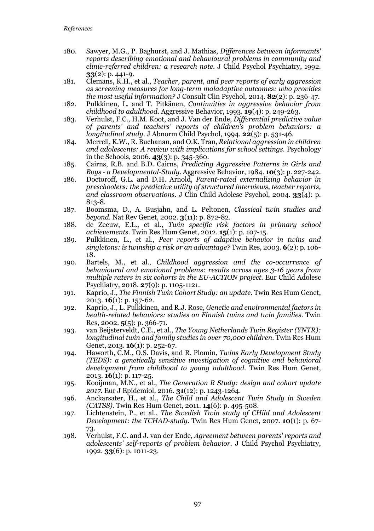- 180. Sawyer, M.G., P. Baghurst, and J. Mathias, *Differences between informants' reports describing emotional and behavioural problems in community and clinic-referred children: a research note.* J Child Psychol Psychiatry, 1992. **33**(2): p. 441-9.
- 181. Clemans, K.H., et al., *Teacher, parent, and peer reports of early aggression as screening measures for long-term maladaptive outcomes: who provides the most useful information?* J Consult Clin Psychol, 2014. **82**(2): p. 236-47.
- 182. Pulkkinen, L. and T. Pitkänen, *Continuities in aggressive behavior from childhood to adulthood.* Aggressive Behavior, 1993. **19**(4): p. 249-263.
- 183. Verhulst, F.C., H.M. Koot, and J. Van der Ende, *Differential predictive value of parents' and teachers' reports of children's problem behaviors: a longitudinal study.* J Abnorm Child Psychol, 1994. **22**(5): p. 531-46.
- 184. Merrell, K.W., R. Buchanan, and O.K. Tran, *Relational aggression in children and adolescents: A review with implications for school settings.* Psychology in the Schools, 2006. **43**(3): p. 345-360.
- 185. Cairns, R.B. and B.D. Cairns, *Predicting Aggressive Patterns in Girls and Boys - a Developmental-Study.* Aggressive Behavior, 1984. **10**(3): p. 227-242.
- 186. Doctoroff, G.L. and D.H. Arnold, *Parent-rated externalizing behavior in preschoolers: the predictive utility of structured interviews, teacher reports, and classroom observations.* J Clin Child Adolesc Psychol, 2004. **33**(4): p. 813-8.
- 187. Boomsma, D., A. Busjahn, and L. Peltonen, *Classical twin studies and beyond.* Nat Rev Genet, 2002. **3**(11): p. 872-82.
- 188. de Zeeuw, E.L., et al., *Twin specific risk factors in primary school achievements.* Twin Res Hum Genet, 2012. **15**(1): p. 107-15.
- 189. Pulkkinen, L., et al., *Peer reports of adaptive behavior in twins and singletons: is twinship a risk or an advantage?* Twin Res, 2003. **6**(2): p. 106- 18.
- 190. Bartels, M., et al., *Childhood aggression and the co-occurrence of behavioural and emotional problems: results across ages 3-16 years from multiple raters in six cohorts in the EU-ACTION project.* Eur Child Adolesc Psychiatry, 2018. **27**(9): p. 1105-1121.
- 191. Kaprio, J., *The Finnish Twin Cohort Study: an update.* Twin Res Hum Genet, 2013. **16**(1): p. 157-62.
- 192. Kaprio, J., L. Pulkkinen, and R.J. Rose, *Genetic and environmental factors in health-related behaviors: studies on Finnish twins and twin families.* Twin Res, 2002. **5**(5): p. 366-71.
- 193. van Beijsterveldt, C.E., et al., *The Young Netherlands Twin Register (YNTR): longitudinal twin and family studies in over 70,000 children.* Twin Res Hum Genet, 2013. **16**(1): p. 252-67.
- 194. Haworth, C.M., O.S. Davis, and R. Plomin, *Twins Early Development Study (TEDS): a genetically sensitive investigation of cognitive and behavioral development from childhood to young adulthood.* Twin Res Hum Genet, 2013. **16**(1): p. 117-25.
- 195. Kooijman, M.N., et al., *The Generation R Study: design and cohort update 2017.* Eur J Epidemiol, 2016. **31**(12): p. 1243-1264.
- 196. Anckarsater, H., et al., *The Child and Adolescent Twin Study in Sweden (CATSS).* Twin Res Hum Genet, 2011. **14**(6): p. 495-508.
- 197. Lichtenstein, P., et al., *The Swedish Twin study of CHild and Adolescent Development: the TCHAD-study.* Twin Res Hum Genet, 2007. **10**(1): p. 67- 73.
- 198. Verhulst, F.C. and J. van der Ende, *Agreement between parents' reports and adolescents' self-reports of problem behavior.* J Child Psychol Psychiatry, 1992. **33**(6): p. 1011-23.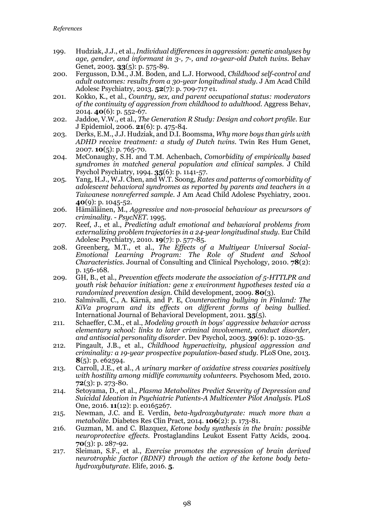- 199. Hudziak, J.J., et al., *Individual differences in aggression: genetic analyses by age, gender, and informant in 3-, 7-, and 10-year-old Dutch twins.* Behav Genet, 2003. **33**(5): p. 575-89.
- 200. Fergusson, D.M., J.M. Boden, and L.J. Horwood, *Childhood self-control and adult outcomes: results from a 30-year longitudinal study.* J Am Acad Child Adolesc Psychiatry, 2013. **52**(7): p. 709-717 e1.
- 201. Kokko, K., et al., *Country, sex, and parent occupational status: moderators of the continuity of aggression from childhood to adulthood.* Aggress Behav, 2014. **40**(6): p. 552-67.
- 202. Jaddoe, V.W., et al., *The Generation R Study: Design and cohort profile.* Eur J Epidemiol, 2006. **21**(6): p. 475-84.
- 203. Derks, E.M., J.J. Hudziak, and D.I. Boomsma, *Why more boys than girls with ADHD receive treatment: a study of Dutch twins.* Twin Res Hum Genet, 2007. **10**(5): p. 765-70.
- 204. McConaughy, S.H. and T.M. Achenbach, *Comorbidity of empirically based syndromes in matched general population and clinical samples.* J Child Psychol Psychiatry, 1994. **35**(6): p. 1141-57.
- 205. Yang, H.J., W.J. Chen, and W.T. Soong, *Rates and patterns of comorbidity of adolescent behavioral syndromes as reported by parents and teachers in a Taiwanese nonreferred sample.* J Am Acad Child Adolesc Psychiatry, 2001. **40**(9): p. 1045-52.
- 206. Hämäläinen, M., *Aggressive and non-prosocial behaviour as precursors of criminality. - PsycNET.* 1995.
- 207. Reef, J., et al., *Predicting adult emotional and behavioral problems from externalizing problem trajectories in a 24-year longitudinal study.* Eur Child Adolesc Psychiatry, 2010. **19**(7): p. 577-85.
- 208. Greenberg, M.T., et al., *The Effects of a Multiyear Universal Social-Emotional Learning Program: The Role of Student and School Characteristics.* Journal of Consulting and Clinical Psychology, 2010. **78**(2): p. 156-168.
- 209. GH, B., et al., *Prevention effects moderate the association of 5-HTTLPR and youth risk behavior initiation: gene x environment hypotheses tested via a randomized prevention design.* Child development, 2009. **80**(3).
- 210. Salmivalli, C., A. Kärnä, and P. E, *Counteracting bullying in Finland: The KiVa program and its effects on different forms of being bullied.* International Journal of Behavioral Development, 2011. **35**(5).
- 211. Schaeffer, C.M., et al., *Modeling growth in boys' aggressive behavior across elementary school: links to later criminal involvement, conduct disorder, and antisocial personality disorder.* Dev Psychol, 2003. **39**(6): p. 1020-35.
- 212. Pingault, J.B., et al., *Childhood hyperactivity, physical aggression and criminality: a 19-year prospective population-based study.* PLoS One, 2013. **8**(5): p. e62594.
- 213. Carroll, J.E., et al., *A urinary marker of oxidative stress covaries positively with hostility among midlife community volunteers.* Psychosom Med, 2010. **72**(3): p. 273-80.
- 214. Setoyama, D., et al., *Plasma Metabolites Predict Severity of Depression and Suicidal Ideation in Psychiatric Patients-A Multicenter Pilot Analysis.* PLoS One, 2016. **11**(12): p. e0165267.
- 215. Newman, J.C. and E. Verdin, *beta-hydroxybutyrate: much more than a metabolite.* Diabetes Res Clin Pract, 2014. **106**(2): p. 173-81.
- 216. Guzman, M. and C. Blazquez, *Ketone body synthesis in the brain: possible neuroprotective effects.* Prostaglandins Leukot Essent Fatty Acids, 2004. **70**(3): p. 287-92.
- 217. Sleiman, S.F., et al., *Exercise promotes the expression of brain derived neurotrophic factor (BDNF) through the action of the ketone body betahydroxybutyrate.* Elife, 2016. **5**.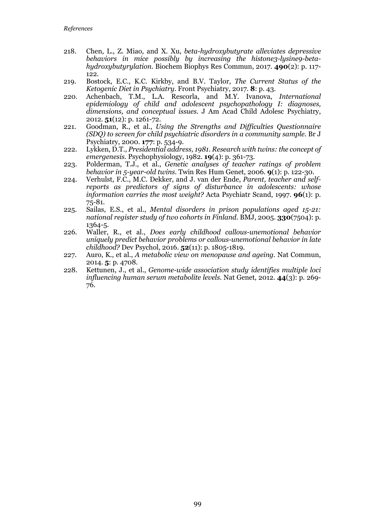- 218. Chen, L., Z. Miao, and X. Xu, *beta-hydroxybutyrate alleviates depressive behaviors in mice possibly by increasing the histone3-lysine9-betahydroxybutyrylation.* Biochem Biophys Res Commun, 2017. **490**(2): p. 117- 122.
- 219. Bostock, E.C., K.C. Kirkby, and B.V. Taylor, *The Current Status of the Ketogenic Diet in Psychiatry.* Front Psychiatry, 2017. **8**: p. 43.
- 220. Achenbach, T.M., L.A. Rescorla, and M.Y. Ivanova, *International epidemiology of child and adolescent psychopathology I: diagnoses, dimensions, and conceptual issues.* J Am Acad Child Adolesc Psychiatry, 2012. **51**(12): p. 1261-72.
- 221. Goodman, R., et al., *Using the Strengths and Difficulties Questionnaire (SDQ) to screen for child psychiatric disorders in a community sample.* Br J Psychiatry, 2000. **177**: p. 534-9.
- 222. Lykken, D.T., *Presidential address, 1981. Research with twins: the concept of emergenesis.* Psychophysiology, 1982. **19**(4): p. 361-73.
- 223. Polderman, T.J., et al., *Genetic analyses of teacher ratings of problem behavior in 5-year-old twins.* Twin Res Hum Genet, 2006. **9**(1): p. 122-30.
- 224. Verhulst, F.C., M.C. Dekker, and J. van der Ende, *Parent, teacher and selfreports as predictors of signs of disturbance in adolescents: whose information carries the most weight?* Acta Psychiatr Scand, 1997. **96**(1): p. 75-81.
- 225. Sailas, E.S., et al., *Mental disorders in prison populations aged 15-21: national register study of two cohorts in Finland.* BMJ, 2005. **330**(7504): p. 1364-5.
- 226. Waller, R., et al., *Does early childhood callous-unemotional behavior uniquely predict behavior problems or callous-unemotional behavior in late childhood?* Dev Psychol, 2016. **52**(11): p. 1805-1819.
- 227. Auro, K., et al., *A metabolic view on menopause and ageing.* Nat Commun, 2014. **5**: p. 4708.
- 228. Kettunen, J., et al., *Genome-wide association study identifies multiple loci influencing human serum metabolite levels.* Nat Genet, 2012. **44**(3): p. 269- 76.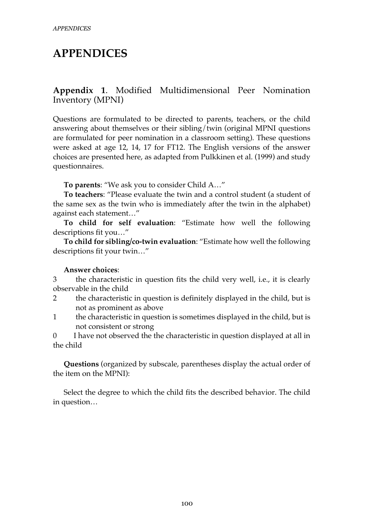# **APPENDICES**

## **Appendix 1**. Modified Multidimensional Peer Nomination Inventory (MPNI)

Questions are formulated to be directed to parents, teachers, or the child answering about themselves or their sibling/twin (original MPNI questions are formulated for peer nomination in a classroom setting). These questions were asked at age 12, 14, 17 for FT12. The English versions of the answer choices are presented here, as adapted from Pulkkinen et al. (1999) and study questionnaires.

**To parents**: "We ask you to consider Child A…"

**To teachers**: "Please evaluate the twin and a control student (a student of the same sex as the twin who is immediately after the twin in the alphabet) against each statement…"

**To child for self evaluation**: "Estimate how well the following descriptions fit you…"

**To child for sibling/co-twin evaluation**: "Estimate how well the following descriptions fit your twin…"

#### **Answer choices**:

3 the characteristic in question fits the child very well, i.e., it is clearly observable in the child

- 2 the characteristic in question is definitely displayed in the child, but is not as prominent as above
- 1 the characteristic in question is sometimes displayed in the child, but is not consistent or strong

0 I have not observed the the characteristic in question displayed at all in the child

**Questions** (organized by subscale, parentheses display the actual order of the item on the MPNI):

Select the degree to which the child fits the described behavior. The child in question…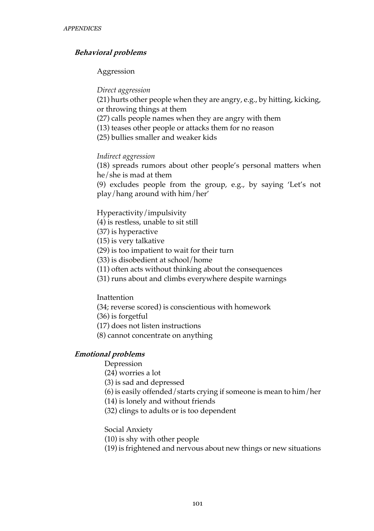### **Behavioral problems**

#### Aggression

#### *Direct aggression*

(21) hurts other people when they are angry, e.g., by hitting, kicking, or throwing things at them

(27) calls people names when they are angry with them

(13) teases other people or attacks them for no reason

(25) bullies smaller and weaker kids

### *Indirect aggression*

(18) spreads rumors about other people's personal matters when he/she is mad at them

(9) excludes people from the group, e.g., by saying 'Let's not play/hang around with him/her'

Hyperactivity/impulsivity

- (4) is restless, unable to sit still
- (37) is hyperactive
- (15) is very talkative
- (29) is too impatient to wait for their turn
- (33) is disobedient at school/home
- (11) often acts without thinking about the consequences
- (31) runs about and climbs everywhere despite warnings

#### **Inattention**

(34; reverse scored) is conscientious with homework

(36) is forgetful

- (17) does not listen instructions
- (8) cannot concentrate on anything

### **Emotional problems**

Depression

(24) worries a lot

- (3) is sad and depressed
- (6) is easily offended/starts crying if someone is mean to him/her
- (14) is lonely and without friends
- (32) clings to adults or is too dependent

Social Anxiety

- (10) is shy with other people
- (19) is frightened and nervous about new things or new situations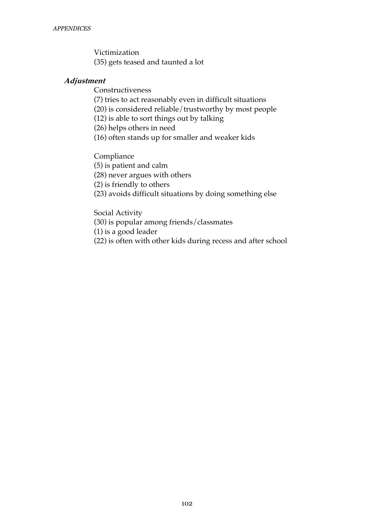Victimization (35) gets teased and taunted a lot

#### **Adjustment**

Constructiveness

(7) tries to act reasonably even in difficult situations

(20) is considered reliable/trustworthy by most people

(12) is able to sort things out by talking

(26) helps others in need

(16) often stands up for smaller and weaker kids

Compliance

(5) is patient and calm

(28) never argues with others

(2) is friendly to others

(23) avoids difficult situations by doing something else

Social Activity

(30) is popular among friends/classmates

(1) is a good leader

(22) is often with other kids during recess and after school